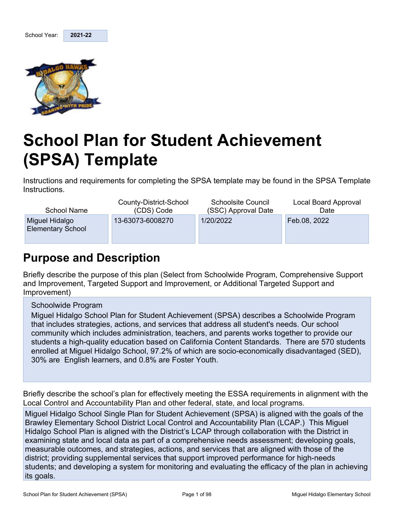

# **School Plan for Student Achievement (SPSA) Template**

Instructions and requirements for completing the SPSA template may be found in the SPSA Template Instructions.

| School Name                                | County-District-School | <b>Schoolsite Council</b> | Local Board Approval |
|--------------------------------------------|------------------------|---------------------------|----------------------|
|                                            | (CDS) Code             | (SSC) Approval Date       | Date                 |
| Miguel Hidalgo<br><b>Elementary School</b> | 13-63073-6008270       | 1/20/2022                 | Feb.08, 2022         |

## **Purpose and Description**

Briefly describe the purpose of this plan (Select from Schoolwide Program, Comprehensive Support and Improvement, Targeted Support and Improvement, or Additional Targeted Support and Improvement)

Schoolwide Program

Miguel Hidalgo School Plan for Student Achievement (SPSA) describes a Schoolwide Program that includes strategies, actions, and services that address all student's needs. Our school community which includes administration, teachers, and parents works together to provide our students a high-quality education based on California Content Standards. There are 570 students enrolled at Miguel Hidalgo School, 97.2% of which are socio-economically disadvantaged (SED), 30% are English learners, and 0.8% are Foster Youth.

Briefly describe the school's plan for effectively meeting the ESSA requirements in alignment with the Local Control and Accountability Plan and other federal, state, and local programs.

Miguel Hidalgo School Single Plan for Student Achievement (SPSA) is aligned with the goals of the Brawley Elementary School District Local Control and Accountability Plan (LCAP.) This Miguel Hidalgo School Plan is aligned with the District's LCAP through collaboration with the District in examining state and local data as part of a comprehensive needs assessment; developing goals, measurable outcomes, and strategies, actions, and services that are aligned with those of the district; providing supplemental services that support improved performance for high-needs students; and developing a system for monitoring and evaluating the efficacy of the plan in achieving its goals.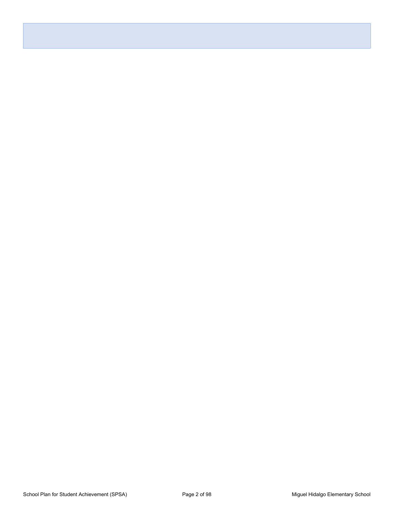School Plan for Student Achievement (SPSA) Page 2 of 98 Miguel Hidalgo Elementary School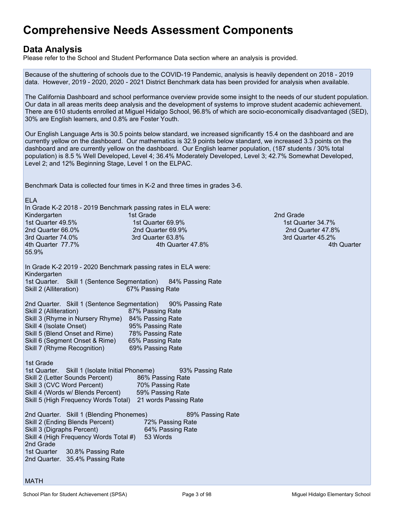## **Comprehensive Needs Assessment Components**

### **Data Analysis**

Please refer to the School and Student Performance Data section where an analysis is provided.

Because of the shuttering of schools due to the COVID-19 Pandemic, analysis is heavily dependent on 2018 - 2019 data. However, 2019 - 2020, 2020 - 2021 District Benchmark data has been provided for analysis when available.

The California Dashboard and school performance overview provide some insight to the needs of our student population. Our data in all areas merits deep analysis and the development of systems to improve student academic achievement. There are 610 students enrolled at Miguel Hidalgo School, 96.8% of which are socio-economically disadvantaged (SED), 30% are English learners, and 0.8% are Foster Youth.

Our English Language Arts is 30.5 points below standard, we increased significantly 15.4 on the dashboard and are currently yellow on the dashboard. Our mathematics is 32.9 points below standard, we increased 3.3 points on the dashboard and are currently yellow on the dashboard. Our English learner population, (187 students / 30% total population) is 8.5 % Well Developed, Level 4; 36.4% Moderately Developed, Level 3; 42.7% Somewhat Developed, Level 2; and 12% Beginning Stage, Level 1 on the ELPAC.

Benchmark Data is collected four times in K-2 and three times in grades 3-6.

ELA

In Grade K-2 2018 - 2019 Benchmark passing rates in ELA were: Kindergarten 1st Grade 2nd Grade 2nd Grade 2nd Grade 2nd Grade 2nd Grade 2nd Grade 2nd Grade 2nd Grade 2nd Gra 1st Quarter 49.5% 1st Quarter 69.9% 1st Quarter 34.7% 2nd Quarter 66.0% 2nd Quarter 69.9% 2nd Quarter 47.8% 3rd Quarter 74.0% 3rd Quarter 63.8% 3rd Quarter 45.2% 4th Quarter 77.7% 4th Quarter 47.8% 4th Quarter 55.9% In Grade K-2 2019 - 2020 Benchmark passing rates in ELA were: Kindergarten 1st Quarter. Skill 1 (Sentence Segmentation) 84% Passing Rate Skill 2 (Alliteration) 67% Passing Rate 2nd Quarter. Skill 1 (Sentence Segmentation) 90% Passing Rate Skill 2 (Alliteration) 87% Passing Rate Skill 3 (Rhyme in Nursery Rhyme) 84% Passing Rate Skill 4 (Isolate Onset) 95% Passing Rate Skill 5 (Blend Onset and Rime) 78% Passing Rate Skill 6 (Segment Onset & Rime) 65% Passing Rate Skill 7 (Rhyme Recognition) 69% Passing Rate

1st Grade

1st Quarter. Skill 1 (Isolate Initial Phoneme) 93% Passing Rate Skill 2 (Letter Sounds Percent) 86% Passing Rate Skill 3 (CVC Word Percent) 70% Passing Rate Skill 4 (Words w/ Blends Percent) 59% Passing Rate Skill 5 (High Frequency Words Total) 21 words Passing Rate

2nd Quarter. Skill 1 (Blending Phonemes) 89% Passing Rate Skill 2 (Ending Blends Percent) 72% Passing Rate Skill 3 (Digraphs Percent) 64% Passing Rate Skill 4 (High Frequency Words Total #) 53 Words 2nd Grade 1st Quarter 30.8% Passing Rate 2nd Quarter. 35.4% Passing Rate

MATH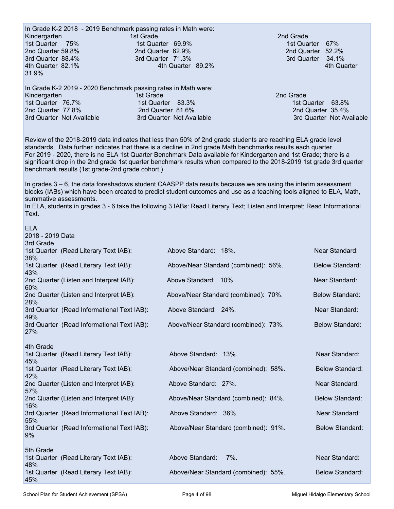| Kindergarten<br>1st Quarter 75%                                                                                                                                                                                                                                                                                                                                                                                                                                                                                             | In Grade K-2 2018 - 2019 Benchmark passing rates in Math were:                                                                                                                                                                                                  | 1st Grade<br>1st Quarter 69.9% |                      |  |                                      | 2nd Grade | 1st Quarter 67%                          |  |  |  |
|-----------------------------------------------------------------------------------------------------------------------------------------------------------------------------------------------------------------------------------------------------------------------------------------------------------------------------------------------------------------------------------------------------------------------------------------------------------------------------------------------------------------------------|-----------------------------------------------------------------------------------------------------------------------------------------------------------------------------------------------------------------------------------------------------------------|--------------------------------|----------------------|--|--------------------------------------|-----------|------------------------------------------|--|--|--|
| 2nd Quarter 59.8%                                                                                                                                                                                                                                                                                                                                                                                                                                                                                                           |                                                                                                                                                                                                                                                                 | 2nd Quarter 62.9%              |                      |  |                                      |           | 2nd Quarter 52.2%                        |  |  |  |
| 3rd Quarter 88.4%                                                                                                                                                                                                                                                                                                                                                                                                                                                                                                           |                                                                                                                                                                                                                                                                 | 3rd Quarter 71.3%              |                      |  |                                      |           | 3rd Quarter 34.1%                        |  |  |  |
| 4th Quarter 82.1%<br>31.9%                                                                                                                                                                                                                                                                                                                                                                                                                                                                                                  |                                                                                                                                                                                                                                                                 |                                | 4th Quarter 89.2%    |  |                                      |           | 4th Quarter                              |  |  |  |
| Kindergarten                                                                                                                                                                                                                                                                                                                                                                                                                                                                                                                | In Grade K-2 2019 - 2020 Benchmark passing rates in Math were:                                                                                                                                                                                                  | 1st Grade                      |                      |  |                                      | 2nd Grade |                                          |  |  |  |
| 1st Quarter 76.7%                                                                                                                                                                                                                                                                                                                                                                                                                                                                                                           |                                                                                                                                                                                                                                                                 | 1st Quarter 83.3%              |                      |  |                                      |           | 1st Quarter 63.8%                        |  |  |  |
| 2nd Quarter 77.8%                                                                                                                                                                                                                                                                                                                                                                                                                                                                                                           |                                                                                                                                                                                                                                                                 | 2nd Quarter 81.6%              |                      |  |                                      |           | 2nd Quarter 35.4%                        |  |  |  |
|                                                                                                                                                                                                                                                                                                                                                                                                                                                                                                                             | 3rd Quarter Not Available                                                                                                                                                                                                                                       | 3rd Quarter Not Available      |                      |  |                                      |           | 3rd Quarter Not Available                |  |  |  |
| Review of the 2018-2019 data indicates that less than 50% of 2nd grade students are reaching ELA grade level<br>standards. Data further indicates that there is a decline in 2nd grade Math benchmarks results each quarter.<br>For 2019 - 2020, there is no ELA 1st Quarter Benchmark Data available for Kindergarten and 1st Grade; there is a<br>significant drop in the 2nd grade 1st quarter benchmark results when compared to the 2018-2019 1st grade 3rd quarter<br>benchmark results (1st grade-2nd grade cohort.) |                                                                                                                                                                                                                                                                 |                                |                      |  |                                      |           |                                          |  |  |  |
|                                                                                                                                                                                                                                                                                                                                                                                                                                                                                                                             |                                                                                                                                                                                                                                                                 |                                |                      |  |                                      |           |                                          |  |  |  |
|                                                                                                                                                                                                                                                                                                                                                                                                                                                                                                                             | In grades $3-6$ , the data foreshadows student CAASPP data results because we are using the interim assessment<br>blocks (IABs) which have been created to predict student outcomes and use as a teaching tools aligned to ELA, Math,<br>summative assessments. |                                |                      |  |                                      |           |                                          |  |  |  |
| Text.                                                                                                                                                                                                                                                                                                                                                                                                                                                                                                                       | In ELA, students in grades 3 - 6 take the following 3 IABs: Read Literary Text; Listen and Interpret; Read Informational                                                                                                                                        |                                |                      |  |                                      |           |                                          |  |  |  |
| <b>ELA</b>                                                                                                                                                                                                                                                                                                                                                                                                                                                                                                                  |                                                                                                                                                                                                                                                                 |                                |                      |  |                                      |           |                                          |  |  |  |
| 2018 - 2019 Data                                                                                                                                                                                                                                                                                                                                                                                                                                                                                                            |                                                                                                                                                                                                                                                                 |                                |                      |  |                                      |           |                                          |  |  |  |
| 3rd Grade                                                                                                                                                                                                                                                                                                                                                                                                                                                                                                                   | 1st Quarter (Read Literary Text IAB):                                                                                                                                                                                                                           |                                | Above Standard: 18%. |  |                                      |           | Near Standard:                           |  |  |  |
| 38%                                                                                                                                                                                                                                                                                                                                                                                                                                                                                                                         | 1st Quarter (Read Literary Text IAB):                                                                                                                                                                                                                           |                                |                      |  | Above/Near Standard (combined): 56%. |           | <b>Below Standard:</b>                   |  |  |  |
| 43%                                                                                                                                                                                                                                                                                                                                                                                                                                                                                                                         |                                                                                                                                                                                                                                                                 |                                |                      |  |                                      |           |                                          |  |  |  |
| 60%                                                                                                                                                                                                                                                                                                                                                                                                                                                                                                                         | 2nd Quarter (Listen and Interpret IAB):<br>2nd Quarter (Listen and Interpret IAB):                                                                                                                                                                              |                                | Above Standard: 10%. |  | Above/Near Standard (combined): 70%. |           | Near Standard:<br><b>Below Standard:</b> |  |  |  |
| 28%                                                                                                                                                                                                                                                                                                                                                                                                                                                                                                                         |                                                                                                                                                                                                                                                                 |                                |                      |  |                                      |           |                                          |  |  |  |
|                                                                                                                                                                                                                                                                                                                                                                                                                                                                                                                             | 3rd Quarter (Read Informational Text IAB):                                                                                                                                                                                                                      |                                | Above Standard: 24%. |  |                                      |           | Near Standard:                           |  |  |  |
| 49%<br>27%                                                                                                                                                                                                                                                                                                                                                                                                                                                                                                                  | 3rd Quarter (Read Informational Text IAB):                                                                                                                                                                                                                      |                                |                      |  | Above/Near Standard (combined): 73%. |           | Below Standard:                          |  |  |  |
| 4th Grade                                                                                                                                                                                                                                                                                                                                                                                                                                                                                                                   |                                                                                                                                                                                                                                                                 |                                |                      |  |                                      |           |                                          |  |  |  |
| 45%                                                                                                                                                                                                                                                                                                                                                                                                                                                                                                                         | 1st Quarter (Read Literary Text IAB):                                                                                                                                                                                                                           |                                | Above Standard: 13%. |  |                                      |           | Near Standard:                           |  |  |  |
| 42%                                                                                                                                                                                                                                                                                                                                                                                                                                                                                                                         | 1st Quarter (Read Literary Text IAB):                                                                                                                                                                                                                           |                                |                      |  | Above/Near Standard (combined): 58%. |           | <b>Below Standard:</b>                   |  |  |  |
| 57%                                                                                                                                                                                                                                                                                                                                                                                                                                                                                                                         | 2nd Quarter (Listen and Interpret IAB):                                                                                                                                                                                                                         |                                | Above Standard: 27%. |  |                                      |           | Near Standard:                           |  |  |  |
| 16%                                                                                                                                                                                                                                                                                                                                                                                                                                                                                                                         | 2nd Quarter (Listen and Interpret IAB):                                                                                                                                                                                                                         |                                |                      |  | Above/Near Standard (combined): 84%. |           | <b>Below Standard:</b>                   |  |  |  |
| 55%                                                                                                                                                                                                                                                                                                                                                                                                                                                                                                                         | 3rd Quarter (Read Informational Text IAB):                                                                                                                                                                                                                      |                                | Above Standard: 36%. |  |                                      |           | Near Standard:                           |  |  |  |
| 9%                                                                                                                                                                                                                                                                                                                                                                                                                                                                                                                          | 3rd Quarter (Read Informational Text IAB):                                                                                                                                                                                                                      |                                |                      |  | Above/Near Standard (combined): 91%. |           | <b>Below Standard:</b>                   |  |  |  |
| 5th Grade                                                                                                                                                                                                                                                                                                                                                                                                                                                                                                                   |                                                                                                                                                                                                                                                                 |                                |                      |  |                                      |           |                                          |  |  |  |
| 48%                                                                                                                                                                                                                                                                                                                                                                                                                                                                                                                         | 1st Quarter (Read Literary Text IAB):                                                                                                                                                                                                                           |                                | Above Standard:      |  | $7\%$ .                              |           | Near Standard:                           |  |  |  |
| 45%                                                                                                                                                                                                                                                                                                                                                                                                                                                                                                                         | 1st Quarter (Read Literary Text IAB):                                                                                                                                                                                                                           |                                |                      |  | Above/Near Standard (combined): 55%. |           | Below Standard:                          |  |  |  |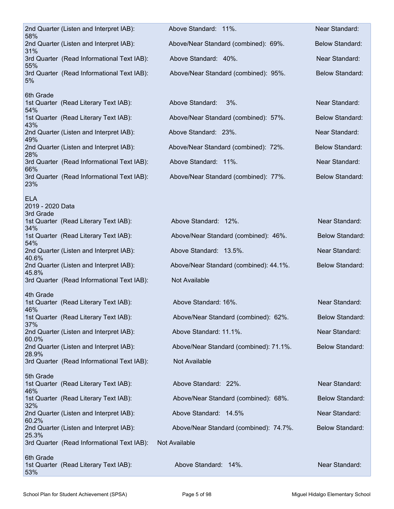| 58%                            | 2nd Quarter (Listen and Interpret IAB):    | Above Standard: 11%.                   | Near Standard:         |
|--------------------------------|--------------------------------------------|----------------------------------------|------------------------|
|                                | 2nd Quarter (Listen and Interpret IAB):    | Above/Near Standard (combined): 69%.   | <b>Below Standard:</b> |
| 31%<br>55%                     | 3rd Quarter (Read Informational Text IAB): | Above Standard: 40%.                   | Near Standard:         |
| 5%                             | 3rd Quarter (Read Informational Text IAB): | Above/Near Standard (combined): 95%.   | <b>Below Standard:</b> |
| 6th Grade                      |                                            |                                        |                        |
| 54%                            | 1st Quarter (Read Literary Text IAB):      | Above Standard:<br>$3%$ .              | Near Standard:         |
| 43%                            | 1st Quarter (Read Literary Text IAB):      | Above/Near Standard (combined): 57%.   | <b>Below Standard:</b> |
| 49%                            | 2nd Quarter (Listen and Interpret IAB):    | Above Standard: 23%.                   | Near Standard:         |
| 28%                            | 2nd Quarter (Listen and Interpret IAB):    | Above/Near Standard (combined): 72%.   | <b>Below Standard:</b> |
| 66%                            | 3rd Quarter (Read Informational Text IAB): | Above Standard: 11%.                   | Near Standard:         |
| 23%                            | 3rd Quarter (Read Informational Text IAB): | Above/Near Standard (combined): 77%.   | <b>Below Standard:</b> |
| <b>ELA</b><br>2019 - 2020 Data |                                            |                                        |                        |
| 3rd Grade                      |                                            |                                        |                        |
| 34%                            | 1st Quarter (Read Literary Text IAB):      | Above Standard: 12%.                   | Near Standard:         |
| 54%                            | 1st Quarter (Read Literary Text IAB):      | Above/Near Standard (combined): 46%.   | <b>Below Standard:</b> |
| 40.6%                          | 2nd Quarter (Listen and Interpret IAB):    | Above Standard: 13.5%.                 | Near Standard:         |
| 45.8%                          | 2nd Quarter (Listen and Interpret IAB):    | Above/Near Standard (combined): 44.1%. | <b>Below Standard:</b> |
|                                | 3rd Quarter (Read Informational Text IAB): | Not Available                          |                        |
| 4th Grade                      |                                            |                                        |                        |
| 46%                            | 1st Quarter (Read Literary Text IAB):      | Above Standard: 16%.                   | Near Standard:         |
| 37%                            | 1st Quarter (Read Literary Text IAB):      | Above/Near Standard (combined): 62%.   | <b>Below Standard:</b> |
| 60.0%                          | 2nd Quarter (Listen and Interpret IAB):    | Above Standard: 11.1%.                 | Near Standard:         |
| 28.9%                          | 2nd Quarter (Listen and Interpret IAB):    | Above/Near Standard (combined): 71.1%. | Below Standard:        |
|                                | 3rd Quarter (Read Informational Text IAB): | Not Available                          |                        |
| 5th Grade                      |                                            |                                        |                        |
| 46%                            | 1st Quarter (Read Literary Text IAB):      | Above Standard: 22%.                   | Near Standard:         |
| 32%                            | 1st Quarter (Read Literary Text IAB):      | Above/Near Standard (combined): 68%.   | <b>Below Standard:</b> |
| 60.2%                          | 2nd Quarter (Listen and Interpret IAB):    | Above Standard: 14.5%                  | Near Standard:         |
| 25.3%                          | 2nd Quarter (Listen and Interpret IAB):    | Above/Near Standard (combined): 74.7%. | <b>Below Standard:</b> |
|                                | 3rd Quarter (Read Informational Text IAB): | Not Available                          |                        |
| 6th Grade<br>53%               | 1st Quarter (Read Literary Text IAB):      | Above Standard: 14%.                   | Near Standard:         |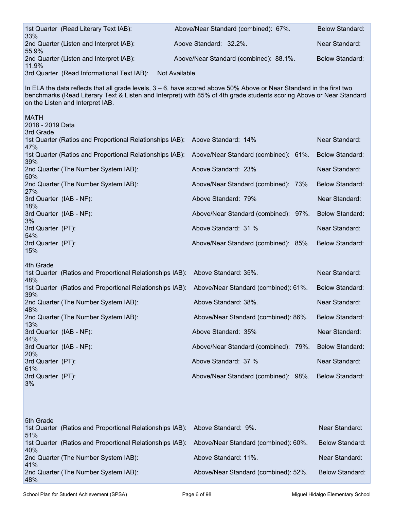| 33%                             | 1st Quarter (Read Literary Text IAB):                    |               | Above/Near Standard (combined): 67%.                                                                                                                                                                                                          | <b>Below Standard:</b> |  |  |
|---------------------------------|----------------------------------------------------------|---------------|-----------------------------------------------------------------------------------------------------------------------------------------------------------------------------------------------------------------------------------------------|------------------------|--|--|
| 55.9%                           | 2nd Quarter (Listen and Interpret IAB):                  |               | Above Standard: 32.2%.                                                                                                                                                                                                                        | Near Standard:         |  |  |
|                                 | 2nd Quarter (Listen and Interpret IAB):                  |               | Above/Near Standard (combined): 88.1%.                                                                                                                                                                                                        | <b>Below Standard:</b> |  |  |
| 11.9%                           | 3rd Quarter (Read Informational Text IAB):               | Not Available |                                                                                                                                                                                                                                               |                        |  |  |
|                                 | on the Listen and Interpret IAB.                         |               | In ELA the data reflects that all grade levels, $3-6$ , have scored above 50% Above or Near Standard in the first two<br>benchmarks (Read Literary Text & Listen and Interpret) with 85% of 4th grade students scoring Above or Near Standard |                        |  |  |
| <b>MATH</b><br>2018 - 2019 Data |                                                          |               |                                                                                                                                                                                                                                               |                        |  |  |
| 3rd Grade<br>47%                | 1st Quarter (Ratios and Proportional Relationships IAB): |               | Above Standard: 14%                                                                                                                                                                                                                           | Near Standard:         |  |  |
| 39%                             | 1st Quarter (Ratios and Proportional Relationships IAB): |               | Above/Near Standard (combined): 61%.                                                                                                                                                                                                          | <b>Below Standard:</b> |  |  |
| 50%                             | 2nd Quarter (The Number System IAB):                     |               | Above Standard: 23%                                                                                                                                                                                                                           | Near Standard:         |  |  |
| 27%                             | 2nd Quarter (The Number System IAB):                     |               | Above/Near Standard (combined): 73%                                                                                                                                                                                                           | <b>Below Standard:</b> |  |  |
| 3rd Quarter (IAB - NF):<br>18%  |                                                          |               | Above Standard: 79%                                                                                                                                                                                                                           | Near Standard:         |  |  |
| 3rd Quarter (IAB - NF):<br>3%   |                                                          |               | Above/Near Standard (combined): 97%.                                                                                                                                                                                                          | <b>Below Standard:</b> |  |  |
| 3rd Quarter (PT):               |                                                          |               | Above Standard: 31 %                                                                                                                                                                                                                          | Near Standard:         |  |  |
| 54%<br>3rd Quarter (PT):<br>15% |                                                          |               | Above/Near Standard (combined): 85%.                                                                                                                                                                                                          | <b>Below Standard:</b> |  |  |
| 4th Grade                       |                                                          |               |                                                                                                                                                                                                                                               |                        |  |  |
| 48%                             | 1st Quarter (Ratios and Proportional Relationships IAB): |               | Above Standard: 35%.                                                                                                                                                                                                                          | Near Standard:         |  |  |
| 39%                             | 1st Quarter (Ratios and Proportional Relationships IAB): |               | Above/Near Standard (combined): 61%.                                                                                                                                                                                                          | <b>Below Standard:</b> |  |  |
| 48%                             | 2nd Quarter (The Number System IAB):                     |               | Above Standard: 38%.                                                                                                                                                                                                                          | Near Standard:         |  |  |
| 13%                             | 2nd Quarter (The Number System IAB):                     |               | Above/Near Standard (combined): 86%.                                                                                                                                                                                                          | <b>Below Standard:</b> |  |  |
| 3rd Quarter (IAB - NF):<br>44%  |                                                          |               | Above Standard: 35%                                                                                                                                                                                                                           | Near Standard:         |  |  |
| 3rd Quarter (IAB - NF):<br>20%  |                                                          |               | Above/Near Standard (combined): 79%.                                                                                                                                                                                                          | <b>Below Standard:</b> |  |  |
| 3rd Quarter (PT):<br>61%        |                                                          |               | Above Standard: 37 %                                                                                                                                                                                                                          | Near Standard:         |  |  |
| 3rd Quarter (PT):<br>3%         |                                                          |               | Above/Near Standard (combined): 98%.                                                                                                                                                                                                          | <b>Below Standard:</b> |  |  |
|                                 |                                                          |               |                                                                                                                                                                                                                                               |                        |  |  |
| 5th Grade                       | 1st Quarter (Ratios and Proportional Relationships IAB): |               | Above Standard: 9%.                                                                                                                                                                                                                           | Near Standard:         |  |  |
| 51%                             | 1st Quarter (Ratios and Proportional Relationships IAB): |               | Above/Near Standard (combined): 60%.                                                                                                                                                                                                          | <b>Below Standard:</b> |  |  |
| 40%                             | 2nd Quarter (The Number System IAB):                     |               | Above Standard: 11%.                                                                                                                                                                                                                          | Near Standard:         |  |  |
| 41%<br>48%                      | 2nd Quarter (The Number System IAB):                     |               | Above/Near Standard (combined): 52%.                                                                                                                                                                                                          | <b>Below Standard:</b> |  |  |
|                                 |                                                          |               |                                                                                                                                                                                                                                               |                        |  |  |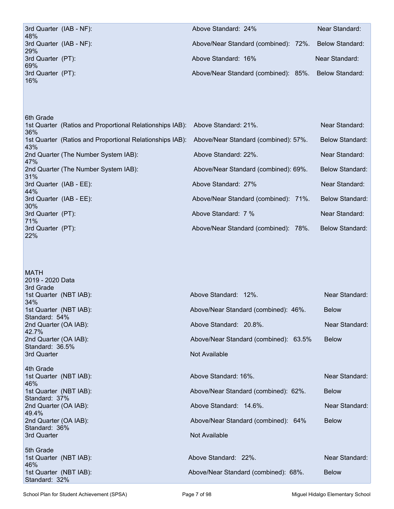| 48%                                    | 3rd Quarter (IAB - NF):                                  | Above Standard: 24%                   | Near Standard:         |
|----------------------------------------|----------------------------------------------------------|---------------------------------------|------------------------|
|                                        | 3rd Quarter (IAB - NF):                                  | Above/Near Standard (combined): 72%.  | <b>Below Standard:</b> |
| 29%<br>3rd Quarter (PT):               |                                                          | Above Standard: 16%                   | Near Standard:         |
| 69%<br>3rd Quarter (PT):<br>16%        |                                                          | Above/Near Standard (combined): 85%.  | <b>Below Standard:</b> |
|                                        |                                                          |                                       |                        |
| 6th Grade                              | 1st Quarter (Ratios and Proportional Relationships IAB): | Above Standard: 21%.                  | Near Standard:         |
| 36%                                    | 1st Quarter (Ratios and Proportional Relationships IAB): | Above/Near Standard (combined): 57%.  | <b>Below Standard:</b> |
| 43%                                    | 2nd Quarter (The Number System IAB):                     | Above Standard: 22%.                  | Near Standard:         |
| 47%                                    | 2nd Quarter (The Number System IAB):                     | Above/Near Standard (combined): 69%.  | <b>Below Standard:</b> |
| 31%                                    | 3rd Quarter (IAB - EE):                                  | Above Standard: 27%                   | Near Standard:         |
| 44%                                    | 3rd Quarter (IAB - EE):                                  | Above/Near Standard (combined): 71%.  | <b>Below Standard:</b> |
| 30%<br>3rd Quarter (PT):               |                                                          | Above Standard: 7 %                   | Near Standard:         |
| 71%<br>3rd Quarter (PT):<br>22%        |                                                          | Above/Near Standard (combined): 78%.  | <b>Below Standard:</b> |
|                                        |                                                          |                                       |                        |
|                                        |                                                          |                                       |                        |
| <b>MATH</b><br>2019 - 2020 Data        |                                                          |                                       |                        |
| 3rd Grade                              | 1st Quarter (NBT IAB):                                   | Above Standard: 12%.                  | Near Standard:         |
| 34%                                    | 1st Quarter (NBT IAB):                                   | Above/Near Standard (combined): 46%.  | <b>Below</b>           |
| Standard: 54%<br>2nd Quarter (OA IAB): |                                                          | Above Standard: 20.8%.                | Near Standard:         |
| 42.7%<br>2nd Quarter (OA IAB):         |                                                          | Above/Near Standard (combined): 63.5% | <b>Below</b>           |
| Standard: 36.5%<br>3rd Quarter         |                                                          | <b>Not Available</b>                  |                        |
| 4th Grade                              |                                                          |                                       |                        |
| 46%                                    | 1st Quarter (NBT IAB):                                   | Above Standard: 16%.                  | Near Standard:         |
| Standard: 37%                          | 1st Quarter (NBT IAB):                                   | Above/Near Standard (combined): 62%.  | <b>Below</b>           |
| 2nd Quarter (OA IAB):<br>49.4%         |                                                          | Above Standard: 14.6%.                | Near Standard:         |
| 2nd Quarter (OA IAB):<br>Standard: 36% |                                                          | Above/Near Standard (combined): 64%   | <b>Below</b>           |
| 3rd Quarter                            |                                                          | <b>Not Available</b>                  |                        |
| 5th Grade                              | 1st Quarter (NBT IAB):                                   | Above Standard: 22%.                  | Near Standard:         |
| 46%                                    | 1st Quarter (NBT IAB):                                   | Above/Near Standard (combined): 68%.  | <b>Below</b>           |
| Standard: 32%                          |                                                          |                                       |                        |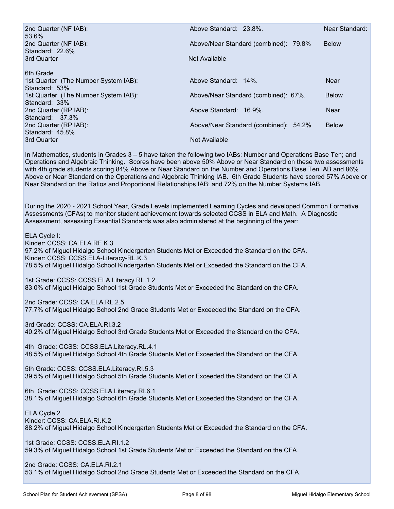| 2nd Quarter (NF IAB):<br>53.6%                                                                                                                                                                                                                                                                                                                                                                                                                                                                                                                                             | Above Standard: 23.8%.                | Near Standard: |  |  |  |  |  |  |  |  |
|----------------------------------------------------------------------------------------------------------------------------------------------------------------------------------------------------------------------------------------------------------------------------------------------------------------------------------------------------------------------------------------------------------------------------------------------------------------------------------------------------------------------------------------------------------------------------|---------------------------------------|----------------|--|--|--|--|--|--|--|--|
| 2nd Quarter (NF IAB):                                                                                                                                                                                                                                                                                                                                                                                                                                                                                                                                                      | Above/Near Standard (combined): 79.8% | <b>Below</b>   |  |  |  |  |  |  |  |  |
| Standard: 22.6%<br>3rd Quarter                                                                                                                                                                                                                                                                                                                                                                                                                                                                                                                                             | Not Available                         |                |  |  |  |  |  |  |  |  |
|                                                                                                                                                                                                                                                                                                                                                                                                                                                                                                                                                                            |                                       |                |  |  |  |  |  |  |  |  |
| 6th Grade<br>1st Quarter (The Number System IAB):<br>Standard: 53%                                                                                                                                                                                                                                                                                                                                                                                                                                                                                                         | Above Standard: 14%.                  | <b>Near</b>    |  |  |  |  |  |  |  |  |
| 1st Quarter (The Number System IAB):                                                                                                                                                                                                                                                                                                                                                                                                                                                                                                                                       | Above/Near Standard (combined): 67%.  | <b>Below</b>   |  |  |  |  |  |  |  |  |
| Standard: 33%<br>2nd Quarter (RP IAB):<br>Standard: 37.3%                                                                                                                                                                                                                                                                                                                                                                                                                                                                                                                  | Above Standard: 16.9%.                | Near           |  |  |  |  |  |  |  |  |
| 2nd Quarter (RP IAB):                                                                                                                                                                                                                                                                                                                                                                                                                                                                                                                                                      | Above/Near Standard (combined): 54.2% | <b>Below</b>   |  |  |  |  |  |  |  |  |
| Standard: 45.8%<br>3rd Quarter                                                                                                                                                                                                                                                                                                                                                                                                                                                                                                                                             | <b>Not Available</b>                  |                |  |  |  |  |  |  |  |  |
| In Mathematics, students in Grades 3 – 5 have taken the following two IABs: Number and Operations Base Ten; and<br>Operations and Algebraic Thinking. Scores have been above 50% Above or Near Standard on these two assessments<br>with 4th grade students scoring 84% Above or Near Standard on the Number and Operations Base Ten IAB and 86%<br>Above or Near Standard on the Operations and Algebraic Thinking IAB. 6th Grade Students have scored 57% Above or<br>Near Standard on the Ratios and Proportional Relationships IAB; and 72% on the Number Systems IAB. |                                       |                |  |  |  |  |  |  |  |  |
| During the 2020 - 2021 School Year, Grade Levels implemented Learning Cycles and developed Common Formative<br>Assessments (CFAs) to monitor student achievement towards selected CCSS in ELA and Math. A Diagnostic<br>Assessment, assessing Essential Standards was also administered at the beginning of the year:                                                                                                                                                                                                                                                      |                                       |                |  |  |  |  |  |  |  |  |
| ELA Cycle I:<br>Kinder: CCSS: CA.ELA.RF.K.3<br>97.2% of Miguel Hidalgo School Kindergarten Students Met or Exceeded the Standard on the CFA.<br>Kinder: CCSS: CCSS.ELA-Literacy-RL.K.3<br>78.5% of Miguel Hidalgo School Kindergarten Students Met or Exceeded the Standard on the CFA.                                                                                                                                                                                                                                                                                    |                                       |                |  |  |  |  |  |  |  |  |
| 1st Grade: CCSS: CCSS.ELA.Literacy.RL.1.2<br>83.0% of Miguel Hidalgo School 1st Grade Students Met or Exceeded the Standard on the CFA.                                                                                                                                                                                                                                                                                                                                                                                                                                    |                                       |                |  |  |  |  |  |  |  |  |
| 2nd Grade: CCSS: CA.ELA.RL.2.5<br>77.7% of Miguel Hidalgo School 2nd Grade Students Met or Exceeded the Standard on the CFA.                                                                                                                                                                                                                                                                                                                                                                                                                                               |                                       |                |  |  |  |  |  |  |  |  |
| 3rd Grade: CCSS: CA.ELA.RI.3.2<br>40.2% of Miguel Hidalgo School 3rd Grade Students Met or Exceeded the Standard on the CFA.                                                                                                                                                                                                                                                                                                                                                                                                                                               |                                       |                |  |  |  |  |  |  |  |  |
| 4th Grade: CCSS: CCSS.ELA.Literacy.RL.4.1<br>48.5% of Miguel Hidalgo School 4th Grade Students Met or Exceeded the Standard on the CFA.                                                                                                                                                                                                                                                                                                                                                                                                                                    |                                       |                |  |  |  |  |  |  |  |  |
| 5th Grade: CCSS: CCSS.ELA.Literacy.RI.5.3<br>39.5% of Miguel Hidalgo School 5th Grade Students Met or Exceeded the Standard on the CFA.                                                                                                                                                                                                                                                                                                                                                                                                                                    |                                       |                |  |  |  |  |  |  |  |  |
| 6th Grade: CCSS: CCSS.ELA.Literacy.RI.6.1<br>38.1% of Miguel Hidalgo School 6th Grade Students Met or Exceeded the Standard on the CFA.                                                                                                                                                                                                                                                                                                                                                                                                                                    |                                       |                |  |  |  |  |  |  |  |  |
| ELA Cycle 2<br>Kinder: CCSS: CA.ELA.RI.K.2<br>88.2% of Miguel Hidalgo School Kindergarten Students Met or Exceeded the Standard on the CFA.                                                                                                                                                                                                                                                                                                                                                                                                                                |                                       |                |  |  |  |  |  |  |  |  |
| 1st Grade: CCSS: CCSS.ELA.RI.1.2<br>59.3% of Miguel Hidalgo School 1st Grade Students Met or Exceeded the Standard on the CFA.                                                                                                                                                                                                                                                                                                                                                                                                                                             |                                       |                |  |  |  |  |  |  |  |  |
| 2nd Grade: CCSS: CA.ELA.RI.2.1<br>53.1% of Miguel Hidalgo School 2nd Grade Students Met or Exceeded the Standard on the CFA.                                                                                                                                                                                                                                                                                                                                                                                                                                               |                                       |                |  |  |  |  |  |  |  |  |
|                                                                                                                                                                                                                                                                                                                                                                                                                                                                                                                                                                            |                                       |                |  |  |  |  |  |  |  |  |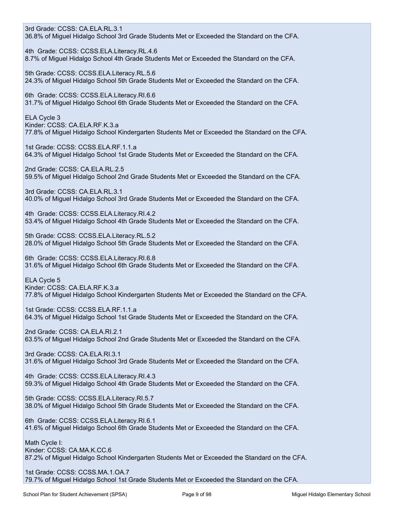3rd Grade: CCSS: CA.ELA.RL.3.1 36.8% of Miguel Hidalgo School 3rd Grade Students Met or Exceeded the Standard on the CFA. 4th Grade: CCSS: CCSS.ELA.Literacy.RL.4.6 8.7% of Miguel Hidalgo School 4th Grade Students Met or Exceeded the Standard on the CFA. 5th Grade: CCSS: CCSS.ELA.Literacy.RL.5.6 24.3% of Miguel Hidalgo School 5th Grade Students Met or Exceeded the Standard on the CFA. 6th Grade: CCSS: CCSS.ELA.Literacy.RI.6.6 31.7% of Miguel Hidalgo School 6th Grade Students Met or Exceeded the Standard on the CFA. ELA Cycle 3 Kinder: CCSS: CA.ELA.RF.K.3.a 77.8% of Miguel Hidalgo School Kindergarten Students Met or Exceeded the Standard on the CFA. 1st Grade: CCSS: CCSS.ELA.RF.1.1.a 64.3% of Miguel Hidalgo School 1st Grade Students Met or Exceeded the Standard on the CFA. 2nd Grade: CCSS: CA.ELA.RL.2.5 59.5% of Miguel Hidalgo School 2nd Grade Students Met or Exceeded the Standard on the CFA. 3rd Grade: CCSS: CA.ELA.RL.3.1 40.0% of Miguel Hidalgo School 3rd Grade Students Met or Exceeded the Standard on the CFA. 4th Grade: CCSS: CCSS.ELA.Literacy.RI.4.2 53.4% of Miguel Hidalgo School 4th Grade Students Met or Exceeded the Standard on the CFA. 5th Grade: CCSS: CCSS.ELA.Literacy.RL.5.2 28.0% of Miguel Hidalgo School 5th Grade Students Met or Exceeded the Standard on the CFA. 6th Grade: CCSS: CCSS.ELA.Literacy.RI.6.8 31.6% of Miguel Hidalgo School 6th Grade Students Met or Exceeded the Standard on the CFA. ELA Cycle 5 Kinder: CCSS: CA.ELA.RF.K.3.a 77.8% of Miguel Hidalgo School Kindergarten Students Met or Exceeded the Standard on the CFA. 1st Grade: CCSS: CCSS.ELA.RF.1.1.a 64.3% of Miguel Hidalgo School 1st Grade Students Met or Exceeded the Standard on the CFA. 2nd Grade: CCSS: CA.ELA.RI.2.1 63.5% of Miguel Hidalgo School 2nd Grade Students Met or Exceeded the Standard on the CFA. 3rd Grade: CCSS: CA.ELA.RI.3.1 31.6% of Miguel Hidalgo School 3rd Grade Students Met or Exceeded the Standard on the CFA. 4th Grade: CCSS: CCSS.ELA.Literacy.RI.4.3 59.3% of Miguel Hidalgo School 4th Grade Students Met or Exceeded the Standard on the CFA. 5th Grade: CCSS: CCSS.ELA.Literacy.RI.5.7 38.0% of Miguel Hidalgo School 5th Grade Students Met or Exceeded the Standard on the CFA. 6th Grade: CCSS: CCSS.ELA.Literacy.RI.6.1 41.6% of Miguel Hidalgo School 6th Grade Students Met or Exceeded the Standard on the CFA. Math Cycle I: Kinder: CCSS: CA.MA.K.CC.6 87.2% of Miguel Hidalgo School Kindergarten Students Met or Exceeded the Standard on the CFA. 1st Grade: CCSS: CCSS.MA.1.OA.7 79.7% of Miguel Hidalgo School 1st Grade Students Met or Exceeded the Standard on the CFA.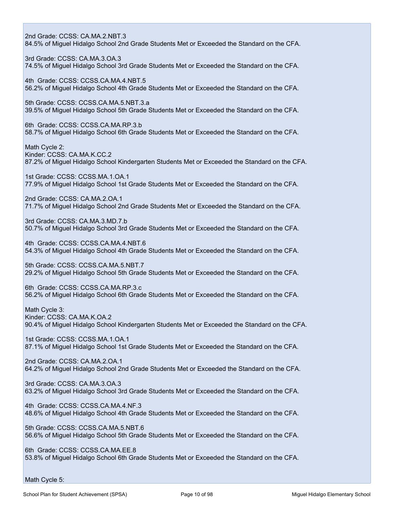2nd Grade: CCSS: CA.MA.2.NBT.3 84.5% of Miguel Hidalgo School 2nd Grade Students Met or Exceeded the Standard on the CFA. 3rd Grade: CCSS: CA.MA.3.OA.3 74.5% of Miguel Hidalgo School 3rd Grade Students Met or Exceeded the Standard on the CFA. 4th Grade: CCSS: CCSS.CA.MA.4.NBT.5 56.2% of Miguel Hidalgo School 4th Grade Students Met or Exceeded the Standard on the CFA. 5th Grade: CCSS: CCSS.CA.MA.5.NBT.3.a 39.5% of Miguel Hidalgo School 5th Grade Students Met or Exceeded the Standard on the CFA. 6th Grade: CCSS: CCSS.CA.MA.RP.3.b 58.7% of Miguel Hidalgo School 6th Grade Students Met or Exceeded the Standard on the CFA. Math Cycle 2: Kinder: CCSS: CA.MA.K.CC.2 87.2% of Miguel Hidalgo School Kindergarten Students Met or Exceeded the Standard on the CFA. 1st Grade: CCSS: CCSS.MA.1.OA.1 77.9% of Miguel Hidalgo School 1st Grade Students Met or Exceeded the Standard on the CFA. 2nd Grade: CCSS: CA.MA.2.OA.1 71.7% of Miguel Hidalgo School 2nd Grade Students Met or Exceeded the Standard on the CFA. 3rd Grade: CCSS: CA.MA.3.MD.7.b 50.7% of Miguel Hidalgo School 3rd Grade Students Met or Exceeded the Standard on the CFA. 4th Grade: CCSS: CCSS.CA.MA.4.NBT.6 54.3% of Miguel Hidalgo School 4th Grade Students Met or Exceeded the Standard on the CFA. 5th Grade: CCSS: CCSS.CA.MA.5.NBT.7 29.2% of Miguel Hidalgo School 5th Grade Students Met or Exceeded the Standard on the CFA. 6th Grade: CCSS: CCSS.CA.MA.RP.3.c 56.2% of Miguel Hidalgo School 6th Grade Students Met or Exceeded the Standard on the CFA. Math Cycle 3: Kinder: CCSS: CA.MA.K.OA.2 90.4% of Miguel Hidalgo School Kindergarten Students Met or Exceeded the Standard on the CFA. 1st Grade: CCSS: CCSS.MA.1.OA.1 87.1% of Miguel Hidalgo School 1st Grade Students Met or Exceeded the Standard on the CFA. 2nd Grade: CCSS: CA.MA.2.OA.1 64.2% of Miguel Hidalgo School 2nd Grade Students Met or Exceeded the Standard on the CFA. 3rd Grade: CCSS: CA.MA.3.OA.3 63.2% of Miguel Hidalgo School 3rd Grade Students Met or Exceeded the Standard on the CFA. 4th Grade: CCSS: CCSS.CA.MA.4.NF.3 48.6% of Miguel Hidalgo School 4th Grade Students Met or Exceeded the Standard on the CFA. 5th Grade: CCSS: CCSS.CA.MA.5.NBT.6 56.6% of Miguel Hidalgo School 5th Grade Students Met or Exceeded the Standard on the CFA. 6th Grade: CCSS: CCSS.CA.MA.EE.8 53.8% of Miguel Hidalgo School 6th Grade Students Met or Exceeded the Standard on the CFA. Math Cycle 5: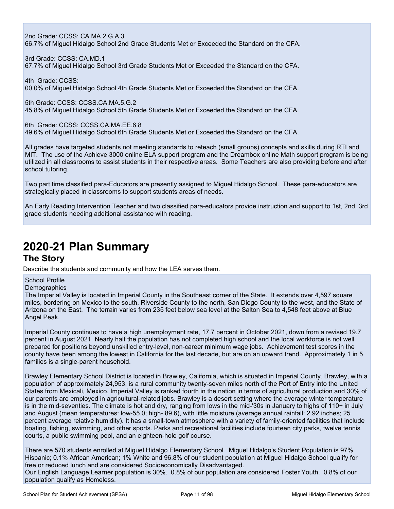2nd Grade: CCSS: CA.MA.2.G.A.3 66.7% of Miguel Hidalgo School 2nd Grade Students Met or Exceeded the Standard on the CFA.

3rd Grade: CCSS: CA.MD.1 67.7% of Miguel Hidalgo School 3rd Grade Students Met or Exceeded the Standard on the CFA.

4th Grade: CCSS: 00.0% of Miguel Hidalgo School 4th Grade Students Met or Exceeded the Standard on the CFA.

5th Grade: CCSS: CCSS.CA.MA.5.G.2 45.8% of Miguel Hidalgo School 5th Grade Students Met or Exceeded the Standard on the CFA.

6th Grade: CCSS: CCSS.CA.MA.EE.6.8 49.6% of Miguel Hidalgo School 6th Grade Students Met or Exceeded the Standard on the CFA.

All grades have targeted students not meeting standards to reteach (small groups) concepts and skills during RTI and MIT. The use of the Achieve 3000 online ELA support program and the Dreambox online Math support program is being utilized in all classrooms to assist students in their respective areas. Some Teachers are also providing before and after school tutoring.

Two part time classified para-Educators are presently assigned to Miguel Hidalgo School. These para-educators are strategically placed in classrooms to support students areas of needs.

An Early Reading Intervention Teacher and two classified para-educators provide instruction and support to 1st, 2nd, 3rd grade students needing additional assistance with reading.

## **2020-21 Plan Summary The Story**

Describe the students and community and how the LEA serves them.

School Profile

**Demographics** 

The Imperial Valley is located in Imperial County in the Southeast corner of the State. It extends over 4,597 square miles, bordering on Mexico to the south, Riverside County to the north, San Diego County to the west, and the State of Arizona on the East. The terrain varies from 235 feet below sea level at the Salton Sea to 4,548 feet above at Blue Angel Peak.

Imperial County continues to have a high unemployment rate, 17.7 percent in October 2021, down from a revised 19.7 percent in August 2021. Nearly half the population has not completed high school and the local workforce is not well prepared for positions beyond unskilled entry-level, non-career minimum wage jobs. Achievement test scores in the county have been among the lowest in California for the last decade, but are on an upward trend. Approximately 1 in 5 families is a single-parent household.

Brawley Elementary School District is located in Brawley, California, which is situated in Imperial County. Brawley, with a population of approximately 24,953, is a rural community twenty-seven miles north of the Port of Entry into the United States from Mexicali, Mexico. Imperial Valley is ranked fourth in the nation in terms of agricultural production and 30% of our parents are employed in agricultural-related jobs. Brawley is a desert setting where the average winter temperature is in the mid-seventies. The climate is hot and dry, ranging from lows in the mid-'30s in January to highs of 110+ in July and August (mean temperatures: low-55.0; high- 89.6), with little moisture (average annual rainfall: 2.92 inches; 25 percent average relative humidity). It has a small-town atmosphere with a variety of family-oriented facilities that include boating, fishing, swimming, and other sports. Parks and recreational facilities include fourteen city parks, twelve tennis courts, a public swimming pool, and an eighteen-hole golf course.

There are 570 students enrolled at Miguel Hidalgo Elementary School. Miguel Hidalgo's Student Population is 97% Hispanic; 0.1% African American; 1% White and 96.8% of our student population at Miguel Hidalgo School qualify for free or reduced lunch and are considered Socioeconomically Disadvantaged.

Our English Language Learner population is 30%. 0.8% of our population are considered Foster Youth. 0.8% of our population qualify as Homeless.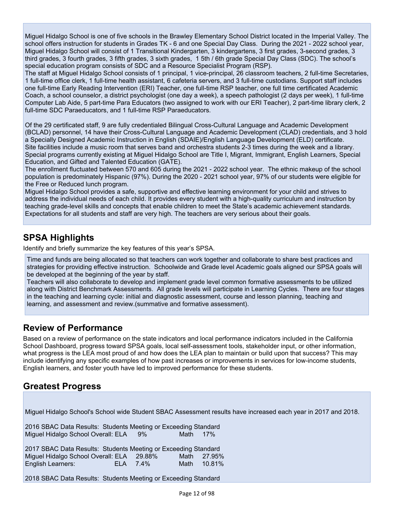Miguel Hidalgo School is one of five schools in the Brawley Elementary School District located in the Imperial Valley. The school offers instruction for students in Grades TK - 6 and one Special Day Class. During the 2021 - 2022 school year, Miguel Hidalgo School will consist of 1 Transitional Kindergarten, 3 kindergartens, 3 first grades, 3-second grades, 3 third grades, 3 fourth grades, 3 fifth grades, 3 sixth grades, 1 5th / 6th grade Special Day Class (SDC). The school's special education program consists of SDC and a Resource Specialist Program (RSP).

The staff at Miguel Hidalgo School consists of 1 principal, 1 vice-principal, 26 classroom teachers, 2 full-time Secretaries, 1 full-time office clerk, 1 full-time health assistant, 6 cafeteria servers, and 3 full-time custodians. Support staff includes one full-time Early Reading Intervention (ERI) Teacher, one full-time RSP teacher, one full time certificated Academic Coach, a school counselor, a district psychologist (one day a week), a speech pathologist (2 days per week), 1 full-time Computer Lab Aide, 5 part-time Para Educators (two assigned to work with our ERI Teacher), 2 part-time library clerk, 2 full-time SDC Paraeducators, and 1 full-time RSP Paraeducators.

Of the 29 certificated staff, 9 are fully credentialed Bilingual Cross-Cultural Language and Academic Development (BCLAD) personnel, 14 have their Cross-Cultural Language and Academic Development (CLAD) credentials, and 3 hold a Specially Designed Academic Instruction in English (SDAIE)/English Language Development (ELD) certificate. Site facilities include a music room that serves band and orchestra students 2-3 times during the week and a library. Special programs currently existing at Miguel Hidalgo School are Title I, Migrant, Immigrant, English Learners, Special Education, and Gifted and Talented Education (GATE).

The enrollment fluctuated between 570 and 605 during the 2021 - 2022 school year. The ethnic makeup of the school population is predominately Hispanic (97%). During the 2020 - 2021 school year, 97% of our students were eligible for the Free or Reduced lunch program.

Miguel Hidalgo School provides a safe, supportive and effective learning environment for your child and strives to address the individual needs of each child. It provides every student with a high-quality curriculum and instruction by teaching grade-level skills and concepts that enable children to meet the State's academic achievement standards. Expectations for all students and staff are very high. The teachers are very serious about their goals.

## **SPSA Highlights**

Identify and briefly summarize the key features of this year's SPSA.

Time and funds are being allocated so that teachers can work together and collaborate to share best practices and strategies for providing effective instruction. Schoolwide and Grade level Academic goals aligned our SPSA goals will be developed at the beginning of the year by staff.

Teachers will also collaborate to develop and implement grade level common formative assessments to be utilized along with District Benchmark Assessments. All grade levels will participate in Learning Cycles. There are four stages in the teaching and learning cycle: initial and diagnostic assessment, course and lesson planning, teaching and learning, and assessment and review.(summative and formative assessment).

## **Review of Performance**

Based on a review of performance on the state indicators and local performance indicators included in the California School Dashboard, progress toward SPSA goals, local self-assessment tools, stakeholder input, or other information, what progress is the LEA most proud of and how does the LEA plan to maintain or build upon that success? This may include identifying any specific examples of how past increases or improvements in services for low-income students, English learners, and foster youth have led to improved performance for these students.

### **Greatest Progress**

Miguel Hidalgo School's School wide Student SBAC Assessment results have increased each year in 2017 and 2018.

2016 SBAC Data Results: Students Meeting or Exceeding Standard Miguel Hidalgo School Overall: ELA 9% Math 17%

2017 SBAC Data Results: Students Meeting or Exceeding Standard Miguel Hidalgo School Overall: ELA 29.88% Math 27.95% English Learners: ELA 7.4% Math 10.81%

2018 SBAC Data Results: Students Meeting or Exceeding Standard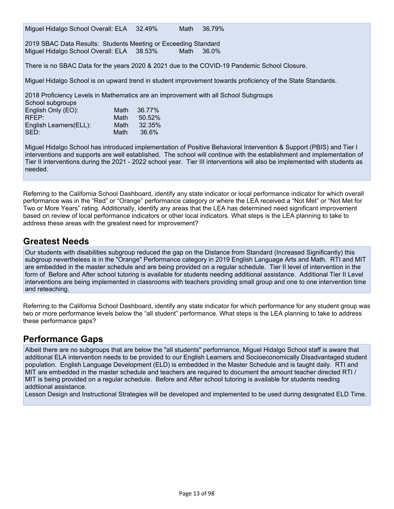Miguel Hidalgo School Overall: ELA 32.49% Math 36.79%

2019 SBAC Data Results: Students Meeting or Exceeding Standard Miguel Hidalgo School Overall: ELA 38.53% Math 36.0%

There is no SBAC Data for the years 2020 & 2021 due to the COVID-19 Pandemic School Closure.

Miguel Hidalgo School is on upward trend in student improvement towards proficiency of the State Standards.

2018 Proficiency Levels in Mathematics are an improvement with all School Subgroups School subgroups English Only (EO): Math 36.77% RFEP: Math 50.52% English Learners(ELL): Math 32.35% SED: Math 36.6%

Miguel Hidalgo School has introduced implementation of Positive Behavioral Intervention & Support (PBIS) and Tier I interventions and supports are well established. The school will continue with the establishment and implementation of Tier II interventions during the 2021 - 2022 school year. Tier III interventions will also be implemented with students as needed.

Referring to the California School Dashboard, identify any state indicator or local performance indicator for which overall performance was in the "Red" or "Orange" performance category or where the LEA received a "Not Met" or "Not Met for Two or More Years" rating. Additionally, identify any areas that the LEA has determined need significant improvement based on review of local performance indicators or other local indicators. What steps is the LEA planning to take to address these areas with the greatest need for improvement?

### **Greatest Needs**

Our students with disabilities subgroup reduced the gap on the Distance from Standard (Increased Significantly) this subgroup nevertheless is in the "Orange" Performance category in 2019 English Language Arts and Math. RTI and MIT are embedded in the master schedule and are being provided on a regular schedule. Tier II level of intervention in the form of Before and After school tutoring is available for students needing additional assistance. Additional Tier II Level interventions are being implemented in classrooms with teachers providing small group and one to one intervention time and reteaching.

Referring to the California School Dashboard, identify any state indicator for which performance for any student group was two or more performance levels below the "all student" performance. What steps is the LEA planning to take to address these performance gaps?

### **Performance Gaps**

Albeit there are no subgroups that are below the "all students" performance, Miguel Hidalgo School staff is aware that additional ELA intervention needs to be provided to our English Learners and Socioeconomically Disadvantaged student population. English Language Development (ELD) is embedded in the Master Schedule and is taught daily. RTI and MIT are embedded in the master schedule and teachers are required to document the amount teacher directed RTI / MIT is being provided on a regular schedule. Before and After school tutoring is available for students needing addtiional assistance.

Lesson Design and Instructional Strategies will be developed and implemented to be used during designated ELD Time.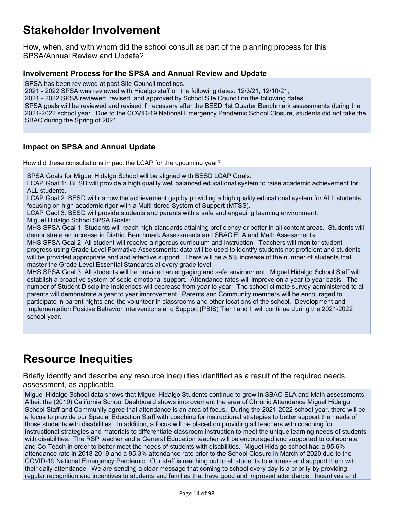## **Stakeholder Involvement**

How, when, and with whom did the school consult as part of the planning process for this SPSA/Annual Review and Update?

#### **Involvement Process for the SPSA and Annual Review and Update**

SPSA has been reviewed at past Site Council meetings.

2021 - 2022 SPSA was reviewed with Hidalgo staff on the following dates: 12/3/21; 12/10/21;

2021 - 2022 SPSA reviewed, revised, and approved by School Site Council on the following dates:

SPSA goals will be reviewed and revised if necessary after the BESD 1st Quarter Benchmark assessments during the 2021-2022 school year. Due to the COVID-19 National Emergency Pandemic School Closure, students did not take the SBAC during the Spring of 2021.

#### **Impact on SPSA and Annual Update**

How did these consultations impact the LCAP for the upcoming year?

SPSA Goals for Miguel Hidalgo School will be aligned with BESD LCAP Goals:

LCAP Goal 1: BESD will provide a high quality well balanced educational system to raise academic achievement for ALL students.

LCAP Goal 2: BESD will narrow the achievement gap by providing a high quality educational system for ALL students focusing on high academic rigor with a Multi-tiered System of Support (MTSS).

LCAP Gaol 3: BESD will provide students and parents with a safe and engaging learning environment.

Miguel Hidalgo School SPSA Goals:

MHS SPSA Goal 1: Students will reach high standards attaining proficiency or better in all content areas. Students will demonstrate an increase in District Benchmark Assessments and SBAC ELA and Math Assessments.

MHS SPSA Goal 2: All student will receive a rigorous curriculum and instruction. Teachers will monitor student progress using Grade Level Formative Assessments; data will be used to identify students not proficient and students will be provided appropriate and and effective support. There will be a 5% increase of the number of students that master the Grade Level Essential Standards at every grade level.

MHS SPSA Goal 3: All students will be provided an engaging and safe environment. Miguel Hidalgo School Staff will establish a proactive system of socio-emotional support. Attendance rates will improve on a year to year basis. The number of Student Discipline Incidences will decrease from year to year. The school climate survey administered to all parents will demonstrate a year to year improvement. Parents and Community members will be encouraged to participate in parent nights and the volunteer in classrooms and other locations of the school. Development and Implementation Positive Behavior Interventions and Support (PBIS) Tier I and II will continue during the 2021-2022 school year.

## **Resource Inequities**

Briefly identify and describe any resource inequities identified as a result of the required needs assessment, as applicable.

Miguel Hidalgo School data shows that Miguel Hidalgo Students continue to grow in SBAC ELA and Math assessments. Albeit the (2019) California School Dashboard shows improvement the area of Chronic Attendance Miguel Hidalgo School Staff and Community agree that attendance is an area of focus. During the 2021-2022 school year, there will be a focus to provide our Special Education Staff with coaching for instructional strategies to better support the needs of those students with disabilities. In addition, a focus will be placed on providing all teachers with coaching for instructional strategies and materials to differentiate classroom instruction to meet the unique learning needs of students with disabilities. The RSP teacher and a General Education teacher will be encouraged and supported to collaborate and Co-Teach in order to better meet the needs of students with disabilities. Miguel Hidalgo school had a 95.6% attendance rate in 2018-2019 and a 95.3% attendance rate prior to the School Closure in March of 2020 due to the COVID-19 National Emergency Pandemic. Our staff is reaching out to all students to address and support them with their daily attendance. We are sending a clear message that coming to school every day is a priority by providing regular recognition and incentives to students and families that have good and improved attendance. Incentives and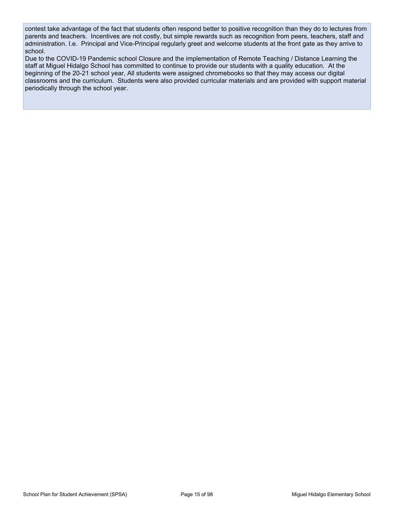contest take advantage of the fact that students often respond better to positive recognition than they do to lectures from parents and teachers. Incentives are not costly, but simple rewards such as recognition from peers, teachers, staff and administration. I.e. Principal and Vice-Principal regularly greet and welcome students at the front gate as they arrive to school.

Due to the COVID-19 Pandemic school Closure and the implementation of Remote Teaching / Distance Learning the staff at Miguel Hidalgo School has committed to continue to provide our students with a quality education. At the beginning of the 20-21 school year, All students were assigned chromebooks so that they may access our digital classrooms and the curriculum. Students were also provided curricular materials and are provided with support material periodically through the school year.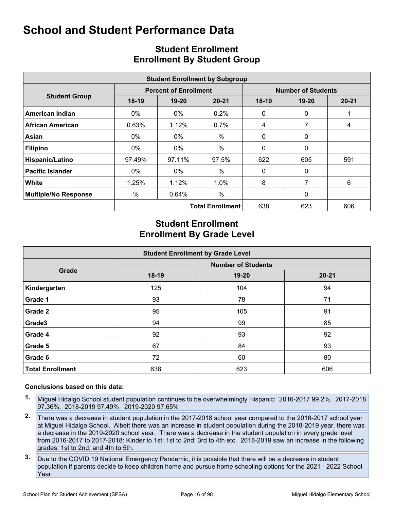| <b>Student Enrollment by Subgroup</b> |         |                              |                         |                           |           |           |  |  |  |  |  |
|---------------------------------------|---------|------------------------------|-------------------------|---------------------------|-----------|-----------|--|--|--|--|--|
|                                       |         | <b>Percent of Enrollment</b> |                         | <b>Number of Students</b> |           |           |  |  |  |  |  |
| <b>Student Group</b>                  | $18-19$ | 19-20                        | $20 - 21$               | $18-19$                   | $19 - 20$ | $20 - 21$ |  |  |  |  |  |
| American Indian                       | $0\%$   | 0%                           | 0.2%                    | $\mathbf{0}$              | 0         |           |  |  |  |  |  |
| African American                      | 0.63%   | 1.12%                        | $0.7\%$                 | 4                         |           | 4         |  |  |  |  |  |
| Asian                                 | 0%      | $0\%$                        | $\%$                    | 0                         | 0         |           |  |  |  |  |  |
| <b>Filipino</b>                       | 0%      | $0\%$                        | $\%$                    | $\mathbf 0$               | $\Omega$  |           |  |  |  |  |  |
| Hispanic/Latino                       | 97.49%  | 97.11%                       | 97.5%                   | 622                       | 605       | 591       |  |  |  |  |  |
| <b>Pacific Islander</b>               | 0%      | 0%                           | $\%$                    | 0                         | 0         |           |  |  |  |  |  |
| <b>White</b>                          | 1.25%   | 1.12%                        | 1.0%                    | 8                         |           | 6         |  |  |  |  |  |
| <b>Multiple/No Response</b>           | %       | 0.64%                        | $\%$                    |                           | $\Omega$  |           |  |  |  |  |  |
|                                       |         |                              | <b>Total Enrollment</b> | 638                       | 623       | 606       |  |  |  |  |  |

### **Student Enrollment Enrollment By Student Group**

### **Student Enrollment Enrollment By Grade Level**

| <b>Student Enrollment by Grade Level</b> |                           |       |           |  |  |  |  |  |  |  |
|------------------------------------------|---------------------------|-------|-----------|--|--|--|--|--|--|--|
|                                          | <b>Number of Students</b> |       |           |  |  |  |  |  |  |  |
| Grade                                    | $18-19$                   | 19-20 | $20 - 21$ |  |  |  |  |  |  |  |
| Kindergarten                             | 125                       | 104   | 94        |  |  |  |  |  |  |  |
| Grade 1                                  | 93                        | 78    | 71        |  |  |  |  |  |  |  |
| Grade 2                                  | 95                        | 105   | 91        |  |  |  |  |  |  |  |
| Grade3                                   | 94                        | 99    | 85        |  |  |  |  |  |  |  |
| Grade 4                                  | 92                        | 93    | 92        |  |  |  |  |  |  |  |
| Grade 5                                  | 67                        | 84    | 93        |  |  |  |  |  |  |  |
| Grade 6                                  | 72                        | 60    | 80        |  |  |  |  |  |  |  |
| <b>Total Enrollment</b>                  | 638                       | 623   | 606       |  |  |  |  |  |  |  |

#### **Conclusions based on this data:**

- **1.** Miguel Hidalgo School student population continues to be overwhelmingly Hispanic: 2016-2017 99.2%. 2017-2018 97.36%. 2018-2019 97.49% 2019-2020 97.65%
- **2.** There was a decrease in student population in the 2017-2018 school year compared to the 2016-2017 school year at Miguel Hidalgo School. Albeit there was an increase in student population during the 2018-2019 year, there was a decrease in the 2019-2020 school year. There was a decrease in the student population in every grade level from 2016-2017 to 2017-2018: Kinder to 1st; 1st to 2nd; 3rd to 4th etc. 2018-2019 saw an increase in the following grades: 1st to 2nd; and 4th to 5th.
- **3.** Due to the COVID 19 National Emergency Pandemic, it is possible that there will be a decrease in student population if parents decide to keep children home and pursue home schooling options for the 2021 - 2022 School Year.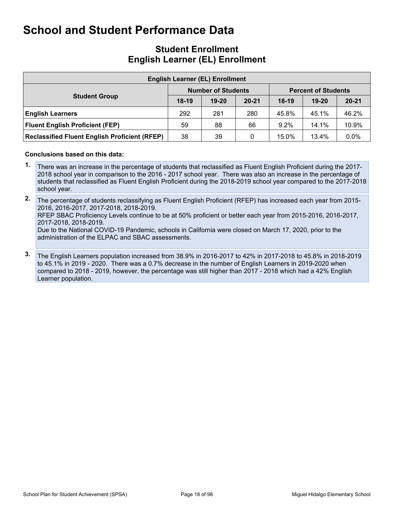### **Student Enrollment English Learner (EL) Enrollment**

| <b>English Learner (EL) Enrollment</b>               |         |                           |           |                            |           |           |  |  |  |  |
|------------------------------------------------------|---------|---------------------------|-----------|----------------------------|-----------|-----------|--|--|--|--|
|                                                      |         | <b>Number of Students</b> |           | <b>Percent of Students</b> |           |           |  |  |  |  |
| <b>Student Group</b>                                 | $18-19$ | $19 - 20$                 | $20 - 21$ | $18-19$                    | $19 - 20$ | $20 - 21$ |  |  |  |  |
| <b>English Learners</b>                              | 292     | 281                       | 280       | 45.8%                      | 45.1%     | 46.2%     |  |  |  |  |
| <b>Fluent English Proficient (FEP)</b>               | 59      | 88                        | 66        | $9.2\%$                    | 14.1%     | 10.9%     |  |  |  |  |
| <b>Reclassified Fluent English Proficient (RFEP)</b> | 38      | 39                        |           | 15.0%                      | 13.4%     | $0.0\%$   |  |  |  |  |

#### **Conclusions based on this data:**

**1.** There was an increase in the percentage of students that reclassified as Fluent English Proficient during the 2017- 2018 school year in comparison to the 2016 - 2017 school year. There was also an increase in the percentage of students that reclassified as Fluent English Proficient during the 2018-2019 school year compared to the 2017-2018 school year.

**2.** The percentage of students reclassifying as Fluent English Proficient (RFEP) has increased each year from 2015- 2016, 2016-2017, 2017-2018, 2018-2019. RFEP SBAC Proficiency Levels continue to be at 50% proficient or better each year from 2015-2016, 2016-2017, 2017-2018, 2018-2019. Due to the National COVID-19 Pandemic, schools in California were closed on March 17, 2020, prior to the administration of the ELPAC and SBAC assessments.

**3.** The English Learners population increased from 38.9% in 2016-2017 to 42% in 2017-2018 to 45.8% in 2018-2019 to 45.1% in 2019 - 2020. There was a 0.7% decrease in the number of English Learners in 2019-2020 when compared to 2018 - 2019, however, the percentage was still higher than 2017 - 2018 which had a 42% English Learner population.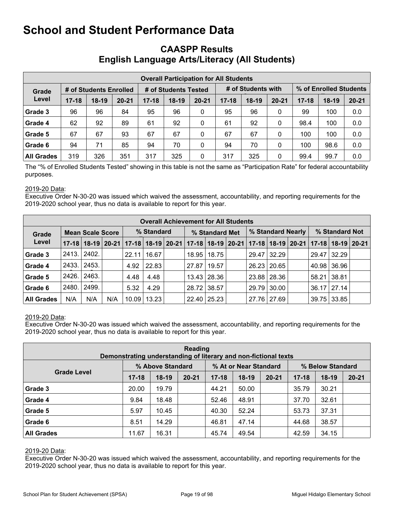### **CAASPP Results English Language Arts/Literacy (All Students)**

|                   | <b>Overall Participation for All Students</b> |                        |           |                      |         |           |                    |         |           |           |                        |           |  |
|-------------------|-----------------------------------------------|------------------------|-----------|----------------------|---------|-----------|--------------------|---------|-----------|-----------|------------------------|-----------|--|
| Grade             |                                               | # of Students Enrolled |           | # of Students Tested |         |           | # of Students with |         |           |           | % of Enrolled Students |           |  |
| Level             | $17 - 18$                                     | $18-19$                | $20 - 21$ | $17 - 18$            | $18-19$ | $20 - 21$ | $17 - 18$          | $18-19$ | $20 - 21$ | $17 - 18$ | $18-19$                | $20 - 21$ |  |
| Grade 3           | 96                                            | 96                     | 84        | 95                   | 96      | 0         | 95                 | 96      | 0         | 99        | 100                    | 0.0       |  |
| Grade 4           | 62                                            | 92                     | 89        | 61                   | 92      | 0         | 61                 | 92      | 0         | 98.4      | 100                    | 0.0       |  |
| Grade 5           | 67                                            | 67                     | 93        | 67                   | 67      | 0         | 67                 | 67      | 0         | 100       | 100                    | 0.0       |  |
| Grade 6           | 94                                            | 71                     | 85        | 94                   | 70      | 0         | 94                 | 70      | 0         | 100       | 98.6                   | 0.0       |  |
| <b>All Grades</b> | 319                                           | 326                    | 351       | 317                  | 325     | 0         | 317                | 325     | 0         | 99.4      | 99.7                   | 0.0       |  |

The "% of Enrolled Students Tested" showing in this table is not the same as "Participation Rate" for federal accountability purposes.

#### 2019-20 Data:

Executive Order N-30-20 was issued which waived the assessment, accountability, and reporting requirements for the 2019-2020 school year, thus no data is available to report for this year.

|                   | <b>Overall Achievement for All Students</b> |       |     |       |            |  |                |                    |  |                   |               |  |                |                                                                                           |  |
|-------------------|---------------------------------------------|-------|-----|-------|------------|--|----------------|--------------------|--|-------------------|---------------|--|----------------|-------------------------------------------------------------------------------------------|--|
| Grade<br>Level    | <b>Mean Scale Score</b>                     |       |     |       | % Standard |  | % Standard Met |                    |  | % Standard Nearly |               |  | % Standard Not |                                                                                           |  |
|                   |                                             |       |     |       |            |  |                |                    |  |                   |               |  |                | 17-18 18-19 20-21 17-18 18-19 20-21 17-18 18-19 20-21 17-18 18-19 20-21 17-18 18-19 20-21 |  |
| Grade 3           | 2413.                                       | 2402. |     | 22.11 | 16.67      |  |                | 18.95   18.75      |  |                   | 29.47 32.29   |  |                | 29.47 32.29                                                                               |  |
| Grade 4           | 2433.                                       | 2453. |     | 4.92  | 22.83      |  | 27.87          | 19.57              |  |                   | 26.23   20.65 |  | 40.98          | 36.96                                                                                     |  |
| Grade 5           | 2426.                                       | 2463. |     | 4.48  | 4.48       |  |                | $13.43 \mid 28.36$ |  |                   | 23.88   28.36 |  | 58.21          | 38.81                                                                                     |  |
| Grade 6           | 2480.                                       | 2499. |     | 5.32  | 4.29       |  |                | 28.72 38.57        |  |                   | 29.79 30.00   |  |                | $36.17 \mid 27.14$                                                                        |  |
| <b>All Grades</b> | N/A                                         | N/A   | N/A | 10.09 | 13.23      |  |                | $22.40$   25.23    |  |                   | 27.76 27.69   |  |                | $39.75$ 33.85                                                                             |  |

#### 2019-20 Data:

Executive Order N-30-20 was issued which waived the assessment, accountability, and reporting requirements for the 2019-2020 school year, thus no data is available to report for this year.

| <b>Reading</b><br>Demonstrating understanding of literary and non-fictional texts |           |                  |           |           |                       |           |           |                  |           |  |  |
|-----------------------------------------------------------------------------------|-----------|------------------|-----------|-----------|-----------------------|-----------|-----------|------------------|-----------|--|--|
|                                                                                   |           | % Above Standard |           |           | % At or Near Standard |           |           | % Below Standard |           |  |  |
| <b>Grade Level</b>                                                                | $17 - 18$ | $18-19$          | $20 - 21$ | $17 - 18$ | $18-19$               | $20 - 21$ | $17 - 18$ | $18-19$          | $20 - 21$ |  |  |
| Grade 3                                                                           | 20.00     | 19.79            |           | 44.21     | 50.00                 |           | 35.79     | 30.21            |           |  |  |
| Grade 4                                                                           | 9.84      | 18.48            |           | 52.46     | 48.91                 |           | 37.70     | 32.61            |           |  |  |
| Grade 5                                                                           | 5.97      | 10.45            |           | 40.30     | 52.24                 |           | 53.73     | 37.31            |           |  |  |
| Grade 6                                                                           | 8.51      | 14.29            |           | 46.81     | 47.14                 |           | 44.68     | 38.57            |           |  |  |
| <b>All Grades</b>                                                                 | 11.67     | 16.31            |           | 45.74     | 49.54                 |           | 42.59     | 34.15            |           |  |  |

#### 2019-20 Data: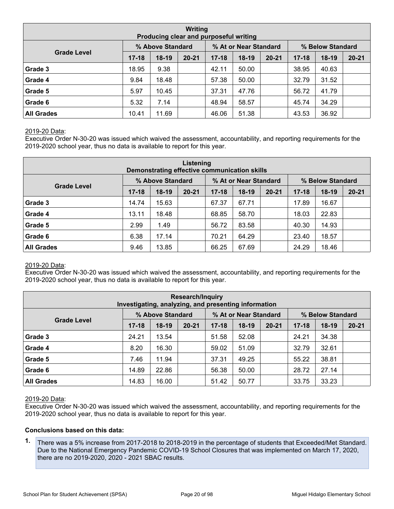|                                                                                     |           |         | Writing   | Producing clear and purposeful writing |         |           |           |         |           |  |  |  |  |
|-------------------------------------------------------------------------------------|-----------|---------|-----------|----------------------------------------|---------|-----------|-----------|---------|-----------|--|--|--|--|
| % Above Standard<br>% At or Near Standard<br>% Below Standard<br><b>Grade Level</b> |           |         |           |                                        |         |           |           |         |           |  |  |  |  |
|                                                                                     | $17 - 18$ | $18-19$ | $20 - 21$ | $17 - 18$                              | $18-19$ | $20 - 21$ | $17 - 18$ | $18-19$ | $20 - 21$ |  |  |  |  |
| Grade 3                                                                             | 18.95     | 9.38    |           | 42.11                                  | 50.00   |           | 38.95     | 40.63   |           |  |  |  |  |
| Grade 4                                                                             | 9.84      | 18.48   |           | 57.38                                  | 50.00   |           | 32.79     | 31.52   |           |  |  |  |  |
| Grade 5                                                                             | 5.97      | 10.45   |           | 37.31                                  | 47.76   |           | 56.72     | 41.79   |           |  |  |  |  |
| Grade 6                                                                             | 5.32      | 7.14    |           | 48.94                                  | 58.57   |           | 45.74     | 34.29   |           |  |  |  |  |
| <b>All Grades</b>                                                                   | 10.41     | 11.69   |           | 46.06                                  | 51.38   |           | 43.53     | 36.92   |           |  |  |  |  |

Executive Order N-30-20 was issued which waived the assessment, accountability, and reporting requirements for the 2019-2020 school year, thus no data is available to report for this year.

|                    |           |                  | Listening | Demonstrating effective communication skills |                       |           |           |                  |           |
|--------------------|-----------|------------------|-----------|----------------------------------------------|-----------------------|-----------|-----------|------------------|-----------|
|                    |           | % Above Standard |           |                                              | % At or Near Standard |           |           | % Below Standard |           |
| <b>Grade Level</b> | $17 - 18$ | $18-19$          | $20 - 21$ | $17 - 18$                                    | $18-19$               | $20 - 21$ | $17 - 18$ | $18-19$          | $20 - 21$ |
| Grade 3            | 14.74     | 15.63            |           | 67.37                                        | 67.71                 |           | 17.89     | 16.67            |           |
| Grade 4            | 13.11     | 18.48            |           | 68.85                                        | 58.70                 |           | 18.03     | 22.83            |           |
| Grade 5            | 2.99      | 1.49             |           | 56.72                                        | 83.58                 |           | 40.30     | 14.93            |           |
| Grade 6            | 6.38      | 17.14            |           | 70.21                                        | 64.29                 |           | 23.40     | 18.57            |           |
| <b>All Grades</b>  | 9.46      | 13.85            |           | 66.25                                        | 67.69                 |           | 24.29     | 18.46            |           |

#### 2019-20 Data:

Executive Order N-30-20 was issued which waived the assessment, accountability, and reporting requirements for the 2019-2020 school year, thus no data is available to report for this year.

|                    | Investigating, analyzing, and presenting information |                  | <b>Research/Inquiry</b> |           |                       |           |           |                  |           |
|--------------------|------------------------------------------------------|------------------|-------------------------|-----------|-----------------------|-----------|-----------|------------------|-----------|
|                    |                                                      | % Above Standard |                         |           | % At or Near Standard |           |           | % Below Standard |           |
| <b>Grade Level</b> | $17 - 18$                                            | $18-19$          | $20 - 21$               | $17 - 18$ | $18-19$               | $20 - 21$ | $17 - 18$ | $18-19$          | $20 - 21$ |
| Grade 3            | 24.21                                                | 13.54            |                         | 51.58     | 52.08                 |           | 24.21     | 34.38            |           |
| Grade 4            | 8.20                                                 | 16.30            |                         | 59.02     | 51.09                 |           | 32.79     | 32.61            |           |
| Grade 5            | 7.46                                                 | 11.94            |                         | 37.31     | 49.25                 |           | 55.22     | 38.81            |           |
| Grade 6            | 14.89                                                | 22.86            |                         | 56.38     | 50.00                 |           | 28.72     | 27.14            |           |
| <b>All Grades</b>  | 14.83                                                | 16.00            |                         | 51.42     | 50.77                 |           | 33.75     | 33.23            |           |

#### 2019-20 Data:

Executive Order N-30-20 was issued which waived the assessment, accountability, and reporting requirements for the 2019-2020 school year, thus no data is available to report for this year.

#### **Conclusions based on this data:**

**1.** There was a 5% increase from 2017-2018 to 2018-2019 in the percentage of students that Exceeded/Met Standard. Due to the National Emergency Pandemic COVID-19 School Closures that was implemented on March 17, 2020, there are no 2019-2020, 2020 - 2021 SBAC results.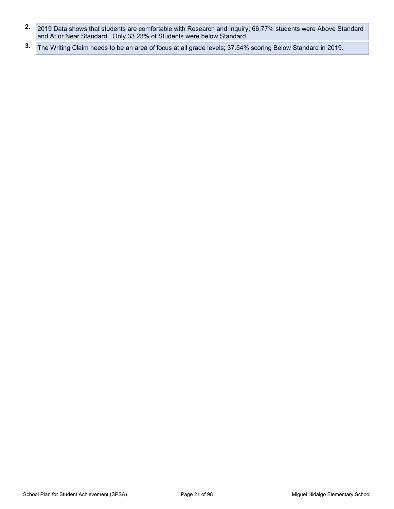- 2. 2019 Data shows that students are comfortable with Research and Inquiry; 66.77% students were Above Standard and At or Near Standard. Only 33.23% of Students were below Standard.
- **3.** The Writing Claim needs to be an area of focus at all grade levels; 37.54% scoring Below Standard in 2019.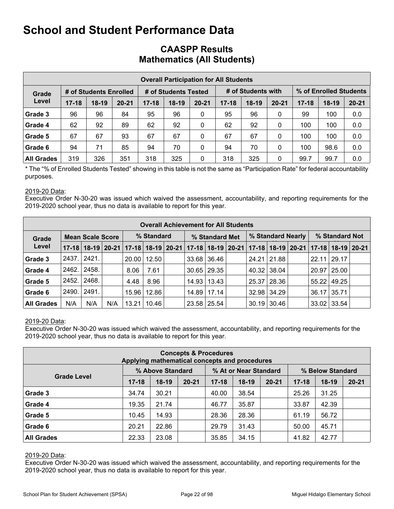### **CAASPP Results Mathematics (All Students)**

|                   | <b>Overall Participation for All Students</b> |                        |           |           |                      |           |           |                    |           |           |                        |           |  |  |  |
|-------------------|-----------------------------------------------|------------------------|-----------|-----------|----------------------|-----------|-----------|--------------------|-----------|-----------|------------------------|-----------|--|--|--|
| Grade             |                                               | # of Students Enrolled |           |           | # of Students Tested |           |           | # of Students with |           |           | % of Enrolled Students |           |  |  |  |
| Level             | $17 - 18$                                     | $18-19$                | $20 - 21$ | $17 - 18$ | $18-19$              | $20 - 21$ | $17 - 18$ | $18-19$            | $20 - 21$ | $17 - 18$ | $18-19$                | $20 - 21$ |  |  |  |
| Grade 3           | 96                                            | 96                     | 84        | 95        | 96                   | 0         | 95        | 96                 | 0         | 99        | 100                    | 0.0       |  |  |  |
| Grade 4           | 62                                            | 92                     | 89        | 62        | 92                   | 0         | 62        | 92                 | 0         | 100       | 100                    | 0.0       |  |  |  |
| Grade 5           | 67                                            | 67                     | 93        | 67        | 67                   | 0         | 67        | 67                 | 0         | 100       | 100                    | 0.0       |  |  |  |
| Grade 6           | 94                                            | 71                     | 85        | 94        | 70                   | 0         | 94        | 70                 | 0         | 100       | 98.6                   | 0.0       |  |  |  |
| <b>All Grades</b> | 319                                           | 326                    | 351       | 318       | 325                  | 0         | 318       | 325                | 0         | 99.7      | 99.7                   | 0.0       |  |  |  |

\* The "% of Enrolled Students Tested" showing in this table is not the same as "Participation Rate" for federal accountability purposes.

#### 2019-20 Data:

Executive Order N-30-20 was issued which waived the assessment, accountability, and reporting requirements for the 2019-2020 school year, thus no data is available to report for this year.

|                   | <b>Overall Achievement for All Students</b> |                         |                               |       |               |  |  |                 |  |       |                   |  |                                                          |                    |  |
|-------------------|---------------------------------------------|-------------------------|-------------------------------|-------|---------------|--|--|-----------------|--|-------|-------------------|--|----------------------------------------------------------|--------------------|--|
| Grade             |                                             | <b>Mean Scale Score</b> |                               |       | % Standard    |  |  | % Standard Met  |  |       | % Standard Nearly |  |                                                          | % Standard Not     |  |
| Level             | $17 - 18$                                   |                         | 18-19 20-21 17-18 18-19 20-21 |       |               |  |  |                 |  |       |                   |  | $ 17-18 18-19 20-21 17-18 18-19 20-21 17-18 18-19 20-21$ |                    |  |
| Grade 3           | 2437.                                       | 2421.                   |                               | 20.00 | 12.50         |  |  | 33.68 36.46     |  | 24.21 | 21.88             |  | 22.11                                                    | 29.17              |  |
| Grade 4           | 2462.                                       | 2458.                   |                               | 8.06  | 7.61          |  |  | $30.65$   29.35 |  |       | 40.32 38.04       |  | 20.97   25.00                                            |                    |  |
| Grade 5           | 2452.                                       | 2468.                   |                               | 4.48  | 8.96          |  |  | 14.93   13.43   |  | 25.37 | 28.36             |  | 55.22                                                    | 49.25              |  |
| Grade 6           | 2490.                                       | 2491.                   |                               |       | 15.96   12.86 |  |  | 14.89   17.14   |  |       | 32.98 34.29       |  |                                                          | $36.17 \mid 35.71$ |  |
| <b>All Grades</b> | N/A                                         | N/A                     | N/A                           | 13.21 | 10.46         |  |  | 23.58 25.54     |  | 30.19 | 30.46             |  | 33.02                                                    | 33.54              |  |

#### 2019-20 Data:

Executive Order N-30-20 was issued which waived the assessment, accountability, and reporting requirements for the 2019-2020 school year, thus no data is available to report for this year.

|                    |           |                  |           | <b>Concepts &amp; Procedures</b><br>Applying mathematical concepts and procedures |                       |           |           |                  |           |
|--------------------|-----------|------------------|-----------|-----------------------------------------------------------------------------------|-----------------------|-----------|-----------|------------------|-----------|
|                    |           | % Above Standard |           |                                                                                   | % At or Near Standard |           |           | % Below Standard |           |
| <b>Grade Level</b> | $17 - 18$ | $18-19$          | $20 - 21$ | $17 - 18$                                                                         | $18-19$               | $20 - 21$ | $17 - 18$ | $18-19$          | $20 - 21$ |
| Grade 3            | 34.74     | 30.21            |           | 40.00                                                                             | 38.54                 |           | 25.26     | 31.25            |           |
| Grade 4            | 19.35     | 21.74            |           | 46.77                                                                             | 35.87                 |           | 33.87     | 42.39            |           |
| Grade 5            | 10.45     | 14.93            |           | 28.36                                                                             | 28.36                 |           | 61.19     | 56.72            |           |
| Grade 6            | 20.21     | 22.86            |           | 29.79                                                                             | 31.43                 |           | 50.00     | 45.71            |           |
| <b>All Grades</b>  | 22.33     | 23.08            |           | 35.85                                                                             | 34.15                 |           | 41.82     | 42.77            |           |

#### 2019-20 Data: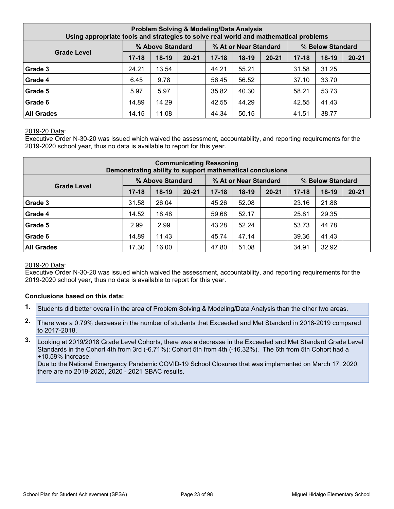| Using appropriate tools and strategies to solve real world and mathematical problems |           |                  |           | <b>Problem Solving &amp; Modeling/Data Analysis</b> |                       |           |           |                  |           |
|--------------------------------------------------------------------------------------|-----------|------------------|-----------|-----------------------------------------------------|-----------------------|-----------|-----------|------------------|-----------|
|                                                                                      |           | % Above Standard |           |                                                     | % At or Near Standard |           |           | % Below Standard |           |
| <b>Grade Level</b>                                                                   | $17 - 18$ | $18-19$          | $20 - 21$ | $17 - 18$                                           | $18-19$               | $20 - 21$ | $17 - 18$ | $18-19$          | $20 - 21$ |
| Grade 3                                                                              | 24.21     | 13.54            |           | 44.21                                               | 55.21                 |           | 31.58     | 31.25            |           |
| Grade 4                                                                              | 6.45      | 9.78             |           | 56.45                                               | 56.52                 |           | 37.10     | 33.70            |           |
| Grade 5                                                                              | 5.97      | 5.97             |           | 35.82                                               | 40.30                 |           | 58.21     | 53.73            |           |
| Grade 6                                                                              | 14.89     | 14.29            |           | 42.55                                               | 44.29                 |           | 42.55     | 41.43            |           |
| <b>All Grades</b>                                                                    | 14.15     | 11.08            |           | 44.34                                               | 50.15                 |           | 41.51     | 38.77            |           |

Executive Order N-30-20 was issued which waived the assessment, accountability, and reporting requirements for the 2019-2020 school year, thus no data is available to report for this year.

|                    |           |                  |           | <b>Communicating Reasoning</b><br>Demonstrating ability to support mathematical conclusions |                       |           |           |                  |           |
|--------------------|-----------|------------------|-----------|---------------------------------------------------------------------------------------------|-----------------------|-----------|-----------|------------------|-----------|
|                    |           | % Above Standard |           |                                                                                             | % At or Near Standard |           |           | % Below Standard |           |
| <b>Grade Level</b> | $17 - 18$ | $18-19$          | $20 - 21$ | $17 - 18$                                                                                   | $18-19$               | $20 - 21$ | $17 - 18$ | $18-19$          | $20 - 21$ |
| Grade 3            | 31.58     | 26.04            |           | 45.26                                                                                       | 52.08                 |           | 23.16     | 21.88            |           |
| Grade 4            | 14.52     | 18.48            |           | 59.68                                                                                       | 52.17                 |           | 25.81     | 29.35            |           |
| Grade 5            | 2.99      | 2.99             |           | 43.28                                                                                       | 52.24                 |           | 53.73     | 44.78            |           |
| Grade 6            | 14.89     | 11.43            |           | 45.74                                                                                       | 47.14                 |           | 39.36     | 41.43            |           |
| <b>All Grades</b>  | 17.30     | 16.00            |           | 47.80                                                                                       | 51.08                 |           | 34.91     | 32.92            |           |

#### 2019-20 Data:

Executive Order N-30-20 was issued which waived the assessment, accountability, and reporting requirements for the 2019-2020 school year, thus no data is available to report for this year.

#### **Conclusions based on this data:**

- **1.** Students did better overall in the area of Problem Solving & Modeling/Data Analysis than the other two areas.
- **2.** There was a 0.79% decrease in the number of students that Exceeded and Met Standard in 2018-2019 compared to 2017-2018.
- **3.** Looking at 2019/2018 Grade Level Cohorts, there was a decrease in the Exceeded and Met Standard Grade Level Standards in the Cohort 4th from 3rd (-6.71%); Cohort 5th from 4th (-16.32%). The 6th from 5th Cohort had a +10.59% increase. Due to the National Emergency Pandemic COVID-19 School Closures that was implemented on March 17, 2020, there are no 2019-2020, 2020 - 2021 SBAC results.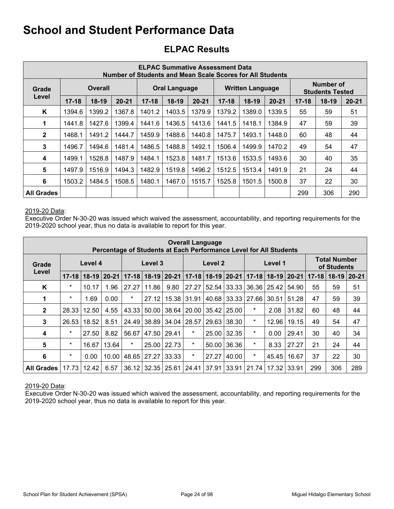## **ELPAC Results**

|                   |           |         |           | <b>Number of Students and Mean Scale Scores for All Students</b> |                      |           | <b>ELPAC Summative Assessment Data</b> |                         |           |           |                                            |           |
|-------------------|-----------|---------|-----------|------------------------------------------------------------------|----------------------|-----------|----------------------------------------|-------------------------|-----------|-----------|--------------------------------------------|-----------|
| Grade             |           | Overall |           |                                                                  | <b>Oral Language</b> |           |                                        | <b>Written Language</b> |           |           | <b>Number of</b><br><b>Students Tested</b> |           |
| Level             | $17 - 18$ | $18-19$ | $20 - 21$ | $17 - 18$                                                        | 18-19                | $20 - 21$ | $17 - 18$                              | $18-19$                 | $20 - 21$ | $17 - 18$ | $18-19$                                    | $20 - 21$ |
| K                 | 1394.6    | 1399.2  | 1367.8    | 1401.2                                                           | 1403.5               | 1379.9    | 1379.2                                 | 1389.0                  | 1339.5    | 55        | 59                                         | 51        |
| 1                 | 1441.8    | 1427.6  | 1399.4    | 1441.6                                                           | 1436.5               | 1413.6    | 1441.5                                 | 1418.1                  | 1384.9    | 47        | 59                                         | 39        |
| $\overline{2}$    | 1468.1    | 1491.2  | 1444.7    | 1459.9                                                           | 1488.6               | 1440.8    | 1475.7                                 | 1493.1                  | 1448.0    | 60        | 48                                         | 44        |
| 3                 | 1496.7    | 1494.6  | 1481.4    | 1486.5                                                           | 1488.8               | 1492.1    | 1506.4                                 | 1499.9                  | 1470.2    | 49        | 54                                         | 47        |
| 4                 | 1499.1    | 1528.8  | 1487.9    | 1484.1                                                           | 1523.8               | 1481.7    | 1513.6                                 | 1533.5                  | 1493.6    | 30        | 40                                         | 35        |
| 5                 | 1497.9    | 1516.9  | 1494.3    | 1482.9                                                           | 1519.8               | 1496.2    | 1512.5                                 | 1513.4                  | 1491.9    | 21        | 24                                         | 44        |
| 6                 | 1503.2    | 1484.5  | 1508.5    | 1480.1                                                           | 1467.0               | 1515.7    | 1525.8                                 | 1501.5                  | 1500.8    | 37        | 22                                         | 30        |
| <b>All Grades</b> |           |         |           |                                                                  |                      |           |                                        |                         |           | 299       | 306                                        | 290       |

#### 2019-20 Data:

Executive Order N-30-20 was issued which waived the assessment, accountability, and reporting requirements for the 2019-2020 school year, thus no data is available to report for this year.

|                   |           |         | Percentage of Students at Each Performance Level for All Students |             |                 |       | <b>Overall Language</b> |                     |       |                   |         |                   |           |                                    |           |
|-------------------|-----------|---------|-------------------------------------------------------------------|-------------|-----------------|-------|-------------------------|---------------------|-------|-------------------|---------|-------------------|-----------|------------------------------------|-----------|
| Grade             |           | Level 4 |                                                                   |             | Level 3         |       |                         | Level 2             |       |                   | Level 1 |                   |           | <b>Total Number</b><br>of Students |           |
| Level             | $17 - 18$ |         | 18-19 20-21                                                       | $17 - 18$   | $18 - 19$       | 20-21 |                         | $17-18$ 18-19 20-21 |       |                   |         | 17-18 18-19 20-21 | $17 - 18$ | $18-19$                            | $20 - 21$ |
| K                 | $\star$   | 10.17   | 1.96                                                              | 27.27       | 11.86           | 9.80  | 27.27                   | 52.54               |       | 33.33 36.36 25.42 |         | 54.90             | 55        | 59                                 | 51        |
| 1                 | $\star$   | 1.69    | 0.00                                                              | $\star$     | 27.12           | 15.38 | 31.91                   | 40.68               | 33.33 | 27.66             | 30.51   | 51.28             | 47        | 59                                 | 39        |
| $\overline{2}$    | 28.33     | 12.50   | 4.55                                                              | 43.33       | 50.00           |       | 38.64 20.00             | 35.42               | 25.00 | $\ast$            | 2.08    | 31.82             | 60        | 48                                 | 44        |
| 3                 | 26.53     | 18.52   | 8.51                                                              | 24.49       | 38.89           | 34.04 | 28.57                   | 29.63               | 38.30 | $\star$           | 12.96   | 19.15             | 49        | 54                                 | 47        |
| 4                 | $\star$   | 27.50   | 8.82                                                              | 56.67       | 47.50           | 29.41 | $\star$                 | 25.00               | 32.35 | $\star$           | 0.00    | 29.41             | 30        | 40                                 | 34        |
| 5                 | $\star$   | 16.67   | 13.64                                                             | $\star$     | 25.00           | 22.73 | $\star$                 | 50.00               | 36.36 | $\star$           | 8.33    | 27.27             | 21        | 24                                 | 44        |
| 6                 | $\star$   | 0.00    | 10.00                                                             | 48.65 27.27 |                 | 33.33 | $\star$                 | 27.27               | 40.00 | $\ast$            | 45.45   | 16.67             | 37        | 22                                 | 30        |
| <b>All Grades</b> | 17.73     | 12.42   | 6.57                                                              |             | $36.12$   32.35 | 25.61 | 24.41                   | 37.91               | 33.91 | 21.74             | 17.32   | 33.91             | 299       | 306                                | 289       |

#### 2019-20 Data: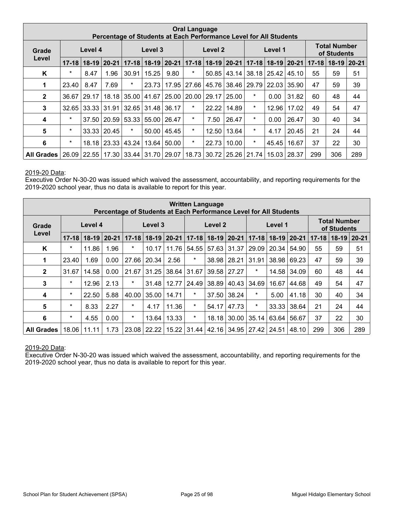|                   |           |         |                 |                         |         |           | <b>Oral Language</b><br>Percentage of Students at Each Performance Level for All Students |         |       |           |                 |       |           |                                    |           |
|-------------------|-----------|---------|-----------------|-------------------------|---------|-----------|-------------------------------------------------------------------------------------------|---------|-------|-----------|-----------------|-------|-----------|------------------------------------|-----------|
| Grade             |           | Level 4 |                 |                         | Level 3 |           |                                                                                           | Level 2 |       |           | Level 1         |       |           | <b>Total Number</b><br>of Students |           |
| Level             | $17 - 18$ |         | $18-19$   20-21 | $17 - 18$               | $18-19$ | $20 - 21$ | $17 - 18$                                                                                 | $18-19$ | 20-21 | $17 - 18$ | $18-19$   20-21 |       | $17 - 18$ | $18-19$                            | $ 20-21 $ |
| K                 | $\star$   | 8.47    | 1.96            | 30.91                   | 15.25   | 9.80      | $\star$                                                                                   | 50.85   | 43.14 | 38.18     | 25.42           | 45.10 | 55        | 59                                 | 51        |
| 1                 | 23.40     | 8.47    | 7.69            | $\ast$                  | 23.73   | 17.95     | 27.66                                                                                     | 45.76   | 38.46 | 29.79     | 22.03           | 35.90 | 47        | 59                                 | 39        |
| $\mathbf{2}$      | 36.67     | 29.17   | 18.18           | 35.00                   | 41.67   | 25.00     | 20.00                                                                                     | 29.17   | 25.00 | $\ast$    | 0.00            | 31.82 | 60        | 48                                 | 44        |
| 3                 | 32.65     | 33.33   | 31.91           | 32.65                   | 31.48   | 36.17     | $\star$                                                                                   | 22.22   | 14.89 | $\star$   | 12.96           | 17.02 | 49        | 54                                 | 47        |
| 4                 | $\star$   | 37.50   | 20.59           | 53.33                   | 55.00   | 26.47     | $\star$                                                                                   | 7.50    | 26.47 | $\ast$    | 0.00            | 26.47 | 30        | 40                                 | 34        |
| $5\phantom{1}$    | $\star$   | 33.33   | 20.45           | $\star$                 | 50.00   | 45.45     | $\star$                                                                                   | 12.50   | 13.64 | $\star$   | 4.17            | 20.45 | 21        | 24                                 | 44        |
| 6                 | $\star$   | 18.18   | 23.33           | 43.24                   | 13.64   | 50.00     | $\star$                                                                                   | 22.73   | 10.00 | $\star$   | 45.45           | 16.67 | 37        | 22                                 | 30        |
| <b>All Grades</b> | 26.09     | 22.55   |                 | 17.30 33.44 31.70 29.07 |         |           | 18.73                                                                                     | 30.72   | 25.26 | 21.74     | 15.03           | 28.37 | 299       | 306                                | 289       |

Executive Order N-30-20 was issued which waived the assessment, accountability, and reporting requirements for the 2019-2020 school year, thus no data is available to report for this year.

|                         |           |         |             | Percentage of Students at Each Performance Level for All Students |                |           | <b>Written Language</b> |               |       |         |                     |       |           |                                    |           |
|-------------------------|-----------|---------|-------------|-------------------------------------------------------------------|----------------|-----------|-------------------------|---------------|-------|---------|---------------------|-------|-----------|------------------------------------|-----------|
| Grade                   |           | Level 4 |             |                                                                   | <b>Level 3</b> |           |                         | Level 2       |       |         | Level 1             |       |           | <b>Total Number</b><br>of Students |           |
| Level                   | $17 - 18$ |         | 18-19 20-21 | $17 - 18$                                                         | $18-19$        | $20 - 21$ | $17 - 18$               | $18-19$ 20-21 |       |         | $17-18$ 18-19 20-21 |       | $17 - 18$ | $18-19$                            | $20 - 21$ |
| Κ                       | $\star$   | 11.86   | 1.96        | $\star$                                                           | 10.17          | 11.76     | 54.55                   | 57.63         | 31.37 | 29.09   | 20.34               | 54.90 | 55        | 59                                 | 51        |
| 1                       | 23.40     | 1.69    | 0.00        | 27.66                                                             | 20.34          | 2.56      | $\star$                 | 38.98         | 28.21 | 31.91   | 38.98               | 69.23 | 47        | 59                                 | 39        |
| $\mathbf{2}$            | 31.67     | 14.58   | 0.00        | 21.67                                                             | 31.25          | 38.64     | 31.67                   | 39.58         | 27.27 | $\ast$  | 14.58               | 34.09 | 60        | 48                                 | 44        |
| 3                       | $\star$   | 12.96   | 2.13        | $\star$                                                           | 31.48          | 12.77     | 24.49                   | 38.89         | 40.43 | 34.69   | 16.67               | 44.68 | 49        | 54                                 | 47        |
| $\overline{\mathbf{4}}$ | $\star$   | 22.50   | 5.88        | 40.00                                                             | 35.00          | 14.71     | $\star$                 | 37.50         | 38.24 | $\star$ | 5.00                | 41.18 | 30        | 40                                 | 34        |
| 5                       | $\star$   | 8.33    | 2.27        | $\ast$                                                            | 4.17           | 11.36     | $\star$                 | 54.17         | 47.73 | $\star$ | 33.33               | 38.64 | 21        | 24                                 | 44        |
| $6\phantom{1}$          | *         | 4.55    | 0.00        | $\star$                                                           | 13.64          | 13.33     | $\star$                 | 18.18         | 30.00 | 35.14   | 63.64               | 56.67 | 37        | 22                                 | 30        |
| <b>All Grades</b>       | 18.06     | 11.11   | 1.73        | 23.08                                                             | 22.22          | 15.22     | 31.44                   | 42.16         | 34.95 | 27.42   | 24.51               | 48.10 | 299       | 306                                | 289       |

#### 2019-20 Data: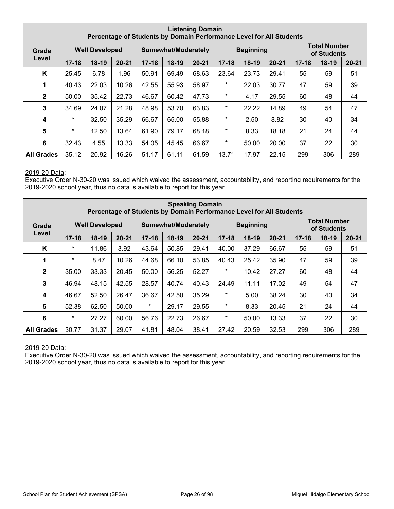| <b>Listening Domain</b><br>Percentage of Students by Domain Performance Level for All Students |                       |         |           |                     |       |           |                  |         |           |                                    |         |           |
|------------------------------------------------------------------------------------------------|-----------------------|---------|-----------|---------------------|-------|-----------|------------------|---------|-----------|------------------------------------|---------|-----------|
| Grade                                                                                          | <b>Well Developed</b> |         |           | Somewhat/Moderately |       |           | <b>Beginning</b> |         |           | <b>Total Number</b><br>of Students |         |           |
| Level                                                                                          | $17 - 18$             | $18-19$ | $20 - 21$ | $17 - 18$           | 18-19 | $20 - 21$ | $17 - 18$        | $18-19$ | $20 - 21$ | $17 - 18$                          | $18-19$ | $20 - 21$ |
| K                                                                                              | 25.45                 | 6.78    | 1.96      | 50.91               | 69.49 | 68.63     | 23.64            | 23.73   | 29.41     | 55                                 | 59      | 51        |
| 1                                                                                              | 40.43                 | 22.03   | 10.26     | 42.55               | 55.93 | 58.97     | $\ast$           | 22.03   | 30.77     | 47                                 | 59      | 39        |
| $\mathbf{2}$                                                                                   | 50.00                 | 35.42   | 22.73     | 46.67               | 60.42 | 47.73     | $^\star$         | 4.17    | 29.55     | 60                                 | 48      | 44        |
| 3                                                                                              | 34.69                 | 24.07   | 21.28     | 48.98               | 53.70 | 63.83     | $\star$          | 22.22   | 14.89     | 49                                 | 54      | 47        |
| 4                                                                                              | $\star$               | 32.50   | 35.29     | 66.67               | 65.00 | 55.88     | $\ast$           | 2.50    | 8.82      | 30                                 | 40      | 34        |
| 5                                                                                              | $\star$               | 12.50   | 13.64     | 61.90               | 79.17 | 68.18     | $^\star$         | 8.33    | 18.18     | 21                                 | 24      | 44        |
| 6                                                                                              | 32.43                 | 4.55    | 13.33     | 54.05               | 45.45 | 66.67     | $^\star$         | 50.00   | 20.00     | 37                                 | 22      | 30        |
| <b>All Grades</b>                                                                              | 35.12                 | 20.92   | 16.26     | 51.17               | 61.11 | 61.59     | 13.71            | 17.97   | 22.15     | 299                                | 306     | 289       |

Executive Order N-30-20 was issued which waived the assessment, accountability, and reporting requirements for the 2019-2020 school year, thus no data is available to report for this year.

| <b>Speaking Domain</b><br>Percentage of Students by Domain Performance Level for All Students |           |                       |           |                     |       |                  |           |         |                                    |           |       |           |
|-----------------------------------------------------------------------------------------------|-----------|-----------------------|-----------|---------------------|-------|------------------|-----------|---------|------------------------------------|-----------|-------|-----------|
| Grade                                                                                         |           | <b>Well Developed</b> |           | Somewhat/Moderately |       | <b>Beginning</b> |           |         | <b>Total Number</b><br>of Students |           |       |           |
| Level                                                                                         | $17 - 18$ | $18-19$               | $20 - 21$ | $17 - 18$           | 18-19 | $20 - 21$        | $17 - 18$ | $18-19$ | $20 - 21$                          | $17 - 18$ | 18-19 | $20 - 21$ |
| K                                                                                             | $\star$   | 11.86                 | 3.92      | 43.64               | 50.85 | 29.41            | 40.00     | 37.29   | 66.67                              | 55        | 59    | 51        |
| 1                                                                                             | $\star$   | 8.47                  | 10.26     | 44.68               | 66.10 | 53.85            | 40.43     | 25.42   | 35.90                              | 47        | 59    | 39        |
| $\mathbf{2}$                                                                                  | 35.00     | 33.33                 | 20.45     | 50.00               | 56.25 | 52.27            | $\star$   | 10.42   | 27.27                              | 60        | 48    | 44        |
| 3                                                                                             | 46.94     | 48.15                 | 42.55     | 28.57               | 40.74 | 40.43            | 24.49     | 11.11   | 17.02                              | 49        | 54    | 47        |
| $\boldsymbol{4}$                                                                              | 46.67     | 52.50                 | 26.47     | 36.67               | 42.50 | 35.29            | $\ast$    | 5.00    | 38.24                              | 30        | 40    | 34        |
| 5                                                                                             | 52.38     | 62.50                 | 50.00     | $\star$             | 29.17 | 29.55            | $\star$   | 8.33    | 20.45                              | 21        | 24    | 44        |
| 6                                                                                             | $\star$   | 27.27                 | 60.00     | 56.76               | 22.73 | 26.67            | $^\star$  | 50.00   | 13.33                              | 37        | 22    | 30        |
| <b>All Grades</b>                                                                             | 30.77     | 31.37                 | 29.07     | 41.81               | 48.04 | 38.41            | 27.42     | 20.59   | 32.53                              | 299       | 306   | 289       |

#### 2019-20 Data: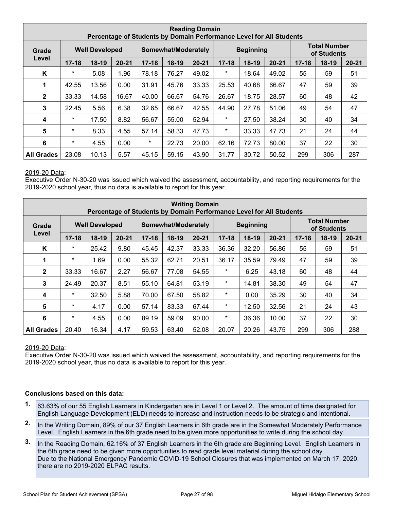| <b>Reading Domain</b><br>Percentage of Students by Domain Performance Level for All Students |                       |         |                     |           |                  |           |           |                                    |           |           |         |           |
|----------------------------------------------------------------------------------------------|-----------------------|---------|---------------------|-----------|------------------|-----------|-----------|------------------------------------|-----------|-----------|---------|-----------|
| Grade                                                                                        | <b>Well Developed</b> |         | Somewhat/Moderately |           | <b>Beginning</b> |           |           | <b>Total Number</b><br>of Students |           |           |         |           |
| Level                                                                                        | $17 - 18$             | $18-19$ | $20 - 21$           | $17 - 18$ | $18-19$          | $20 - 21$ | $17 - 18$ | $18-19$                            | $20 - 21$ | $17 - 18$ | $18-19$ | $20 - 21$ |
| K                                                                                            | $\star$               | 5.08    | 1.96                | 78.18     | 76.27            | 49.02     | $\ast$    | 18.64                              | 49.02     | 55        | 59      | 51        |
| 1                                                                                            | 42.55                 | 13.56   | 0.00                | 31.91     | 45.76            | 33.33     | 25.53     | 40.68                              | 66.67     | 47        | 59      | 39        |
| $\mathbf{2}$                                                                                 | 33.33                 | 14.58   | 16.67               | 40.00     | 66.67            | 54.76     | 26.67     | 18.75                              | 28.57     | 60        | 48      | 42        |
| 3                                                                                            | 22.45                 | 5.56    | 6.38                | 32.65     | 66.67            | 42.55     | 44.90     | 27.78                              | 51.06     | 49        | 54      | 47        |
| 4                                                                                            | $\star$               | 17.50   | 8.82                | 56.67     | 55.00            | 52.94     | $\star$   | 27.50                              | 38.24     | 30        | 40      | 34        |
| 5                                                                                            | $\star$               | 8.33    | 4.55                | 57.14     | 58.33            | 47.73     | $\ast$    | 33.33                              | 47.73     | 21        | 24      | 44        |
| 6                                                                                            | $\star$               | 4.55    | 0.00                | $\star$   | 22.73            | 20.00     | 62.16     | 72.73                              | 80.00     | 37        | 22      | 30        |
| <b>All Grades</b>                                                                            | 23.08                 | 10.13   | 5.57                | 45.15     | 59.15            | 43.90     | 31.77     | 30.72                              | 50.52     | 299       | 306     | 287       |

Executive Order N-30-20 was issued which waived the assessment, accountability, and reporting requirements for the 2019-2020 school year, thus no data is available to report for this year.

| <b>Writing Domain</b><br>Percentage of Students by Domain Performance Level for All Students |                       |         |                     |           |       |                  |           |         |                                    |           |         |           |
|----------------------------------------------------------------------------------------------|-----------------------|---------|---------------------|-----------|-------|------------------|-----------|---------|------------------------------------|-----------|---------|-----------|
| Grade                                                                                        | <b>Well Developed</b> |         | Somewhat/Moderately |           |       | <b>Beginning</b> |           |         | <b>Total Number</b><br>of Students |           |         |           |
| Level                                                                                        | $17 - 18$             | $18-19$ | $20 - 21$           | $17 - 18$ | 18-19 | $20 - 21$        | $17 - 18$ | $18-19$ | $20 - 21$                          | $17 - 18$ | $18-19$ | $20 - 21$ |
| K                                                                                            | $\star$               | 25.42   | 9.80                | 45.45     | 42.37 | 33.33            | 36.36     | 32.20   | 56.86                              | 55        | 59      | 51        |
| 1                                                                                            | $\star$               | 1.69    | 0.00                | 55.32     | 62.71 | 20.51            | 36.17     | 35.59   | 79.49                              | 47        | 59      | 39        |
| $\mathbf{2}$                                                                                 | 33.33                 | 16.67   | 2.27                | 56.67     | 77.08 | 54.55            | $\star$   | 6.25    | 43.18                              | 60        | 48      | 44        |
| 3                                                                                            | 24.49                 | 20.37   | 8.51                | 55.10     | 64.81 | 53.19            | $\star$   | 14.81   | 38.30                              | 49        | 54      | 47        |
| 4                                                                                            | $\star$               | 32.50   | 5.88                | 70.00     | 67.50 | 58.82            | *         | 0.00    | 35.29                              | 30        | 40      | 34        |
| $5\phantom{1}$                                                                               | $\star$               | 4.17    | 0.00                | 57.14     | 83.33 | 67.44            | $\star$   | 12.50   | 32.56                              | 21        | 24      | 43        |
| $6\phantom{1}$                                                                               | $\ast$                | 4.55    | 0.00                | 89.19     | 59.09 | 90.00            | $\star$   | 36.36   | 10.00                              | 37        | 22      | 30        |
| <b>All Grades</b>                                                                            | 20.40                 | 16.34   | 4.17                | 59.53     | 63.40 | 52.08            | 20.07     | 20.26   | 43.75                              | 299       | 306     | 288       |

#### 2019-20 Data:

Executive Order N-30-20 was issued which waived the assessment, accountability, and reporting requirements for the 2019-2020 school year, thus no data is available to report for this year.

#### **Conclusions based on this data:**

- **1.** 63.63% of our 55 English Learners in Kindergarten are in Level 1 or Level 2. The amount of time designated for English Language Development (ELD) needs to increase and instruction needs to be strategic and intentional.
- **2.** In the Writing Domain, 89% of our 37 English Learners in 6th grade are in the Somewhat Moderately Performance Level. English Learners in the 6th grade need to be given more opportunities to write during the school day.
- **3.** In the Reading Domain, 62.16% of 37 English Learners in the 6th grade are Beginning Level. English Learners in the 6th grade need to be given more opportunities to read grade level material during the school day. Due to the National Emergency Pandemic COVID-19 School Closures that was implemented on March 17, 2020, there are no 2019-2020 ELPAC results.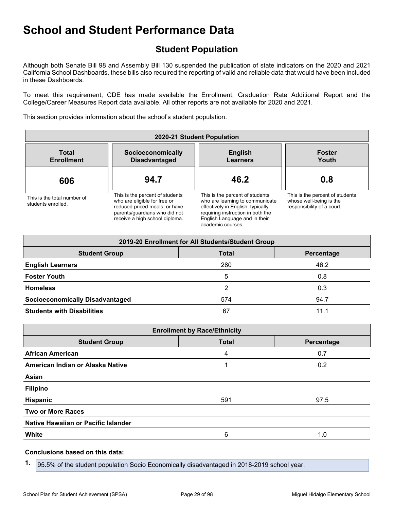## **Student Population**

Although both Senate Bill 98 and Assembly Bill 130 suspended the publication of state indicators on the 2020 and 2021 California School Dashboards, these bills also required the reporting of valid and reliable data that would have been included in these Dashboards.

To meet this requirement, CDE has made available the Enrollment, Graduation Rate Additional Report and the College/Career Measures Report data available. All other reports are not available for 2020 and 2021.

This section provides information about the school's student population.

| 2020-21 Student Population                        |                                                                                                                                                                     |                                                                                                                                                                                                    |                                                                                          |  |  |  |
|---------------------------------------------------|---------------------------------------------------------------------------------------------------------------------------------------------------------------------|----------------------------------------------------------------------------------------------------------------------------------------------------------------------------------------------------|------------------------------------------------------------------------------------------|--|--|--|
| <b>Total</b><br><b>Enrollment</b>                 | Socioeconomically<br><b>Disadvantaged</b>                                                                                                                           | <b>English</b><br><b>Learners</b>                                                                                                                                                                  | <b>Foster</b><br>Youth                                                                   |  |  |  |
| 606                                               | 94.7                                                                                                                                                                | 46.2                                                                                                                                                                                               | 0.8                                                                                      |  |  |  |
| This is the total number of<br>students enrolled. | This is the percent of students<br>who are eligible for free or<br>reduced priced meals; or have<br>parents/guardians who did not<br>receive a high school diploma. | This is the percent of students<br>who are learning to communicate<br>effectively in English, typically<br>requiring instruction in both the<br>English Language and in their<br>academic courses. | This is the percent of students<br>whose well-being is the<br>responsibility of a court. |  |  |  |

| 2019-20 Enrollment for All Students/Student Group |              |            |  |  |  |  |
|---------------------------------------------------|--------------|------------|--|--|--|--|
| <b>Student Group</b>                              | <b>Total</b> | Percentage |  |  |  |  |
| <b>English Learners</b>                           | 280          | 46.2       |  |  |  |  |
| <b>Foster Youth</b>                               | 5            | 0.8        |  |  |  |  |
| <b>Homeless</b>                                   | 2            | 0.3        |  |  |  |  |
| <b>Socioeconomically Disadvantaged</b>            | 574          | 94.7       |  |  |  |  |
| <b>Students with Disabilities</b>                 | 67           | 11.1       |  |  |  |  |

| <b>Enrollment by Race/Ethnicity</b> |              |            |  |  |  |  |
|-------------------------------------|--------------|------------|--|--|--|--|
| <b>Student Group</b>                | <b>Total</b> | Percentage |  |  |  |  |
| <b>African American</b>             | 4            | 0.7        |  |  |  |  |
| American Indian or Alaska Native    |              | 0.2        |  |  |  |  |
| Asian                               |              |            |  |  |  |  |
| <b>Filipino</b>                     |              |            |  |  |  |  |
| Hispanic                            | 591          | 97.5       |  |  |  |  |
| <b>Two or More Races</b>            |              |            |  |  |  |  |
| Native Hawaiian or Pacific Islander |              |            |  |  |  |  |
| White                               | 6            | 1.0        |  |  |  |  |

#### **Conclusions based on this data:**

**1.** 95.5% of the student population Socio Economically disadvantaged in 2018-2019 school year.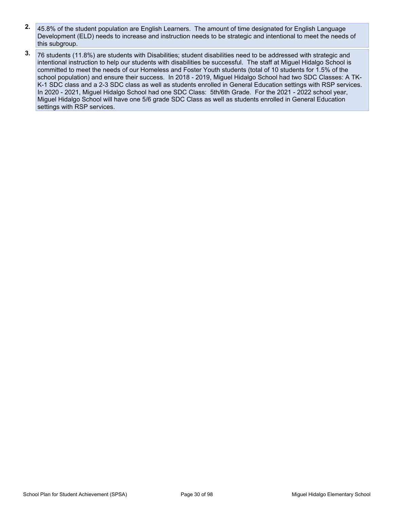- **2.** 45.8% of the student population are English Learners. The amount of time designated for English Language Development (ELD) needs to increase and instruction needs to be strategic and intentional to meet the needs of this subgroup.
- **3.** 76 students (11.8%) are students with Disabilities; student disabilities need to be addressed with strategic and intentional instruction to help our students with disabilities be successful. The staff at Miguel Hidalgo School is committed to meet the needs of our Homeless and Foster Youth students (total of 10 students for 1.5% of the school population) and ensure their success. In 2018 - 2019, Miguel Hidalgo School had two SDC Classes: A TK-K-1 SDC class and a 2-3 SDC class as well as students enrolled in General Education settings with RSP services. In 2020 - 2021, Miguel Hidalgo School had one SDC Class: 5th/6th Grade. For the 2021 - 2022 school year, Miguel Hidalgo School will have one 5/6 grade SDC Class as well as students enrolled in General Education settings with RSP services.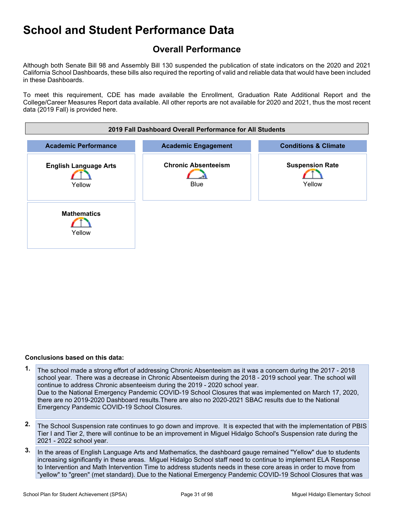### **Overall Performance**

Although both Senate Bill 98 and Assembly Bill 130 suspended the publication of state indicators on the 2020 and 2021 California School Dashboards, these bills also required the reporting of valid and reliable data that would have been included in these Dashboards.

To meet this requirement, CDE has made available the Enrollment, Graduation Rate Additional Report and the College/Career Measures Report data available. All other reports are not available for 2020 and 2021, thus the most recent data (2019 Fall) is provided here.



#### **Conclusions based on this data:**

- **1.** The school made a strong effort of addressing Chronic Absenteeism as it was a concern during the 2017 2018 school year. There was a decrease in Chronic Absenteeism during the 2018 - 2019 school year. The school will continue to address Chronic absenteeism during the 2019 - 2020 school year. Due to the National Emergency Pandemic COVID-19 School Closures that was implemented on March 17, 2020, there are no 2019-2020 Dashboard results.There are also no 2020-2021 SBAC results due to the National Emergency Pandemic COVID-19 School Closures.
- **2.** The School Suspension rate continues to go down and improve. It is expected that with the implementation of PBIS Tier I and Tier 2, there will continue to be an improvement in Miguel Hidalgo School's Suspension rate during the 2021 - 2022 school year.
- **3.** In the areas of English Language Arts and Mathematics, the dashboard gauge remained "Yellow" due to students increasing significantly in these areas. Miguel Hidalgo School staff need to continue to implement ELA Response to Intervention and Math Intervention Time to address students needs in these core areas in order to move from "yellow" to "green" (met standard). Due to the National Emergency Pandemic COVID-19 School Closures that was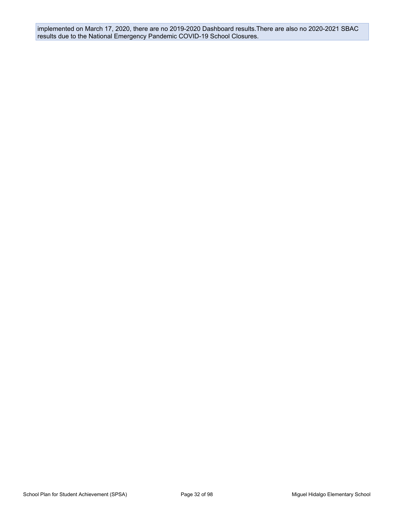implemented on March 17, 2020, there are no 2019-2020 Dashboard results.There are also no 2020-2021 SBAC results due to the National Emergency Pandemic COVID-19 School Closures.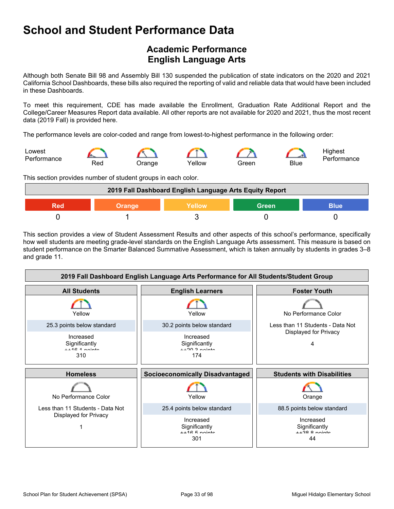## **Academic Performance English Language Arts**

Although both Senate Bill 98 and Assembly Bill 130 suspended the publication of state indicators on the 2020 and 2021 California School Dashboards, these bills also required the reporting of valid and reliable data that would have been included in these Dashboards.

To meet this requirement, CDE has made available the Enrollment, Graduation Rate Additional Report and the College/Career Measures Report data available. All other reports are not available for 2020 and 2021, thus the most recent data (2019 Fall) is provided here.

The performance levels are color-coded and range from lowest-to-highest performance in the following order:



This section provides number of student groups in each color.



This section provides a view of Student Assessment Results and other aspects of this school's performance, specifically how well students are meeting grade-level standards on the English Language Arts assessment. This measure is based on student performance on the Smarter Balanced Summative Assessment, which is taken annually by students in grades 3–8 and grade 11.

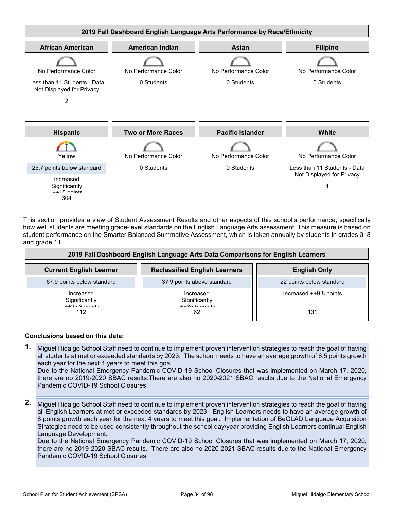

This section provides a view of Student Assessment Results and other aspects of this school's performance, specifically how well students are meeting grade-level standards on the English Language Arts assessment. This measure is based on student performance on the Smarter Balanced Summative Assessment, which is taken annually by students in grades 3–8 and grade 11.

| 2019 Fall Dashboard English Language Arts Data Comparisons for English Learners |                                      |                          |  |  |  |  |
|---------------------------------------------------------------------------------|--------------------------------------|--------------------------|--|--|--|--|
| <b>Current English Learner</b>                                                  | <b>Reclassified English Learners</b> | <b>English Only</b>      |  |  |  |  |
| 67.9 points below standard                                                      | 37.9 points above standard           | 22 points below standard |  |  |  |  |
| Increased<br>Significantly<br>$+122.3$ points                                   | Increased<br>Significantly           | Increased ++9.8 points   |  |  |  |  |
| 112                                                                             | 62                                   | 131                      |  |  |  |  |

#### **Conclusions based on this data:**

**1.** Miguel Hidalgo School Staff need to continue to implement proven intervention strategies to reach the goal of having all students at met or exceeded standards by 2023. The school needs to have an average growth of 6.5 points growth each year for the next 4 years to meet this goal.

Due to the National Emergency Pandemic COVID-19 School Closures that was implemented on March 17, 2020, there are no 2019-2020 SBAC results.There are also no 2020-2021 SBAC results due to the National Emergency Pandemic COVID-19 School Closures.

**2.** Miguel Hidalgo School Staff need to continue to implement proven intervention strategies to reach the goal of having all English Learners at met or exceeded standards by 2023. English Learners needs to have an average growth of 8 points growth each year for the next 4 years to meet this goal. Implementation of BeGLAD Language Acquisition Strategies need to be used consistently throughout the school day/year providing English Learners continual English Language Development.

Due to the National Emergency Pandemic COVID-19 School Closures that was implemented on March 17, 2020, there are no 2019-2020 SBAC results. There are also no 2020-2021 SBAC results due to the National Emergency Pandemic COVID-19 School Closures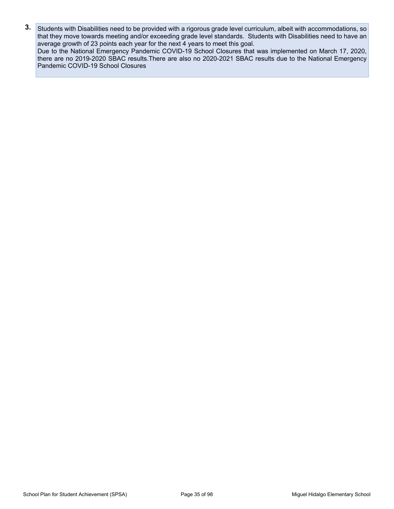**3.** Students with Disabilities need to be provided with a rigorous grade level curriculum, albeit with accommodations, so that they move towards meeting and/or exceeding grade level standards. Students with Disabilities need to have an average growth of 23 points each year for the next 4 years to meet this goal. Due to the National Emergency Pandemic COVID-19 School Closures that was implemented on March 17, 2020, there are no 2019-2020 SBAC results.There are also no 2020-2021 SBAC results due to the National Emergency Pandemic COVID-19 School Closures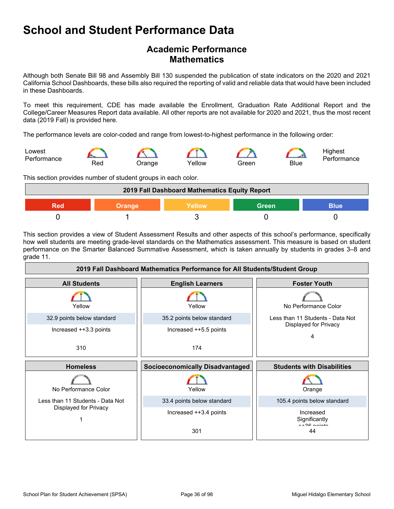### **Academic Performance Mathematics**

Although both Senate Bill 98 and Assembly Bill 130 suspended the publication of state indicators on the 2020 and 2021 California School Dashboards, these bills also required the reporting of valid and reliable data that would have been included in these Dashboards.

To meet this requirement, CDE has made available the Enrollment, Graduation Rate Additional Report and the College/Career Measures Report data available. All other reports are not available for 2020 and 2021, thus the most recent data (2019 Fall) is provided here.

The performance levels are color-coded and range from lowest-to-highest performance in the following order:



This section provides number of student groups in each color.



This section provides a view of Student Assessment Results and other aspects of this school's performance, specifically how well students are meeting grade-level standards on the Mathematics assessment. This measure is based on student performance on the Smarter Balanced Summative Assessment, which is taken annually by students in grades 3–8 and grade 11.

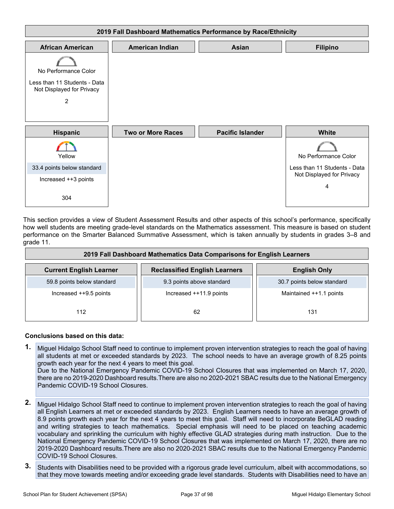

This section provides a view of Student Assessment Results and other aspects of this school's performance, specifically how well students are meeting grade-level standards on the Mathematics assessment. This measure is based on student performance on the Smarter Balanced Summative Assessment, which is taken annually by students in grades 3–8 and grade 11.

| 2019 Fall Dashboard Mathematics Data Comparisons for English Learners |                                      |                            |  |  |  |
|-----------------------------------------------------------------------|--------------------------------------|----------------------------|--|--|--|
| <b>Current English Learner</b>                                        | <b>Reclassified English Learners</b> | <b>English Only</b>        |  |  |  |
| 59.8 points below standard                                            | 9.3 points above standard            | 30.7 points below standard |  |  |  |
| Increased $++9.5$ points                                              | Increased ++11.9 points              | Maintained ++1.1 points    |  |  |  |
| 112                                                                   | 62                                   | 131                        |  |  |  |

#### **Conclusions based on this data:**

- **1.** Miguel Hidalgo School Staff need to continue to implement proven intervention strategies to reach the goal of having all students at met or exceeded standards by 2023. The school needs to have an average growth of 8.25 points growth each year for the next 4 years to meet this goal. Due to the National Emergency Pandemic COVID-19 School Closures that was implemented on March 17, 2020, there are no 2019-2020 Dashboard results.There are also no 2020-2021 SBAC results due to the National Emergency Pandemic COVID-19 School Closures.
- **2.** Miguel Hidalgo School Staff need to continue to implement proven intervention strategies to reach the goal of having all English Learners at met or exceeded standards by 2023. English Learners needs to have an average growth of 8.9 points growth each year for the next 4 years to meet this goal. Staff will need to incorporate BeGLAD reading and writing strategies to teach mathematics. Special emphasis will need to be placed on teaching academic vocabulary and sprinkling the curriculum with highly effective GLAD strategies during math instruction. Due to the National Emergency Pandemic COVID-19 School Closures that was implemented on March 17, 2020, there are no 2019-2020 Dashboard results.There are also no 2020-2021 SBAC results due to the National Emergency Pandemic COVID-19 School Closures.
- **3.** Students with Disabilities need to be provided with a rigorous grade level curriculum, albeit with accommodations, so that they move towards meeting and/or exceeding grade level standards. Students with Disabilities need to have an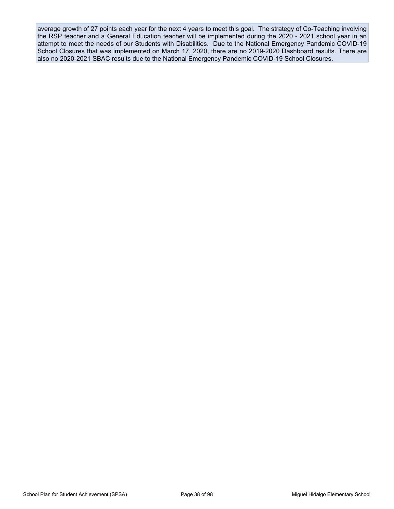average growth of 27 points each year for the next 4 years to meet this goal. The strategy of Co-Teaching involving the RSP teacher and a General Education teacher will be implemented during the 2020 - 2021 school year in an attempt to meet the needs of our Students with Disabilities. Due to the National Emergency Pandemic COVID-19 School Closures that was implemented on March 17, 2020, there are no 2019-2020 Dashboard results. There are also no 2020-2021 SBAC results due to the National Emergency Pandemic COVID-19 School Closures.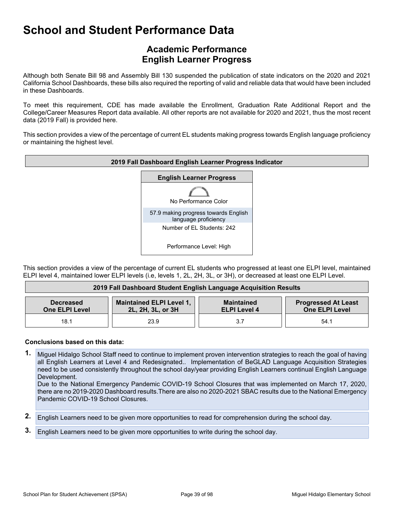## **School and Student Performance Data**

## **Academic Performance English Learner Progress**

Although both Senate Bill 98 and Assembly Bill 130 suspended the publication of state indicators on the 2020 and 2021 California School Dashboards, these bills also required the reporting of valid and reliable data that would have been included in these Dashboards.

To meet this requirement, CDE has made available the Enrollment, Graduation Rate Additional Report and the College/Career Measures Report data available. All other reports are not available for 2020 and 2021, thus the most recent data (2019 Fall) is provided here.

This section provides a view of the percentage of current EL students making progress towards English language proficiency or maintaining the highest level.



This section provides a view of the percentage of current EL students who progressed at least one ELPI level, maintained ELPI level 4, maintained lower ELPI levels (i.e, levels 1, 2L, 2H, 3L, or 3H), or decreased at least one ELPI Level.

| 2019 Fall Dashboard Student English Language Acquisition Results |                                                      |                                          |                                                     |  |
|------------------------------------------------------------------|------------------------------------------------------|------------------------------------------|-----------------------------------------------------|--|
| <b>Decreased</b><br><b>One ELPI Level</b>                        | <b>Maintained ELPI Level 1,</b><br>2L, 2H, 3L, or 3H | <b>Maintained</b><br><b>ELPI Level 4</b> | <b>Progressed At Least</b><br><b>One ELPI Level</b> |  |
| 18.1                                                             | 23.9                                                 | 3.7                                      | 54.1                                                |  |

#### **Conclusions based on this data:**

**1.** Miguel Hidalgo School Staff need to continue to implement proven intervention strategies to reach the goal of having all English Learners at Level 4 and Redesignated.. Implementation of BeGLAD Language Acquisition Strategies need to be used consistently throughout the school day/year providing English Learners continual English Language Development.

Due to the National Emergency Pandemic COVID-19 School Closures that was implemented on March 17, 2020, there are no 2019-2020 Dashboard results.There are also no 2020-2021 SBAC results due to the National Emergency Pandemic COVID-19 School Closures.

- **2.** English Learners need to be given more opportunities to read for comprehension during the school day.
- **3.** English Learners need to be given more opportunities to write during the school day.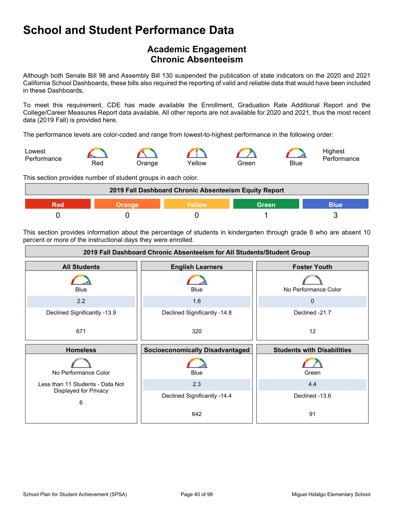## **School and Student Performance Data**

## **Academic Engagement Chronic Absenteeism**

Although both Senate Bill 98 and Assembly Bill 130 suspended the publication of state indicators on the 2020 and 2021 California School Dashboards, these bills also required the reporting of valid and reliable data that would have been included in these Dashboards.

To meet this requirement, CDE has made available the Enrollment, Graduation Rate Additional Report and the College/Career Measures Report data available. All other reports are not available for 2020 and 2021, thus the most recent data (2019 Fall) is provided here.

The performance levels are color-coded and range from lowest-to-highest performance in the following order:



This section provides number of student groups in each color.



This section provides information about the percentage of students in kindergarten through grade 8 who are absent 10 percent or more of the instructional days they were enrolled.

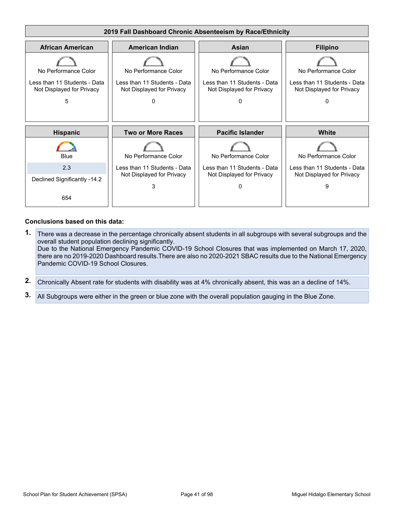

#### **Conclusions based on this data:**

**1.** There was a decrease in the percentage chronically absent students in all subgroups with several subgroups and the overall student population declining significantly. Due to the National Emergency Pandemic COVID-19 School Closures that was implemented on March 17, 2020, there are no 2019-2020 Dashboard results.There are also no 2020-2021 SBAC results due to the National Emergency Pandemic COVID-19 School Closures.

- **2.** Chronically Absent rate for students with disability was at 4% chronically absent, this was an a decline of 14%.
- **3.** All Subgroups were either in the green or blue zone with the overall population gauging in the Blue Zone.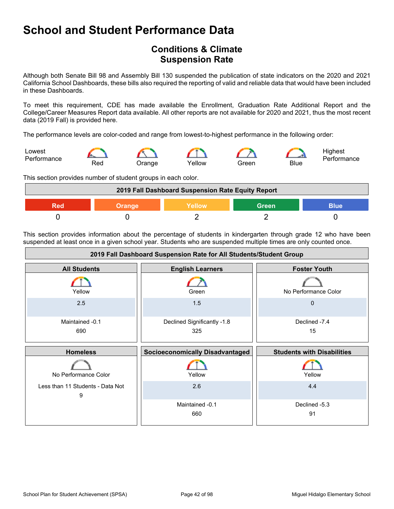## **School and Student Performance Data**

## **Conditions & Climate Suspension Rate**

Although both Senate Bill 98 and Assembly Bill 130 suspended the publication of state indicators on the 2020 and 2021 California School Dashboards, these bills also required the reporting of valid and reliable data that would have been included in these Dashboards.

To meet this requirement, CDE has made available the Enrollment, Graduation Rate Additional Report and the College/Career Measures Report data available. All other reports are not available for 2020 and 2021, thus the most recent data (2019 Fall) is provided here.

The performance levels are color-coded and range from lowest-to-highest performance in the following order:



This section provides number of student groups in each color.



This section provides information about the percentage of students in kindergarten through grade 12 who have been suspended at least once in a given school year. Students who are suspended multiple times are only counted once.

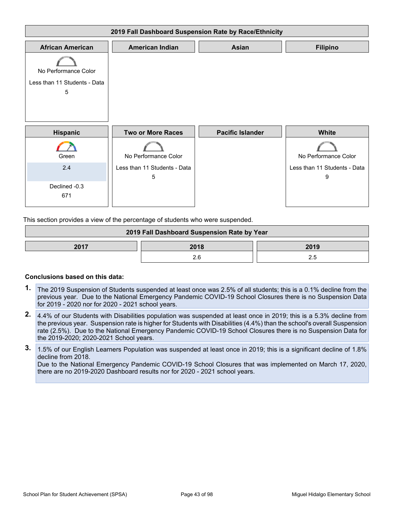

This section provides a view of the percentage of students who were suspended.

| 2019 Fall Dashboard Suspension Rate by Year |      |  |  |
|---------------------------------------------|------|--|--|
| 2017                                        | 2019 |  |  |
|                                             |      |  |  |

#### **Conclusions based on this data:**

- **1.** The 2019 Suspension of Students suspended at least once was 2.5% of all students; this is a 0.1% decline from the previous year. Due to the National Emergency Pandemic COVID-19 School Closures there is no Suspension Data for 2019 - 2020 nor for 2020 - 2021 school years.
- **2.** 4.4% of our Students with Disabilities population was suspended at least once in 2019; this is a 5.3% decline from the previous year. Suspension rate is higher for Students with Disabilities (4.4%) than the school's overall Suspension rate (2.5%). Due to the National Emergency Pandemic COVID-19 School Closures there is no Suspension Data for the 2019-2020; 2020-2021 School years.
- **3.** 1.5% of our English Learners Population was suspended at least once in 2019; this is a significant decline of 1.8% decline from 2018.

Due to the National Emergency Pandemic COVID-19 School Closures that was implemented on March 17, 2020, there are no 2019-2020 Dashboard results nor for 2020 - 2021 school years.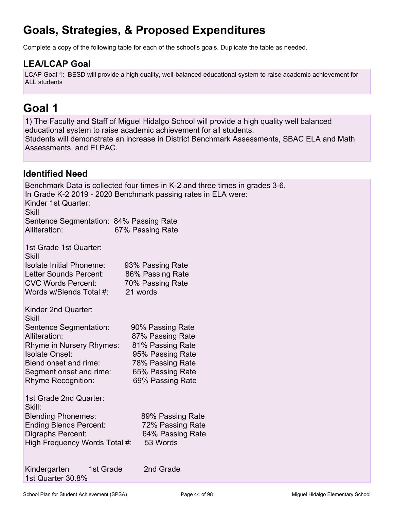# **Goals, Strategies, & Proposed Expenditures**

Complete a copy of the following table for each of the school's goals. Duplicate the table as needed.

## **LEA/LCAP Goal**

LCAP Goal 1: BESD will provide a high quality, well-balanced educational system to raise academic achievement for ALL students

## **Goal 1**

1) The Faculty and Staff of Miguel Hidalgo School will provide a high quality well balanced educational system to raise academic achievement for all students. Students will demonstrate an increase in District Benchmark Assessments, SBAC ELA and Math Assessments, and ELPAC.

## **Identified Need**

Benchmark Data is collected four times in K-2 and three times in grades 3-6. In Grade K-2 2019 - 2020 Benchmark passing rates in ELA were: Kinder 1st Quarter: Skill Sentence Segmentation: 84% Passing Rate Alliteration: 67% Passing Rate 1st Grade 1st Quarter: Skill Isolate Initial Phoneme: 93% Passing Rate Letter Sounds Percent: 86% Passing Rate CVC Words Percent: 70% Passing Rate Words w/Blends Total #: 21 words Kinder 2nd Quarter: **Skill** Sentence Segmentation: 90% Passing Rate Alliteration: 87% Passing Rate Rhyme in Nursery Rhymes: 81% Passing Rate Isolate Onset: 95% Passing Rate Blend onset and rime: 78% Passing Rate Segment onset and rime: 65% Passing Rate Rhyme Recognition: 69% Passing Rate 1st Grade 2nd Quarter: Skill: Blending Phonemes: 89% Passing Rate Ending Blends Percent: 72% Passing Rate Digraphs Percent: 64% Passing Rate High Frequency Words Total #: 53 Words Kindergarten 1st Grade 2nd Grade 1st Quarter 30.8%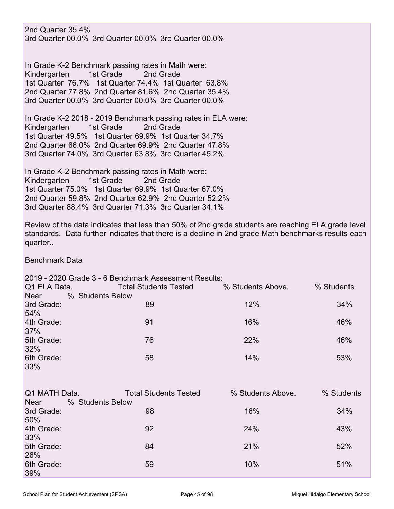2nd Quarter 35.4% 3rd Quarter 00.0% 3rd Quarter 00.0% 3rd Quarter 00.0%

In Grade K-2 Benchmark passing rates in Math were: Kindergarten 1st Grade 2nd Grade 1st Quarter 76.7% 1st Quarter 74.4% 1st Quarter 63.8% 2nd Quarter 77.8% 2nd Quarter 81.6% 2nd Quarter 35.4% 3rd Quarter 00.0% 3rd Quarter 00.0% 3rd Quarter 00.0%

In Grade K-2 2018 - 2019 Benchmark passing rates in ELA were: Kindergarten 1st Grade 2nd Grade 1st Quarter 49.5% 1st Quarter 69.9% 1st Quarter 34.7% 2nd Quarter 66.0% 2nd Quarter 69.9% 2nd Quarter 47.8% 3rd Quarter 74.0% 3rd Quarter 63.8% 3rd Quarter 45.2%

In Grade K-2 Benchmark passing rates in Math were: Kindergarten 1st Grade 2nd Grade 1st Quarter 75.0% 1st Quarter 69.9% 1st Quarter 67.0% 2nd Quarter 59.8% 2nd Quarter 62.9% 2nd Quarter 52.2% 3rd Quarter 88.4% 3rd Quarter 71.3% 3rd Quarter 34.1%

Review of the data indicates that less than 50% of 2nd grade students are reaching ELA grade level standards. Data further indicates that there is a decline in 2nd grade Math benchmarks results each quarter..

Benchmark Data

|              | 2019 - 2020 Grade 3 - 6 Benchmark Assessment Results: |                   |            |
|--------------|-------------------------------------------------------|-------------------|------------|
| Q1 ELA Data. | <b>Total Students Tested</b>                          | % Students Above. | % Students |
| Near         | % Students Below                                      |                   |            |
| 3rd Grade:   | 89                                                    | 12%               | 34%        |
| 54%          |                                                       |                   |            |
| 4th Grade:   | 91                                                    | 16%               | 46%        |
| 37%          |                                                       |                   |            |
| 5th Grade:   | 76                                                    | 22%               | 46%        |
| 32%          |                                                       |                   |            |
| 6th Grade:   | 58                                                    | 14%               | 53%        |
| 33%          |                                                       |                   |            |

| Q1 MATH Data.                   | <b>Total Students Tested</b> | % Students Above. | % Students |
|---------------------------------|------------------------------|-------------------|------------|
| % Students Below<br><b>Near</b> |                              |                   |            |
| 3rd Grade:                      | 98                           | 16%               | 34%        |
| 50%                             |                              |                   |            |
| 4th Grade:                      | 92                           | 24%               | 43%        |
| 33%                             |                              |                   |            |
| 5th Grade:                      | 84                           | 21%               | 52%        |
| 26%                             |                              |                   |            |
| 6th Grade:                      | 59                           | 10%               | 51%        |
| 39%                             |                              |                   |            |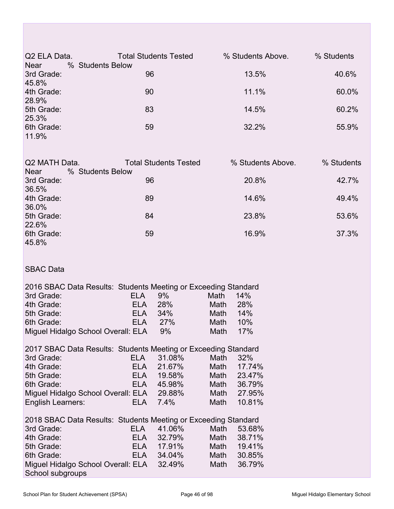| Q2 ELA Data.<br><b>Near</b> | <b>Total Students Tested</b><br>% Students Below | % Students Above. | % Students |
|-----------------------------|--------------------------------------------------|-------------------|------------|
| 3rd Grade:<br>45.8%         | 96                                               | 13.5%             | 40.6%      |
| 4th Grade:<br>28.9%         | 90                                               | 11.1%             | 60.0%      |
| 5th Grade:<br>25.3%         | 83                                               | 14.5%             | 60.2%      |
| 6th Grade:<br>11.9%         | 59                                               | 32.2%             | 55.9%      |
|                             |                                                  |                   |            |

| Q2 MATH Data.            | <b>Total Students Tested</b> | % Students Above. | % Students |
|--------------------------|------------------------------|-------------------|------------|
| % Students Below<br>Near |                              |                   |            |
| 3rd Grade:               | 96                           | 20.8%             | 42.7%      |
| 36.5%                    |                              |                   |            |
| 4th Grade:               | 89                           | 14.6%             | 49.4%      |
| 36.0%                    |                              |                   |            |
| 5th Grade:               | 84                           | 23.8%             | 53.6%      |
| 22.6%                    |                              |                   |            |
| 6th Grade:               | 59                           | 16.9%             | 37.3%      |
| 45.8%                    |                              |                   |            |

## SBAC Data

| 2016 SBAC Data Results: Students Meeting or Exceeding Standard |      |            |             |     |
|----------------------------------------------------------------|------|------------|-------------|-----|
| 3rd Grade:                                                     | FI A | 9%         | <b>Math</b> | 14% |
| 4th Grade:                                                     | ELA. | <b>28%</b> | Math        | 28% |
| 5th Grade:                                                     | ELA. | $34\%$     | Math        | 14% |
| 6th Grade:                                                     | ELA  | 27%        | Math        | 10% |
| Miguel Hidalgo School Overall: ELA                             |      | 9%         | <b>Math</b> | 17% |

| 2017 SBAC Data Results: Students Meeting or Exceeding Standard |      |        |             |        |
|----------------------------------------------------------------|------|--------|-------------|--------|
| 3rd Grade:                                                     | FI A | 31.08% | <b>Math</b> | 32%    |
| 4th Grade:                                                     | ELA  | 21.67% | Math        | 17.74% |
| 5th Grade:                                                     | FI A | 19.58% | Math        | 23.47% |
| 6th Grade:                                                     | FI A | 45.98% | Math        | 36.79% |
| Miguel Hidalgo School Overall: ELA 29.88%                      |      |        | <b>Math</b> | 27.95% |
| English Learners:                                              | FI A | 7.4%   | Math        | 10.81% |

| 2018 SBAC Data Results: Students Meeting or Exceeding Standard |      |        |             |        |
|----------------------------------------------------------------|------|--------|-------------|--------|
| 3rd Grade:                                                     | FI A | 41.06% | <b>Math</b> | 53.68% |
| 4th Grade:                                                     | FI A | 32.79% | Math        | 38.71% |
| 5th Grade:                                                     | FI A | 17.91% | <b>Math</b> | 19.41% |
| 6th Grade:                                                     | FI A | 34.04% | <b>Math</b> | 30.85% |
| Miguel Hidalgo School Overall: ELA 32.49%                      |      |        | Math        | 36.79% |
| School subgroups                                               |      |        |             |        |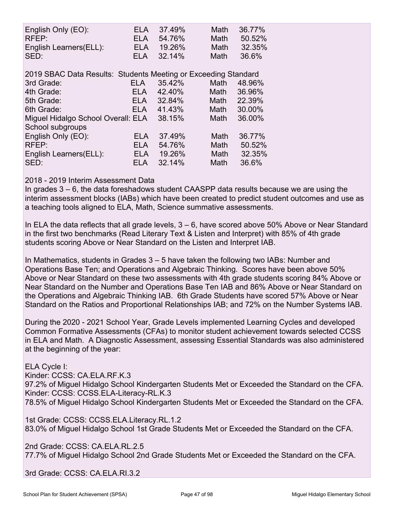| English Only (EO):                                             | <b>ELA</b> | 37.49% | Math        | 36.77% |
|----------------------------------------------------------------|------------|--------|-------------|--------|
| RFEP:                                                          | <b>ELA</b> | 54.76% | Math        | 50.52% |
| English Learners(ELL):                                         | <b>ELA</b> | 19.26% | Math        | 32.35% |
| SED:                                                           | <b>ELA</b> | 32.14% | Math        | 36.6%  |
| 2019 SBAC Data Results: Students Meeting or Exceeding Standard |            |        |             |        |
| 3rd Grade:                                                     | <b>ELA</b> | 35.42% | Math        | 48.96% |
| 4th Grade:                                                     | <b>ELA</b> | 42.40% | Math        | 36.96% |
| 5th Grade:                                                     | <b>ELA</b> | 32.84% | <b>Math</b> | 22.39% |
| 6th Grade:                                                     | <b>ELA</b> | 41.43% | Math        | 30.00% |
| Miguel Hidalgo School Overall: ELA                             |            | 38.15% | Math        | 36.00% |
| School subgroups                                               |            |        |             |        |
| English Only (EO):                                             | <b>ELA</b> | 37.49% | Math        | 36.77% |
| RFEP:                                                          | <b>ELA</b> | 54.76% | Math        | 50.52% |
| English Learners(ELL):                                         | <b>ELA</b> | 19.26% | Math        | 32.35% |
| SED:                                                           | ELA        | 32.14% | Math        | 36.6%  |

#### 2018 - 2019 Interim Assessment Data

In grades 3 – 6, the data foreshadows student CAASPP data results because we are using the interim assessment blocks (IABs) which have been created to predict student outcomes and use as a teaching tools aligned to ELA, Math, Science summative assessments.

In ELA the data reflects that all grade levels, 3 – 6, have scored above 50% Above or Near Standard in the first two benchmarks (Read Literary Text & Listen and Interpret) with 85% of 4th grade students scoring Above or Near Standard on the Listen and Interpret IAB.

In Mathematics, students in Grades 3 – 5 have taken the following two IABs: Number and Operations Base Ten; and Operations and Algebraic Thinking. Scores have been above 50% Above or Near Standard on these two assessments with 4th grade students scoring 84% Above or Near Standard on the Number and Operations Base Ten IAB and 86% Above or Near Standard on the Operations and Algebraic Thinking IAB. 6th Grade Students have scored 57% Above or Near Standard on the Ratios and Proportional Relationships IAB; and 72% on the Number Systems IAB.

During the 2020 - 2021 School Year, Grade Levels implemented Learning Cycles and developed Common Formative Assessments (CFAs) to monitor student achievement towards selected CCSS in ELA and Math. A Diagnostic Assessment, assessing Essential Standards was also administered at the beginning of the year:

ELA Cycle I:

Kinder: CCSS: CA.ELA.RF.K.3 97.2% of Miguel Hidalgo School Kindergarten Students Met or Exceeded the Standard on the CFA. Kinder: CCSS: CCSS.ELA-Literacy-RL.K.3 78.5% of Miguel Hidalgo School Kindergarten Students Met or Exceeded the Standard on the CFA.

1st Grade: CCSS: CCSS.ELA.Literacy.RL.1.2 83.0% of Miguel Hidalgo School 1st Grade Students Met or Exceeded the Standard on the CFA.

2nd Grade: CCSS: CA.ELA.RL.2.5 77.7% of Miguel Hidalgo School 2nd Grade Students Met or Exceeded the Standard on the CFA.

3rd Grade: CCSS: CA.ELA.RI.3.2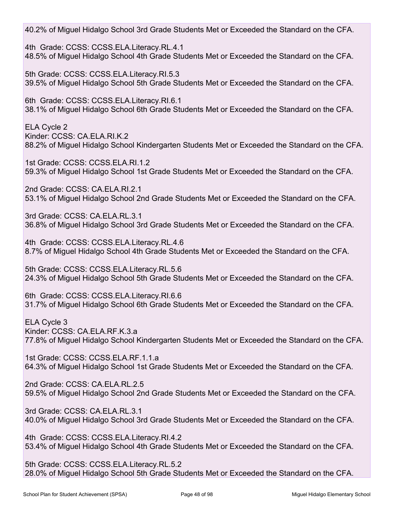40.2% of Miguel Hidalgo School 3rd Grade Students Met or Exceeded the Standard on the CFA.

4th Grade: CCSS: CCSS.ELA.Literacy.RL.4.1 48.5% of Miguel Hidalgo School 4th Grade Students Met or Exceeded the Standard on the CFA.

5th Grade: CCSS: CCSS.ELA.Literacy.RI.5.3 39.5% of Miguel Hidalgo School 5th Grade Students Met or Exceeded the Standard on the CFA.

6th Grade: CCSS: CCSS.ELA.Literacy.RI.6.1 38.1% of Miguel Hidalgo School 6th Grade Students Met or Exceeded the Standard on the CFA.

ELA Cycle 2 Kinder: CCSS: CA.ELA.RI.K.2 88.2% of Miguel Hidalgo School Kindergarten Students Met or Exceeded the Standard on the CFA.

1st Grade: CCSS: CCSS.ELA.RI.1.2 59.3% of Miguel Hidalgo School 1st Grade Students Met or Exceeded the Standard on the CFA.

2nd Grade: CCSS: CA.ELA.RI.2.1 53.1% of Miguel Hidalgo School 2nd Grade Students Met or Exceeded the Standard on the CFA.

3rd Grade: CCSS: CA.ELA.RL.3.1 36.8% of Miguel Hidalgo School 3rd Grade Students Met or Exceeded the Standard on the CFA.

4th Grade: CCSS: CCSS.ELA.Literacy.RL.4.6 8.7% of Miguel Hidalgo School 4th Grade Students Met or Exceeded the Standard on the CFA.

5th Grade: CCSS: CCSS.ELA.Literacy.RL.5.6 24.3% of Miguel Hidalgo School 5th Grade Students Met or Exceeded the Standard on the CFA.

6th Grade: CCSS: CCSS.ELA.Literacy.RI.6.6 31.7% of Miguel Hidalgo School 6th Grade Students Met or Exceeded the Standard on the CFA.

ELA Cycle 3 Kinder: CCSS: CA.ELA.RF.K.3.a 77.8% of Miguel Hidalgo School Kindergarten Students Met or Exceeded the Standard on the CFA.

1st Grade: CCSS: CCSS.ELA.RF.1.1.a 64.3% of Miguel Hidalgo School 1st Grade Students Met or Exceeded the Standard on the CFA.

2nd Grade: CCSS: CA.ELA.RL.2.5 59.5% of Miguel Hidalgo School 2nd Grade Students Met or Exceeded the Standard on the CFA.

3rd Grade: CCSS: CA.ELA.RL.3.1 40.0% of Miguel Hidalgo School 3rd Grade Students Met or Exceeded the Standard on the CFA.

4th Grade: CCSS: CCSS.ELA.Literacy.RI.4.2 53.4% of Miguel Hidalgo School 4th Grade Students Met or Exceeded the Standard on the CFA.

5th Grade: CCSS: CCSS.ELA.Literacy.RL.5.2 28.0% of Miguel Hidalgo School 5th Grade Students Met or Exceeded the Standard on the CFA.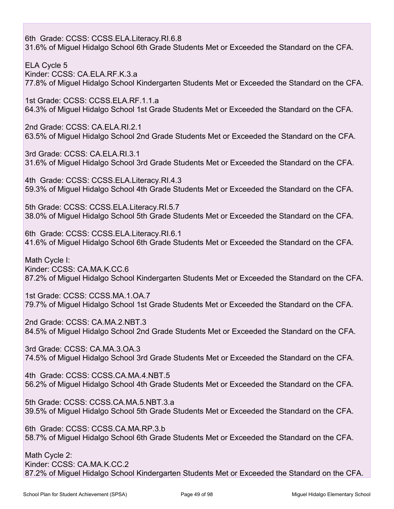6th Grade: CCSS: CCSS.ELA.Literacy.RI.6.8 31.6% of Miguel Hidalgo School 6th Grade Students Met or Exceeded the Standard on the CFA.

ELA Cycle 5 Kinder: CCSS: CA.ELA.RF.K.3.a 77.8% of Miguel Hidalgo School Kindergarten Students Met or Exceeded the Standard on the CFA.

1st Grade: CCSS: CCSS FLA.RF.1.1.a. 64.3% of Miguel Hidalgo School 1st Grade Students Met or Exceeded the Standard on the CFA.

2nd Grade: CCSS: CA.ELA.RI.2.1 63.5% of Miguel Hidalgo School 2nd Grade Students Met or Exceeded the Standard on the CFA.

3rd Grade: CCSS: CA.ELA.RI.3.1 31.6% of Miguel Hidalgo School 3rd Grade Students Met or Exceeded the Standard on the CFA.

4th Grade: CCSS: CCSS.ELA.Literacy.RI.4.3 59.3% of Miguel Hidalgo School 4th Grade Students Met or Exceeded the Standard on the CFA.

5th Grade: CCSS: CCSS.ELA.Literacy.RI.5.7 38.0% of Miguel Hidalgo School 5th Grade Students Met or Exceeded the Standard on the CFA.

6th Grade: CCSS: CCSS.ELA.Literacy.RI.6.1 41.6% of Miguel Hidalgo School 6th Grade Students Met or Exceeded the Standard on the CFA.

Math Cycle I: Kinder: CCSS: CA.MA.K.CC.6 87.2% of Miguel Hidalgo School Kindergarten Students Met or Exceeded the Standard on the CFA.

1st Grade: CCSS: CCSS.MA.1.OA.7 79.7% of Miguel Hidalgo School 1st Grade Students Met or Exceeded the Standard on the CFA.

2nd Grade: CCSS: CA.MA.2.NBT.3 84.5% of Miguel Hidalgo School 2nd Grade Students Met or Exceeded the Standard on the CFA.

3rd Grade: CCSS: CA.MA.3.OA.3 74.5% of Miguel Hidalgo School 3rd Grade Students Met or Exceeded the Standard on the CFA.

4th Grade: CCSS: CCSS.CA.MA.4.NBT.5 56.2% of Miguel Hidalgo School 4th Grade Students Met or Exceeded the Standard on the CFA.

5th Grade: CCSS: CCSS.CA.MA.5.NBT.3.a 39.5% of Miguel Hidalgo School 5th Grade Students Met or Exceeded the Standard on the CFA.

6th Grade: CCSS: CCSS.CA.MA.RP.3.b 58.7% of Miguel Hidalgo School 6th Grade Students Met or Exceeded the Standard on the CFA.

Math Cycle 2: Kinder: CCSS: CA.MA.K.CC.2 87.2% of Miguel Hidalgo School Kindergarten Students Met or Exceeded the Standard on the CFA.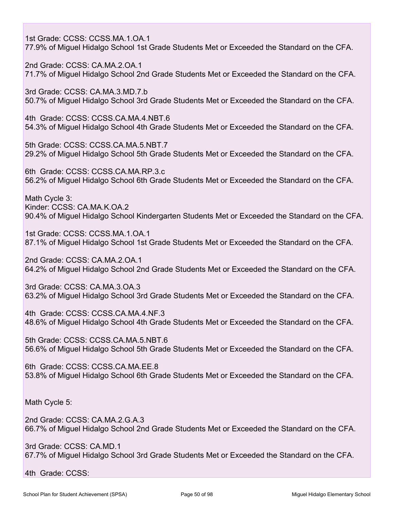1st Grade: CCSS: CCSS.MA.1.OA.1 77.9% of Miguel Hidalgo School 1st Grade Students Met or Exceeded the Standard on the CFA.

2nd Grade: CCSS: CA.MA.2.OA.1 71.7% of Miguel Hidalgo School 2nd Grade Students Met or Exceeded the Standard on the CFA.

3rd Grade: CCSS: CA.MA.3.MD.7.b 50.7% of Miguel Hidalgo School 3rd Grade Students Met or Exceeded the Standard on the CFA.

4th Grade: CCSS: CCSS.CA.MA.4.NBT.6 54.3% of Miguel Hidalgo School 4th Grade Students Met or Exceeded the Standard on the CFA.

5th Grade: CCSS: CCSS.CA.MA.5.NBT.7 29.2% of Miguel Hidalgo School 5th Grade Students Met or Exceeded the Standard on the CFA.

6th Grade: CCSS: CCSS.CA.MA.RP.3.c 56.2% of Miguel Hidalgo School 6th Grade Students Met or Exceeded the Standard on the CFA.

Math Cycle 3: Kinder: CCSS: CA.MA.K.OA.2 90.4% of Miguel Hidalgo School Kindergarten Students Met or Exceeded the Standard on the CFA.

1st Grade: CCSS: CCSS.MA.1.OA.1 87.1% of Miguel Hidalgo School 1st Grade Students Met or Exceeded the Standard on the CFA.

2nd Grade: CCSS: CA.MA.2.OA.1 64.2% of Miguel Hidalgo School 2nd Grade Students Met or Exceeded the Standard on the CFA.

3rd Grade: CCSS: CA.MA.3.OA.3 63.2% of Miguel Hidalgo School 3rd Grade Students Met or Exceeded the Standard on the CFA.

4th Grade: CCSS: CCSS.CA.MA.4.NF.3 48.6% of Miguel Hidalgo School 4th Grade Students Met or Exceeded the Standard on the CFA.

5th Grade: CCSS: CCSS.CA.MA.5.NBT.6 56.6% of Miguel Hidalgo School 5th Grade Students Met or Exceeded the Standard on the CFA.

6th Grade: CCSS: CCSS.CA.MA.EE.8 53.8% of Miguel Hidalgo School 6th Grade Students Met or Exceeded the Standard on the CFA.

Math Cycle 5:

2nd Grade: CCSS: CA.MA.2.G.A.3 66.7% of Miguel Hidalgo School 2nd Grade Students Met or Exceeded the Standard on the CFA.

3rd Grade: CCSS: CA.MD.1 67.7% of Miguel Hidalgo School 3rd Grade Students Met or Exceeded the Standard on the CFA.

4th Grade: CCSS: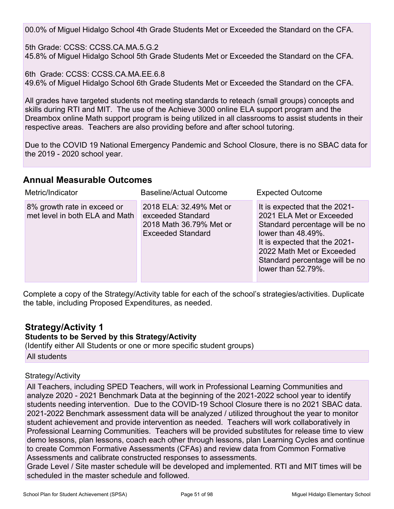00.0% of Miguel Hidalgo School 4th Grade Students Met or Exceeded the Standard on the CFA.

5th Grade: CCSS: CCSS.CA.MA.5.G.2 45.8% of Miguel Hidalgo School 5th Grade Students Met or Exceeded the Standard on the CFA.

6th Grade: CCSS: CCSS.CA.MA.EE.6.8 49.6% of Miguel Hidalgo School 6th Grade Students Met or Exceeded the Standard on the CFA.

All grades have targeted students not meeting standards to reteach (small groups) concepts and skills during RTI and MIT. The use of the Achieve 3000 online ELA support program and the Dreambox online Math support program is being utilized in all classrooms to assist students in their respective areas. Teachers are also providing before and after school tutoring.

Due to the COVID 19 National Emergency Pandemic and School Closure, there is no SBAC data for the 2019 - 2020 school year.

## **Annual Measurable Outcomes**

| Metric/Indicator                                              | <b>Baseline/Actual Outcome</b>                                                                      | <b>Expected Outcome</b>                                                                                                                                                                                                                 |
|---------------------------------------------------------------|-----------------------------------------------------------------------------------------------------|-----------------------------------------------------------------------------------------------------------------------------------------------------------------------------------------------------------------------------------------|
| 8% growth rate in exceed or<br>met level in both ELA and Math | 2018 ELA: 32.49% Met or<br>exceeded Standard<br>2018 Math 36.79% Met or<br><b>Exceeded Standard</b> | It is expected that the 2021-<br>2021 ELA Met or Exceeded<br>Standard percentage will be no<br>lower than 48.49%.<br>It is expected that the 2021-<br>2022 Math Met or Exceeded<br>Standard percentage will be no<br>lower than 52.79%. |

Complete a copy of the Strategy/Activity table for each of the school's strategies/activities. Duplicate the table, including Proposed Expenditures, as needed.

## **Strategy/Activity 1**

**Students to be Served by this Strategy/Activity**

(Identify either All Students or one or more specific student groups)

All students

## Strategy/Activity

All Teachers, including SPED Teachers, will work in Professional Learning Communities and analyze 2020 - 2021 Benchmark Data at the beginning of the 2021-2022 school year to identify students needing intervention. Due to the COVID-19 School Closure there is no 2021 SBAC data. 2021-2022 Benchmark assessment data will be analyzed / utilized throughout the year to monitor student achievement and provide intervention as needed. Teachers will work collaboratively in Professional Learning Communities. Teachers will be provided substitutes for release time to view demo lessons, plan lessons, coach each other through lessons, plan Learning Cycles and continue to create Common Formative Assessments (CFAs) and review data from Common Formative Assessments and calibrate constructed responses to assessments.

Grade Level / Site master schedule will be developed and implemented. RTI and MIT times will be scheduled in the master schedule and followed.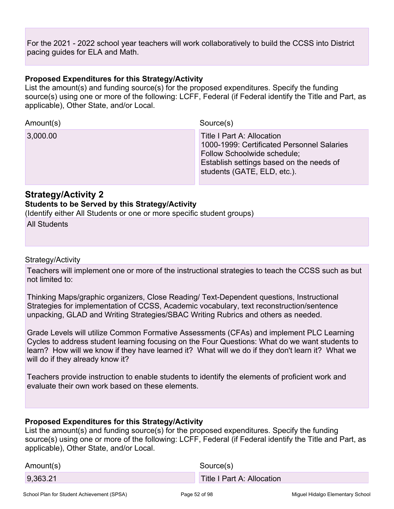For the 2021 - 2022 school year teachers will work collaboratively to build the CCSS into District pacing guides for ELA and Math.

## **Proposed Expenditures for this Strategy/Activity**

List the amount(s) and funding source(s) for the proposed expenditures. Specify the funding source(s) using one or more of the following: LCFF, Federal (if Federal identify the Title and Part, as applicable), Other State, and/or Local.

| Amount(s) | Source(s)                                                                                                                                                                          |
|-----------|------------------------------------------------------------------------------------------------------------------------------------------------------------------------------------|
| 3,000.00  | Title I Part A: Allocation<br>1000-1999: Certificated Personnel Salaries<br>Follow Schoolwide schedule;<br>Establish settings based on the needs of<br>students (GATE, ELD, etc.). |

## **Strategy/Activity 2 Students to be Served by this Strategy/Activity**

(Identify either All Students or one or more specific student groups)

All Students

#### Strategy/Activity

Teachers will implement one or more of the instructional strategies to teach the CCSS such as but not limited to:

Thinking Maps/graphic organizers, Close Reading/ Text-Dependent questions, Instructional Strategies for implementation of CCSS, Academic vocabulary, text reconstruction/sentence unpacking, GLAD and Writing Strategies/SBAC Writing Rubrics and others as needed.

Grade Levels will utilize Common Formative Assessments (CFAs) and implement PLC Learning Cycles to address student learning focusing on the Four Questions: What do we want students to learn? How will we know if they have learned it? What will we do if they don't learn it? What we will do if they already know it?

Teachers provide instruction to enable students to identify the elements of proficient work and evaluate their own work based on these elements.

## **Proposed Expenditures for this Strategy/Activity**

| Amount(s) | Source(s)                  |
|-----------|----------------------------|
| 9,363.21  | Title I Part A: Allocation |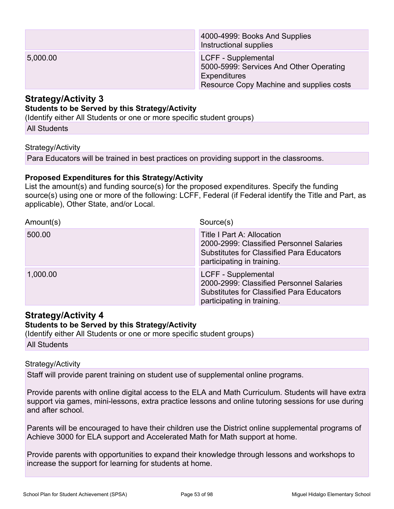|          | 4000-4999: Books And Supplies<br>Instructional supplies                                                                           |
|----------|-----------------------------------------------------------------------------------------------------------------------------------|
| 5,000.00 | <b>LCFF - Supplemental</b><br>5000-5999: Services And Other Operating<br>Expenditures<br>Resource Copy Machine and supplies costs |

## **Strategy/Activity 3**

## **Students to be Served by this Strategy/Activity**

(Identify either All Students or one or more specific student groups)

All Students

#### Strategy/Activity

Para Educators will be trained in best practices on providing support in the classrooms.

#### **Proposed Expenditures for this Strategy/Activity**

List the amount(s) and funding source(s) for the proposed expenditures. Specify the funding source(s) using one or more of the following: LCFF, Federal (if Federal identify the Title and Part, as applicable), Other State, and/or Local.

| Amount(s) | Source(s)                                                                                                                                                |
|-----------|----------------------------------------------------------------------------------------------------------------------------------------------------------|
| 500.00    | Title I Part A: Allocation<br>2000-2999: Classified Personnel Salaries<br><b>Substitutes for Classified Para Educators</b><br>participating in training. |
| 1,000.00  | LCFF - Supplemental<br>2000-2999: Classified Personnel Salaries<br><b>Substitutes for Classified Para Educators</b><br>participating in training.        |

## **Strategy/Activity 4**

#### **Students to be Served by this Strategy/Activity**

(Identify either All Students or one or more specific student groups)

All Students

#### Strategy/Activity

Staff will provide parent training on student use of supplemental online programs.

Provide parents with online digital access to the ELA and Math Curriculum. Students will have extra support via games, mini-lessons, extra practice lessons and online tutoring sessions for use during and after school.

Parents will be encouraged to have their children use the District online supplemental programs of Achieve 3000 for ELA support and Accelerated Math for Math support at home.

Provide parents with opportunities to expand their knowledge through lessons and workshops to increase the support for learning for students at home.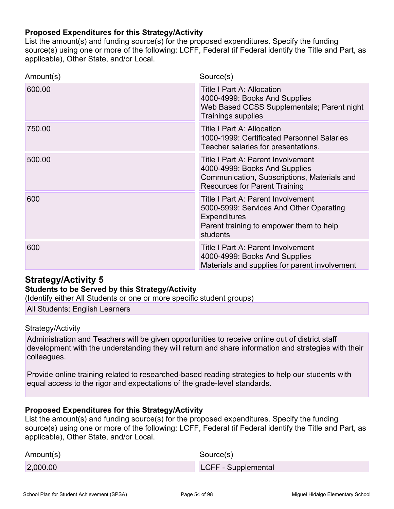## **Proposed Expenditures for this Strategy/Activity**

List the amount(s) and funding source(s) for the proposed expenditures. Specify the funding source(s) using one or more of the following: LCFF, Federal (if Federal identify the Title and Part, as applicable), Other State, and/or Local.

| Amount(s) | Source(s)                                                                                                                                                   |
|-----------|-------------------------------------------------------------------------------------------------------------------------------------------------------------|
| 600.00    | Title I Part A: Allocation<br>4000-4999: Books And Supplies<br>Web Based CCSS Supplementals; Parent night<br>Trainings supplies                             |
| 750.00    | Title I Part A: Allocation<br>1000-1999: Certificated Personnel Salaries<br>Teacher salaries for presentations.                                             |
| 500.00    | Title I Part A: Parent Involvement<br>4000-4999: Books And Supplies<br>Communication, Subscriptions, Materials and<br><b>Resources for Parent Training</b>  |
| 600       | Title I Part A: Parent Involvement<br>5000-5999: Services And Other Operating<br><b>Expenditures</b><br>Parent training to empower them to help<br>students |
| 600       | Title I Part A: Parent Involvement<br>4000-4999: Books And Supplies<br>Materials and supplies for parent involvement                                        |

## **Strategy/Activity 5**

## **Students to be Served by this Strategy/Activity**

(Identify either All Students or one or more specific student groups)

All Students; English Learners

## Strategy/Activity

Administration and Teachers will be given opportunities to receive online out of district staff development with the understanding they will return and share information and strategies with their colleagues.

Provide online training related to researched-based reading strategies to help our students with equal access to the rigor and expectations of the grade-level standards.

## **Proposed Expenditures for this Strategy/Activity**

| Amount(s) | Source(s)           |
|-----------|---------------------|
| 2,000.00  | LCFF - Supplemental |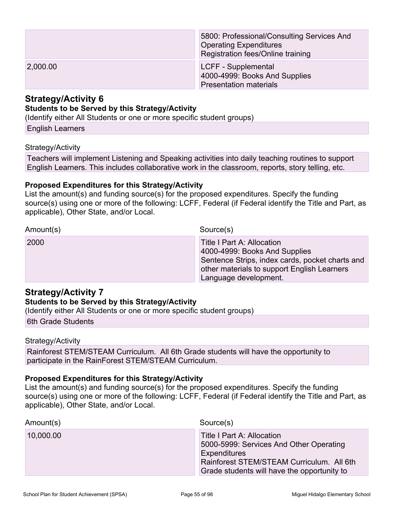|          | 5800: Professional/Consulting Services And<br><b>Operating Expenditures</b><br>Registration fees/Online training |
|----------|------------------------------------------------------------------------------------------------------------------|
| 2,000.00 | LCFF - Supplemental<br>4000-4999: Books And Supplies<br><b>Presentation materials</b>                            |

## **Strategy/Activity 6**

## **Students to be Served by this Strategy/Activity**

(Identify either All Students or one or more specific student groups)

English Learners

#### Strategy/Activity

Teachers will implement Listening and Speaking activities into daily teaching routines to support English Learners. This includes collaborative work in the classroom, reports, story telling, etc.

## **Proposed Expenditures for this Strategy/Activity**

List the amount(s) and funding source(s) for the proposed expenditures. Specify the funding source(s) using one or more of the following: LCFF, Federal (if Federal identify the Title and Part, as applicable), Other State, and/or Local.

| Amount(s) | Source(s)                                                                                                                                                                              |
|-----------|----------------------------------------------------------------------------------------------------------------------------------------------------------------------------------------|
| 2000      | Title I Part A: Allocation<br>4000-4999: Books And Supplies<br>Sentence Strips, index cards, pocket charts and<br>other materials to support English Learners<br>Language development. |

## **Strategy/Activity 7**

## **Students to be Served by this Strategy/Activity**

(Identify either All Students or one or more specific student groups)

6th Grade Students

## Strategy/Activity

Rainforest STEM/STEAM Curriculum. All 6th Grade students will have the opportunity to participate in the RainForest STEM/STEAM Curriculum.

## **Proposed Expenditures for this Strategy/Activity**

| Amount(s) | Source(s)                                                                                                                                                                                |
|-----------|------------------------------------------------------------------------------------------------------------------------------------------------------------------------------------------|
| 10,000.00 | Title I Part A: Allocation<br>5000-5999: Services And Other Operating<br><b>Expenditures</b><br>Rainforest STEM/STEAM Curriculum. All 6th<br>Grade students will have the opportunity to |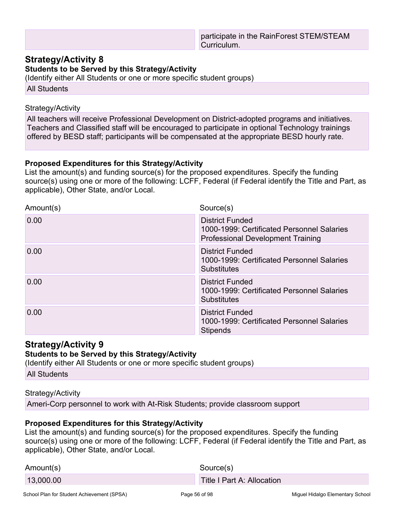## **Strategy/Activity 8**

**Students to be Served by this Strategy/Activity**

(Identify either All Students or one or more specific student groups)

All Students

#### Strategy/Activity

All teachers will receive Professional Development on District-adopted programs and initiatives. Teachers and Classified staff will be encouraged to participate in optional Technology trainings offered by BESD staff; participants will be compensated at the appropriate BESD hourly rate.

## **Proposed Expenditures for this Strategy/Activity**

List the amount(s) and funding source(s) for the proposed expenditures. Specify the funding source(s) using one or more of the following: LCFF, Federal (if Federal identify the Title and Part, as applicable), Other State, and/or Local.

| Amount(s) | Source(s)                                                                                                        |
|-----------|------------------------------------------------------------------------------------------------------------------|
| 0.00      | <b>District Funded</b><br>1000-1999: Certificated Personnel Salaries<br><b>Professional Development Training</b> |
| 0.00      | <b>District Funded</b><br>1000-1999: Certificated Personnel Salaries<br><b>Substitutes</b>                       |
| 0.00      | <b>District Funded</b><br>1000-1999: Certificated Personnel Salaries<br><b>Substitutes</b>                       |
| 0.00      | <b>District Funded</b><br>1000-1999: Certificated Personnel Salaries<br><b>Stipends</b>                          |

## **Strategy/Activity 9**

## **Students to be Served by this Strategy/Activity**

(Identify either All Students or one or more specific student groups)

All Students

#### Strategy/Activity

Ameri-Corp personnel to work with At-Risk Students; provide classroom support

## **Proposed Expenditures for this Strategy/Activity**

| Amount(s) | Source(s)                  |
|-----------|----------------------------|
| 13,000.00 | Title I Part A: Allocation |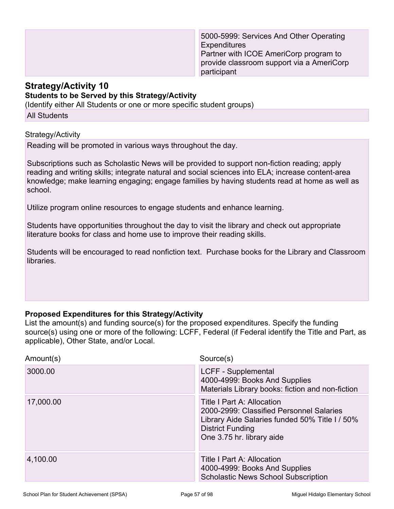5000-5999: Services And Other Operating **Expenditures** Partner with ICOE AmeriCorp program to provide classroom support via a AmeriCorp participant

## **Strategy/Activity 10 Students to be Served by this Strategy/Activity**

(Identify either All Students or one or more specific student groups)

All Students

#### Strategy/Activity

Reading will be promoted in various ways throughout the day.

Subscriptions such as Scholastic News will be provided to support non-fiction reading; apply reading and writing skills; integrate natural and social sciences into ELA; increase content-area knowledge; make learning engaging; engage families by having students read at home as well as school.

Utilize program online resources to engage students and enhance learning.

Students have opportunities throughout the day to visit the library and check out appropriate literature books for class and home use to improve their reading skills.

Students will be encouraged to read nonfiction text. Purchase books for the Library and Classroom libraries.

## **Proposed Expenditures for this Strategy/Activity**

| Amount(s) | Source(s)                                                                                                                                                                        |
|-----------|----------------------------------------------------------------------------------------------------------------------------------------------------------------------------------|
| 3000.00   | <b>LCFF - Supplemental</b><br>4000-4999: Books And Supplies<br>Materials Library books: fiction and non-fiction                                                                  |
| 17,000.00 | Title I Part A: Allocation<br>2000-2999: Classified Personnel Salaries<br>Library Aide Salaries funded 50% Title I / 50%<br><b>District Funding</b><br>One 3.75 hr. library aide |
| 4,100.00  | Title I Part A: Allocation<br>4000-4999: Books And Supplies<br><b>Scholastic News School Subscription</b>                                                                        |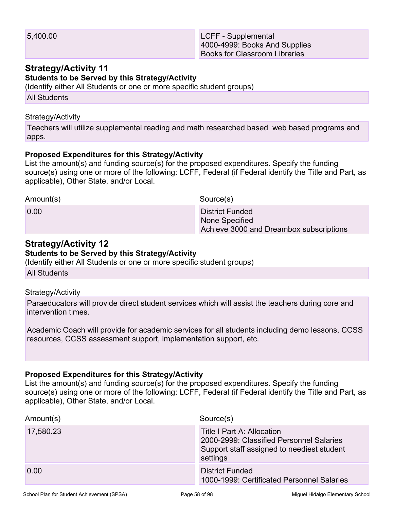5,400.00 LCFF - Supplemental 4000-4999: Books And Supplies Books for Classroom Libraries

## **Strategy/Activity 11**

**Students to be Served by this Strategy/Activity**

(Identify either All Students or one or more specific student groups)

All Students

#### Strategy/Activity

Teachers will utilize supplemental reading and math researched based web based programs and apps.

## **Proposed Expenditures for this Strategy/Activity**

List the amount(s) and funding source(s) for the proposed expenditures. Specify the funding source(s) using one or more of the following: LCFF, Federal (if Federal identify the Title and Part, as applicable), Other State, and/or Local.

Amount(s) Source(s) 0.00 District Funded None Specified Achieve 3000 and Dreambox subscriptions

## **Strategy/Activity 12**

## **Students to be Served by this Strategy/Activity**

(Identify either All Students or one or more specific student groups)

All Students

## Strategy/Activity

Paraeducators will provide direct student services which will assist the teachers during core and intervention times.

Academic Coach will provide for academic services for all students including demo lessons, CCSS resources, CCSS assessment support, implementation support, etc.

## **Proposed Expenditures for this Strategy/Activity**

| Amount(s) | Source(s)                                                                                                                        |
|-----------|----------------------------------------------------------------------------------------------------------------------------------|
| 17,580.23 | Title I Part A: Allocation<br>2000-2999: Classified Personnel Salaries<br>Support staff assigned to neediest student<br>settings |
| 0.00      | <b>District Funded</b><br>1000-1999: Certificated Personnel Salaries                                                             |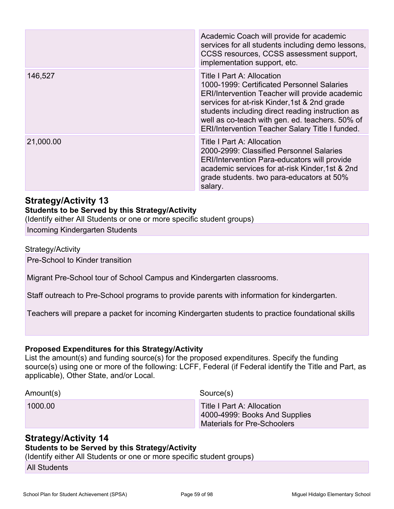|           | Academic Coach will provide for academic<br>services for all students including demo lessons,<br>CCSS resources, CCSS assessment support,<br>implementation support, etc.                                                                                                                                                                   |
|-----------|---------------------------------------------------------------------------------------------------------------------------------------------------------------------------------------------------------------------------------------------------------------------------------------------------------------------------------------------|
| 146,527   | <b>Title I Part A: Allocation</b><br>1000-1999: Certificated Personnel Salaries<br>ERI/Intervention Teacher will provide academic<br>services for at-risk Kinder, 1st & 2nd grade<br>students including direct reading instruction as<br>well as co-teach with gen. ed. teachers. 50% of<br>ERI/Intervention Teacher Salary Title I funded. |
| 21,000.00 | Title I Part A: Allocation<br>2000-2999: Classified Personnel Salaries<br>ERI/Intervention Para-educators will provide<br>academic services for at-risk Kinder, 1st & 2nd<br>grade students. two para-educators at 50%<br>salary.                                                                                                           |

## **Strategy/Activity 13**

#### **Students to be Served by this Strategy/Activity**

(Identify either All Students or one or more specific student groups)

Incoming Kindergarten Students

#### Strategy/Activity

Pre-School to Kinder transition

Migrant Pre-School tour of School Campus and Kindergarten classrooms.

Staff outreach to Pre-School programs to provide parents with information for kindergarten.

Teachers will prepare a packet for incoming Kindergarten students to practice foundational skills

## **Proposed Expenditures for this Strategy/Activity**

List the amount(s) and funding source(s) for the proposed expenditures. Specify the funding source(s) using one or more of the following: LCFF, Federal (if Federal identify the Title and Part, as applicable), Other State, and/or Local.

| Amount(s) |
|-----------|
|-----------|

Source(s)

1000.00 Title I Part A: Allocation 4000-4999: Books And Supplies Materials for Pre-Schoolers

## **Strategy/Activity 14**

#### **Students to be Served by this Strategy/Activity**

(Identify either All Students or one or more specific student groups)

All Students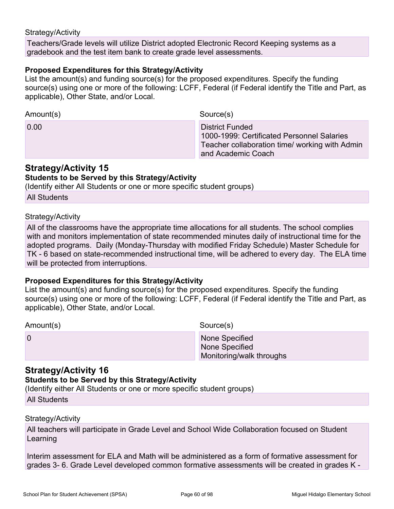#### Strategy/Activity

Teachers/Grade levels will utilize District adopted Electronic Record Keeping systems as a gradebook and the test item bank to create grade level assessments.

#### **Proposed Expenditures for this Strategy/Activity**

List the amount(s) and funding source(s) for the proposed expenditures. Specify the funding source(s) using one or more of the following: LCFF, Federal (if Federal identify the Title and Part, as applicable), Other State, and/or Local.

| Amount(s) | Source(s)                                                                                                                                    |
|-----------|----------------------------------------------------------------------------------------------------------------------------------------------|
| 0.00      | <b>District Funded</b><br>1000-1999: Certificated Personnel Salaries<br>Teacher collaboration time/ working with Admin<br>and Academic Coach |

## **Strategy/Activity 15**

## **Students to be Served by this Strategy/Activity**

(Identify either All Students or one or more specific student groups)

All Students

#### Strategy/Activity

All of the classrooms have the appropriate time allocations for all students. The school complies with and monitors implementation of state recommended minutes daily of instructional time for the adopted programs. Daily (Monday-Thursday with modified Friday Schedule) Master Schedule for TK - 6 based on state-recommended instructional time, will be adhered to every day. The ELA time will be protected from interruptions.

## **Proposed Expenditures for this Strategy/Activity**

List the amount(s) and funding source(s) for the proposed expenditures. Specify the funding source(s) using one or more of the following: LCFF, Federal (if Federal identify the Title and Part, as applicable), Other State, and/or Local.

Amount(s) Source(s)

0 **None Specified** None Specified Monitoring/walk throughs

## **Strategy/Activity 16**

**Students to be Served by this Strategy/Activity**

(Identify either All Students or one or more specific student groups)

All Students

## Strategy/Activity

All teachers will participate in Grade Level and School Wide Collaboration focused on Student Learning

Interim assessment for ELA and Math will be administered as a form of formative assessment for grades 3- 6. Grade Level developed common formative assessments will be created in grades K -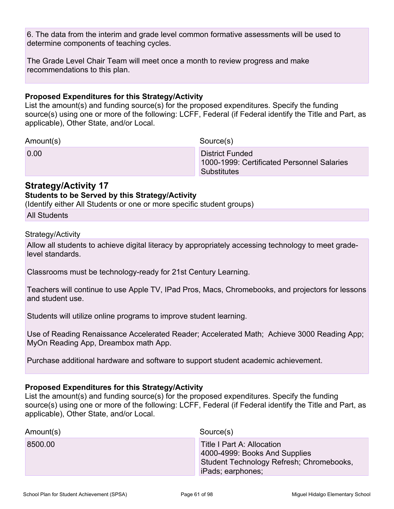6. The data from the interim and grade level common formative assessments will be used to determine components of teaching cycles.

The Grade Level Chair Team will meet once a month to review progress and make recommendations to this plan.

## **Proposed Expenditures for this Strategy/Activity**

List the amount(s) and funding source(s) for the proposed expenditures. Specify the funding source(s) using one or more of the following: LCFF, Federal (if Federal identify the Title and Part, as applicable), Other State, and/or Local.

| Amount(s) |  |
|-----------|--|
|-----------|--|

Source(s)

0.00 District Funded 1000-1999: Certificated Personnel Salaries **Substitutes** 

## **Strategy/Activity 17 Students to be Served by this Strategy/Activity**

(Identify either All Students or one or more specific student groups)

All Students

## Strategy/Activity

Allow all students to achieve digital literacy by appropriately accessing technology to meet gradelevel standards.

Classrooms must be technology-ready for 21st Century Learning.

Teachers will continue to use Apple TV, IPad Pros, Macs, Chromebooks, and projectors for lessons and student use.

Students will utilize online programs to improve student learning.

Use of Reading Renaissance Accelerated Reader; Accelerated Math; Achieve 3000 Reading App; MyOn Reading App, Dreambox math App.

Purchase additional hardware and software to support student academic achievement.

## **Proposed Expenditures for this Strategy/Activity**

| Amount(s) | Source(s)                                                                                                                    |
|-----------|------------------------------------------------------------------------------------------------------------------------------|
| 8500.00   | Title I Part A: Allocation<br>4000-4999: Books And Supplies<br>Student Technology Refresh; Chromebooks,<br>iPads; earphones; |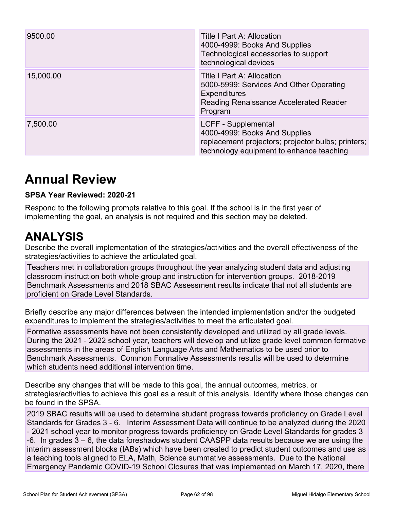| 9500.00   | Title I Part A: Allocation<br>4000-4999: Books And Supplies<br>Technological accessories to support<br>technological devices                                    |
|-----------|-----------------------------------------------------------------------------------------------------------------------------------------------------------------|
| 15,000.00 | <b>Title I Part A: Allocation</b><br>5000-5999: Services And Other Operating<br><b>Expenditures</b><br><b>Reading Renaissance Accelerated Reader</b><br>Program |
| 7,500.00  | LCFF - Supplemental<br>4000-4999: Books And Supplies<br>replacement projectors; projector bulbs; printers;<br>technology equipment to enhance teaching          |

# **Annual Review**

## **SPSA Year Reviewed: 2020-21**

Respond to the following prompts relative to this goal. If the school is in the first year of implementing the goal, an analysis is not required and this section may be deleted.

# **ANALYSIS**

Describe the overall implementation of the strategies/activities and the overall effectiveness of the strategies/activities to achieve the articulated goal.

Teachers met in collaboration groups throughout the year analyzing student data and adjusting classroom instruction both whole group and instruction for intervention groups. 2018-2019 Benchmark Assessments and 2018 SBAC Assessment results indicate that not all students are proficient on Grade Level Standards.

Briefly describe any major differences between the intended implementation and/or the budgeted expenditures to implement the strategies/activities to meet the articulated goal.

Formative assessments have not been consistently developed and utilized by all grade levels. During the 2021 - 2022 school year, teachers will develop and utilize grade level common formative assessments in the areas of English Language Arts and Mathematics to be used prior to Benchmark Assessments. Common Formative Assessments results will be used to determine which students need additional intervention time.

Describe any changes that will be made to this goal, the annual outcomes, metrics, or strategies/activities to achieve this goal as a result of this analysis. Identify where those changes can be found in the SPSA.

2019 SBAC results will be used to determine student progress towards proficiency on Grade Level Standards for Grades 3 - 6. Interim Assessment Data will continue to be analyzed during the 2020 - 2021 school year to monitor progress towards proficiency on Grade Level Standards for grades 3 -6. In grades 3 – 6, the data foreshadows student CAASPP data results because we are using the interim assessment blocks (IABs) which have been created to predict student outcomes and use as a teaching tools aligned to ELA, Math, Science summative assessments. Due to the National Emergency Pandemic COVID-19 School Closures that was implemented on March 17, 2020, there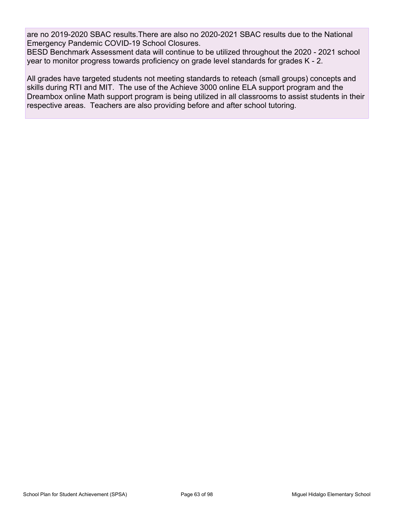are no 2019-2020 SBAC results.There are also no 2020-2021 SBAC results due to the National Emergency Pandemic COVID-19 School Closures.

BESD Benchmark Assessment data will continue to be utilized throughout the 2020 - 2021 school year to monitor progress towards proficiency on grade level standards for grades K - 2.

All grades have targeted students not meeting standards to reteach (small groups) concepts and skills during RTI and MIT. The use of the Achieve 3000 online ELA support program and the Dreambox online Math support program is being utilized in all classrooms to assist students in their respective areas. Teachers are also providing before and after school tutoring.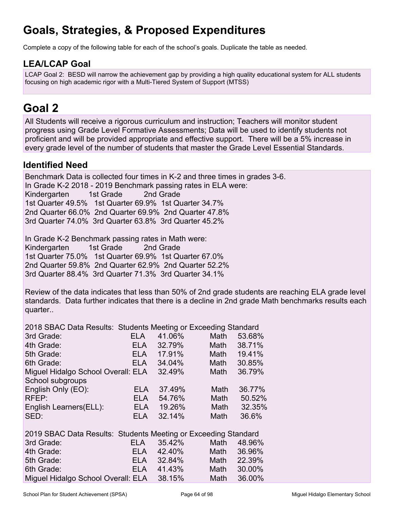# **Goals, Strategies, & Proposed Expenditures**

Complete a copy of the following table for each of the school's goals. Duplicate the table as needed.

## **LEA/LCAP Goal**

LCAP Goal 2: BESD will narrow the achievement gap by providing a high quality educational system for ALL students focusing on high academic rigor with a Multi-Tiered System of Support (MTSS)

## **Goal 2**

All Students will receive a rigorous curriculum and instruction; Teachers will monitor student progress using Grade Level Formative Assessments; Data will be used to identify students not proficient and will be provided appropriate and effective support. There will be a 5% increase in every grade level of the number of students that master the Grade Level Essential Standards.

## **Identified Need**

Benchmark Data is collected four times in K-2 and three times in grades 3-6. In Grade K-2 2018 - 2019 Benchmark passing rates in ELA were: Kindergarten 1st Grade 2nd Grade 1st Quarter 49.5% 1st Quarter 69.9% 1st Quarter 34.7% 2nd Quarter 66.0% 2nd Quarter 69.9% 2nd Quarter 47.8% 3rd Quarter 74.0% 3rd Quarter 63.8% 3rd Quarter 45.2%

In Grade K-2 Benchmark passing rates in Math were: Kindergarten 1st Grade 2nd Grade 1st Quarter 75.0% 1st Quarter 69.9% 1st Quarter 67.0% 2nd Quarter 59.8% 2nd Quarter 62.9% 2nd Quarter 52.2% 3rd Quarter 88.4% 3rd Quarter 71.3% 3rd Quarter 34.1%

Review of the data indicates that less than 50% of 2nd grade students are reaching ELA grade level standards. Data further indicates that there is a decline in 2nd grade Math benchmarks results each quarter..

2018 SBAC Data Results: Students Meeting or Exceeding Standard

| 3rd Grade:                                                     | ELA.       | 41.06% | Math | 53.68% |
|----------------------------------------------------------------|------------|--------|------|--------|
| 4th Grade:                                                     | <b>ELA</b> | 32.79% | Math | 38.71% |
| 5th Grade:                                                     | <b>ELA</b> | 17.91% | Math | 19.41% |
| 6th Grade:                                                     | <b>ELA</b> | 34.04% | Math | 30.85% |
| Miguel Hidalgo School Overall: ELA                             |            | 32.49% | Math | 36.79% |
| School subgroups                                               |            |        |      |        |
| English Only (EO):                                             | <b>ELA</b> | 37.49% | Math | 36.77% |
| RFEP:                                                          | ELA        | 54.76% | Math | 50.52% |
| English Learners(ELL):                                         | <b>ELA</b> | 19.26% | Math | 32.35% |
| SED:                                                           | <b>ELA</b> | 32.14% | Math | 36.6%  |
| 2019 SBAC Data Results: Students Meeting or Exceeding Standard |            |        |      |        |
| 3rd Grade:                                                     | ELA        | 35.42% | Math | 48.96% |
| 4th Grade:                                                     | ELA        | 42.40% | Math | 36.96% |
| 5th Grade:                                                     | ELA        | 32.84% | Math | 22.39% |
| 6th Grade:                                                     | <b>ELA</b> | 41.43% | Math | 30.00% |

Miguel Hidalgo School Overall: ELA 38.15% Math 36.00%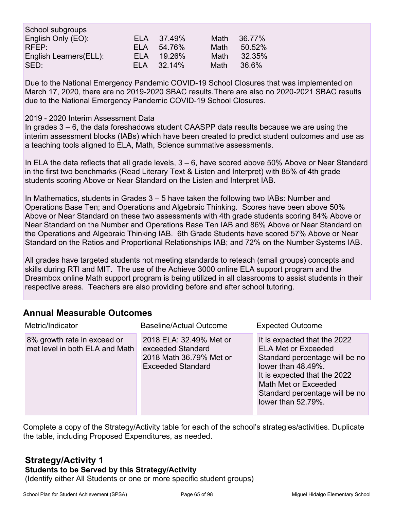| School subgroups       |      |        |      |        |
|------------------------|------|--------|------|--------|
| English Only (EO):     | FI A | 37.49% | Math | 36.77% |
| RFEP:                  | FI A | 54.76% | Math | 50.52% |
| English Learners(ELL): | FI A | 19.26% | Math | 32.35% |
| SED:                   | FI A | 32.14% | Math | 36.6%  |

Due to the National Emergency Pandemic COVID-19 School Closures that was implemented on March 17, 2020, there are no 2019-2020 SBAC results.There are also no 2020-2021 SBAC results due to the National Emergency Pandemic COVID-19 School Closures.

#### 2019 - 2020 Interim Assessment Data

In grades 3 – 6, the data foreshadows student CAASPP data results because we are using the interim assessment blocks (IABs) which have been created to predict student outcomes and use as a teaching tools aligned to ELA, Math, Science summative assessments.

In ELA the data reflects that all grade levels, 3 – 6, have scored above 50% Above or Near Standard in the first two benchmarks (Read Literary Text & Listen and Interpret) with 85% of 4th grade students scoring Above or Near Standard on the Listen and Interpret IAB.

In Mathematics, students in Grades 3 – 5 have taken the following two IABs: Number and Operations Base Ten; and Operations and Algebraic Thinking. Scores have been above 50% Above or Near Standard on these two assessments with 4th grade students scoring 84% Above or Near Standard on the Number and Operations Base Ten IAB and 86% Above or Near Standard on the Operations and Algebraic Thinking IAB. 6th Grade Students have scored 57% Above or Near Standard on the Ratios and Proportional Relationships IAB; and 72% on the Number Systems IAB.

All grades have targeted students not meeting standards to reteach (small groups) concepts and skills during RTI and MIT. The use of the Achieve 3000 online ELA support program and the Dreambox online Math support program is being utilized in all classrooms to assist students in their respective areas. Teachers are also providing before and after school tutoring.

## **Annual Measurable Outcomes**

| Metric/Indicator                                              | Baseline/Actual Outcome                                                                             | <b>Expected Outcome</b>                                                                                                                                                                                                                |  |
|---------------------------------------------------------------|-----------------------------------------------------------------------------------------------------|----------------------------------------------------------------------------------------------------------------------------------------------------------------------------------------------------------------------------------------|--|
| 8% growth rate in exceed or<br>met level in both ELA and Math | 2018 ELA: 32.49% Met or<br>exceeded Standard<br>2018 Math 36.79% Met or<br><b>Exceeded Standard</b> | It is expected that the 2022<br><b>ELA Met or Exceeded</b><br>Standard percentage will be no<br>lower than $48.49\%$ .<br>It is expected that the 2022<br>Math Met or Exceeded<br>Standard percentage will be no<br>lower than 52.79%. |  |

Complete a copy of the Strategy/Activity table for each of the school's strategies/activities. Duplicate the table, including Proposed Expenditures, as needed.

## **Strategy/Activity 1 Students to be Served by this Strategy/Activity**

(Identify either All Students or one or more specific student groups)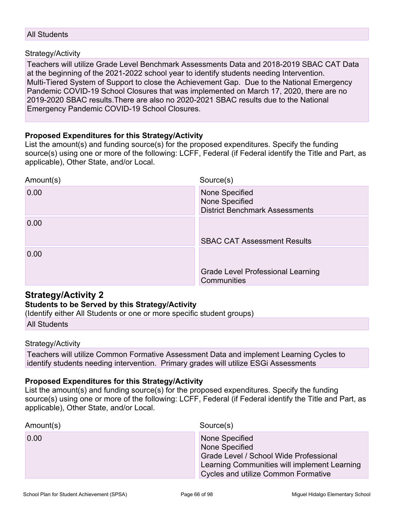#### All Students

#### Strategy/Activity

Teachers will utilize Grade Level Benchmark Assessments Data and 2018-2019 SBAC CAT Data at the beginning of the 2021-2022 school year to identify students needing Intervention. Multi-Tiered System of Support to close the Achievement Gap. Due to the National Emergency Pandemic COVID-19 School Closures that was implemented on March 17, 2020, there are no 2019-2020 SBAC results.There are also no 2020-2021 SBAC results due to the National Emergency Pandemic COVID-19 School Closures.

## **Proposed Expenditures for this Strategy/Activity**

List the amount(s) and funding source(s) for the proposed expenditures. Specify the funding source(s) using one or more of the following: LCFF, Federal (if Federal identify the Title and Part, as applicable), Other State, and/or Local.

| Amount(s) | Source(s)                                                                 |
|-----------|---------------------------------------------------------------------------|
| 0.00      | None Specified<br>None Specified<br><b>District Benchmark Assessments</b> |
| 0.00      | <b>SBAC CAT Assessment Results</b>                                        |
| 0.00      | <b>Grade Level Professional Learning</b><br>Communities                   |

## **Strategy/Activity 2**

## **Students to be Served by this Strategy/Activity**

(Identify either All Students or one or more specific student groups)

All Students

#### Strategy/Activity

Teachers will utilize Common Formative Assessment Data and implement Learning Cycles to identify students needing intervention. Primary grades will utilize ESGi Assessments

## **Proposed Expenditures for this Strategy/Activity**

| Amount(s) | Source(s)                                                                                                                                                                |
|-----------|--------------------------------------------------------------------------------------------------------------------------------------------------------------------------|
| 0.00      | None Specified<br>None Specified<br>Grade Level / School Wide Professional<br>Learning Communities will implement Learning<br><b>Cycles and utilize Common Formative</b> |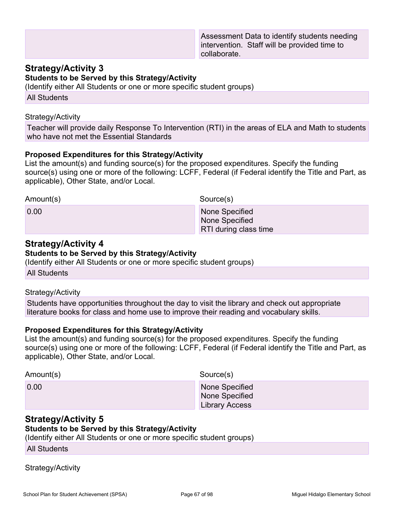## **Strategy/Activity 3**

**Students to be Served by this Strategy/Activity**

(Identify either All Students or one or more specific student groups)

All Students

#### Strategy/Activity

Teacher will provide daily Response To Intervention (RTI) in the areas of ELA and Math to students who have not met the Essential Standards

## **Proposed Expenditures for this Strategy/Activity**

List the amount(s) and funding source(s) for the proposed expenditures. Specify the funding source(s) using one or more of the following: LCFF, Federal (if Federal identify the Title and Part, as applicable), Other State, and/or Local.

| Amount(s) | Source(s)                                                        |
|-----------|------------------------------------------------------------------|
| 0.00      | None Specified<br>None Specified<br><b>RTI during class time</b> |

## **Strategy/Activity 4**

## **Students to be Served by this Strategy/Activity**

(Identify either All Students or one or more specific student groups)

All Students

Strategy/Activity

Students have opportunities throughout the day to visit the library and check out appropriate literature books for class and home use to improve their reading and vocabulary skills.

## **Proposed Expenditures for this Strategy/Activity**

List the amount(s) and funding source(s) for the proposed expenditures. Specify the funding source(s) using one or more of the following: LCFF, Federal (if Federal identify the Title and Part, as applicable), Other State, and/or Local.

| Amount(s) | Source(s)                                                 |
|-----------|-----------------------------------------------------------|
| 0.00      | None Specified<br>None Specified<br><b>Library Access</b> |

## **Strategy/Activity 5**

## **Students to be Served by this Strategy/Activity**

(Identify either All Students or one or more specific student groups)

All Students

Strategy/Activity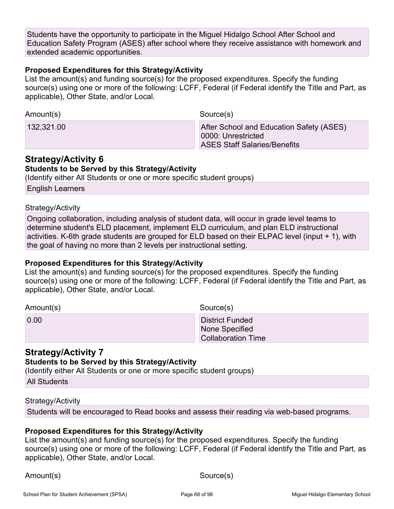Students have the opportunity to participate in the Miguel Hidalgo School After School and Education Safety Program (ASES) after school where they receive assistance with homework and extended academic opportunities.

## **Proposed Expenditures for this Strategy/Activity**

List the amount(s) and funding source(s) for the proposed expenditures. Specify the funding source(s) using one or more of the following: LCFF, Federal (if Federal identify the Title and Part, as applicable), Other State, and/or Local.

| Amount(s)  | Source(s)                                                                                             |  |
|------------|-------------------------------------------------------------------------------------------------------|--|
| 132,321.00 | After School and Education Safety (ASES)<br>0000: Unrestricted<br><b>ASES Staff Salaries/Benefits</b> |  |

## **Strategy/Activity 6**

## **Students to be Served by this Strategy/Activity**

(Identify either All Students or one or more specific student groups)

English Learners

Strategy/Activity

Ongoing collaboration, including analysis of student data, will occur in grade level teams to determine student's ELD placement, implement ELD curriculum, and plan ELD instructional activities. K-6th grade students are grouped for ELD based on their ELPAC level (input + 1), with the goal of having no more than 2 levels per instructional setting.

## **Proposed Expenditures for this Strategy/Activity**

List the amount(s) and funding source(s) for the proposed expenditures. Specify the funding source(s) using one or more of the following: LCFF, Federal (if Federal identify the Title and Part, as applicable), Other State, and/or Local.

| Amount(s) | Source(s)                                                             |  |
|-----------|-----------------------------------------------------------------------|--|
| 0.00      | <b>District Funded</b><br>None Specified<br><b>Collaboration Time</b> |  |

## **Strategy/Activity 7**

## **Students to be Served by this Strategy/Activity**

(Identify either All Students or one or more specific student groups)

All Students

## Strategy/Activity

Students will be encouraged to Read books and assess their reading via web-based programs.

## **Proposed Expenditures for this Strategy/Activity**

List the amount(s) and funding source(s) for the proposed expenditures. Specify the funding source(s) using one or more of the following: LCFF, Federal (if Federal identify the Title and Part, as applicable), Other State, and/or Local.

## Amount(s) Source(s)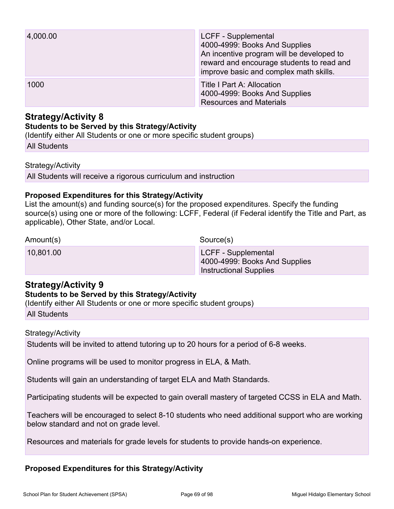| 4,000.00 | LCFF - Supplemental<br>4000-4999: Books And Supplies<br>An incentive program will be developed to<br>reward and encourage students to read and<br>improve basic and complex math skills. |
|----------|------------------------------------------------------------------------------------------------------------------------------------------------------------------------------------------|
| 1000     | Title I Part A: Allocation<br>4000-4999: Books And Supplies<br><b>Resources and Materials</b>                                                                                            |

## **Strategy/Activity 8**

## **Students to be Served by this Strategy/Activity**

(Identify either All Students or one or more specific student groups)

All Students

Strategy/Activity

All Students will receive a rigorous curriculum and instruction

## **Proposed Expenditures for this Strategy/Activity**

List the amount(s) and funding source(s) for the proposed expenditures. Specify the funding source(s) using one or more of the following: LCFF, Federal (if Federal identify the Title and Part, as applicable), Other State, and/or Local.

Amount(s) Source(s)

10,801.00 LCFF - Supplemental 4000-4999: Books And Supplies Instructional Supplies

## **Strategy/Activity 9**

## **Students to be Served by this Strategy/Activity**

(Identify either All Students or one or more specific student groups)

All Students

## Strategy/Activity

Students will be invited to attend tutoring up to 20 hours for a period of 6-8 weeks.

Online programs will be used to monitor progress in ELA, & Math.

Students will gain an understanding of target ELA and Math Standards.

Participating students will be expected to gain overall mastery of targeted CCSS in ELA and Math.

Teachers will be encouraged to select 8-10 students who need additional support who are working below standard and not on grade level.

Resources and materials for grade levels for students to provide hands-on experience.

## **Proposed Expenditures for this Strategy/Activity**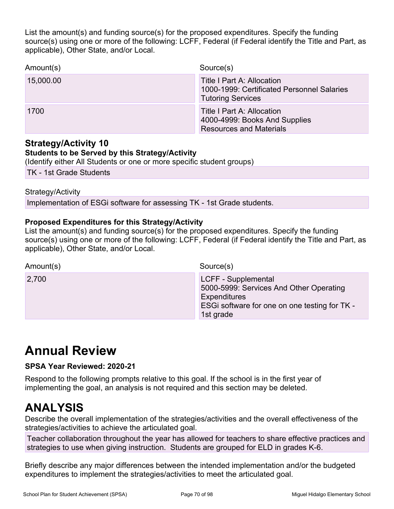List the amount(s) and funding source(s) for the proposed expenditures. Specify the funding source(s) using one or more of the following: LCFF, Federal (if Federal identify the Title and Part, as applicable), Other State, and/or Local.

| Amount(s) | Source(s)                                                                                            |  |
|-----------|------------------------------------------------------------------------------------------------------|--|
| 15,000.00 | Title I Part A: Allocation<br>1000-1999: Certificated Personnel Salaries<br><b>Tutoring Services</b> |  |
| 1700      | Title I Part A: Allocation<br>4000-4999: Books And Supplies<br><b>Resources and Materials</b>        |  |

## **Strategy/Activity 10**

## **Students to be Served by this Strategy/Activity**

(Identify either All Students or one or more specific student groups)

TK - 1st Grade Students

Strategy/Activity

Implementation of ESGi software for assessing TK - 1st Grade students.

## **Proposed Expenditures for this Strategy/Activity**

List the amount(s) and funding source(s) for the proposed expenditures. Specify the funding source(s) using one or more of the following: LCFF, Federal (if Federal identify the Title and Part, as applicable), Other State, and/or Local.

| Amount(s) | Source(s)                                                                                                                                           |  |
|-----------|-----------------------------------------------------------------------------------------------------------------------------------------------------|--|
| 2,700     | LCFF - Supplemental<br>5000-5999: Services And Other Operating<br><b>Expenditures</b><br>ESGi software for one on one testing for TK -<br>1st grade |  |

# **Annual Review**

## **SPSA Year Reviewed: 2020-21**

Respond to the following prompts relative to this goal. If the school is in the first year of implementing the goal, an analysis is not required and this section may be deleted.

# **ANALYSIS**

Describe the overall implementation of the strategies/activities and the overall effectiveness of the strategies/activities to achieve the articulated goal.

Teacher collaboration throughout the year has allowed for teachers to share effective practices and strategies to use when giving instruction. Students are grouped for ELD in grades K-6.

Briefly describe any major differences between the intended implementation and/or the budgeted expenditures to implement the strategies/activities to meet the articulated goal.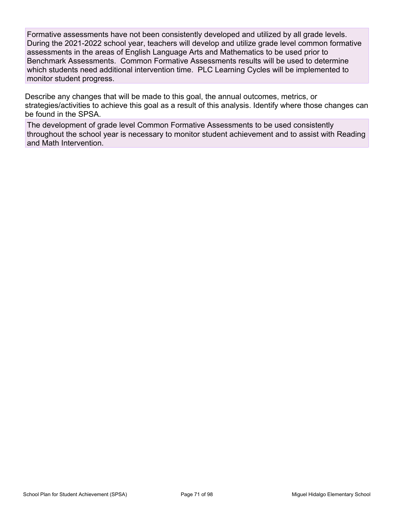Formative assessments have not been consistently developed and utilized by all grade levels. During the 2021-2022 school year, teachers will develop and utilize grade level common formative assessments in the areas of English Language Arts and Mathematics to be used prior to Benchmark Assessments. Common Formative Assessments results will be used to determine which students need additional intervention time. PLC Learning Cycles will be implemented to monitor student progress.

Describe any changes that will be made to this goal, the annual outcomes, metrics, or strategies/activities to achieve this goal as a result of this analysis. Identify where those changes can be found in the SPSA.

The development of grade level Common Formative Assessments to be used consistently throughout the school year is necessary to monitor student achievement and to assist with Reading and Math Intervention.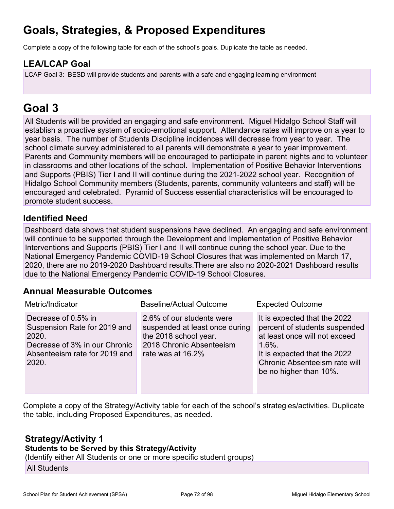# **Goals, Strategies, & Proposed Expenditures**

Complete a copy of the following table for each of the school's goals. Duplicate the table as needed.

## **LEA/LCAP Goal**

LCAP Goal 3: BESD will provide students and parents with a safe and engaging learning environment

## **Goal 3**

All Students will be provided an engaging and safe environment. Miguel Hidalgo School Staff will establish a proactive system of socio-emotional support. Attendance rates will improve on a year to year basis. The number of Students Discipline incidences will decrease from year to year. The school climate survey administered to all parents will demonstrate a year to year improvement. Parents and Community members will be encouraged to participate in parent nights and to volunteer in classrooms and other locations of the school. Implementation of Positive Behavior Interventions and Supports (PBIS) Tier I and II will continue during the 2021-2022 school year. Recognition of Hidalgo School Community members (Students, parents, community volunteers and staff) will be encouraged and celebrated. Pyramid of Success essential characteristics will be encouraged to promote student success.

## **Identified Need**

Dashboard data shows that student suspensions have declined. An engaging and safe environment will continue to be supported through the Development and Implementation of Positive Behavior Interventions and Supports (PBIS) Tier I and II will continue during the school year. Due to the National Emergency Pandemic COVID-19 School Closures that was implemented on March 17, 2020, there are no 2019-2020 Dashboard results.There are also no 2020-2021 Dashboard results due to the National Emergency Pandemic COVID-19 School Closures.

## **Annual Measurable Outcomes**

| Metric/Indicator                                                                                                                        | <b>Baseline/Actual Outcome</b>                                                                                                        | <b>Expected Outcome</b>                                                                                                                                                                                |
|-----------------------------------------------------------------------------------------------------------------------------------------|---------------------------------------------------------------------------------------------------------------------------------------|--------------------------------------------------------------------------------------------------------------------------------------------------------------------------------------------------------|
| Decrease of 0.5% in<br>Suspension Rate for 2019 and<br>2020.<br>Decrease of 3% in our Chronic<br>Absenteeism rate for 2019 and<br>2020. | 2.6% of our students were<br>suspended at least once during<br>the 2018 school year.<br>2018 Chronic Absenteeism<br>rate was at 16.2% | It is expected that the 2022<br>percent of students suspended<br>at least once will not exceed<br>$1.6\%$ .<br>It is expected that the 2022<br>Chronic Absenteeism rate will<br>be no higher than 10%. |

Complete a copy of the Strategy/Activity table for each of the school's strategies/activities. Duplicate the table, including Proposed Expenditures, as needed.

## **Strategy/Activity 1**

## **Students to be Served by this Strategy/Activity**

(Identify either All Students or one or more specific student groups)

All Students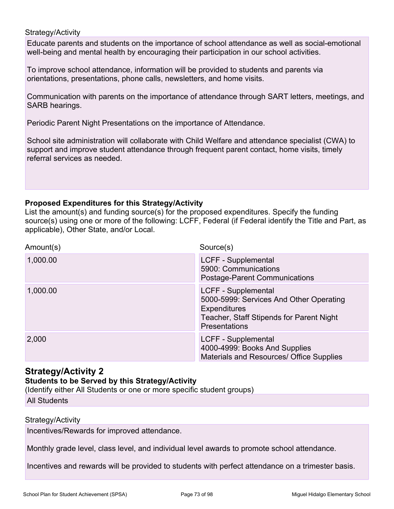Educate parents and students on the importance of school attendance as well as social-emotional well-being and mental health by encouraging their participation in our school activities.

To improve school attendance, information will be provided to students and parents via orientations, presentations, phone calls, newsletters, and home visits.

Communication with parents on the importance of attendance through SART letters, meetings, and SARB hearings.

Periodic Parent Night Presentations on the importance of Attendance.

School site administration will collaborate with Child Welfare and attendance specialist (CWA) to support and improve student attendance through frequent parent contact, home visits, timely referral services as needed.

#### **Proposed Expenditures for this Strategy/Activity**

List the amount(s) and funding source(s) for the proposed expenditures. Specify the funding source(s) using one or more of the following: LCFF, Federal (if Federal identify the Title and Part, as applicable), Other State, and/or Local.

| Amount(s) | Source(s)                                                                                                                                          |
|-----------|----------------------------------------------------------------------------------------------------------------------------------------------------|
| 1,000.00  | LCFF - Supplemental<br>5900: Communications<br><b>Postage-Parent Communications</b>                                                                |
| 1,000.00  | LCFF - Supplemental<br>5000-5999: Services And Other Operating<br><b>Expenditures</b><br>Teacher, Staff Stipends for Parent Night<br>Presentations |
| 2,000     | LCFF - Supplemental<br>4000-4999: Books And Supplies<br>Materials and Resources/ Office Supplies                                                   |

### **Strategy/Activity 2**

#### **Students to be Served by this Strategy/Activity**

(Identify either All Students or one or more specific student groups)

All Students

#### Strategy/Activity

Incentives/Rewards for improved attendance.

Monthly grade level, class level, and individual level awards to promote school attendance.

Incentives and rewards will be provided to students with perfect attendance on a trimester basis.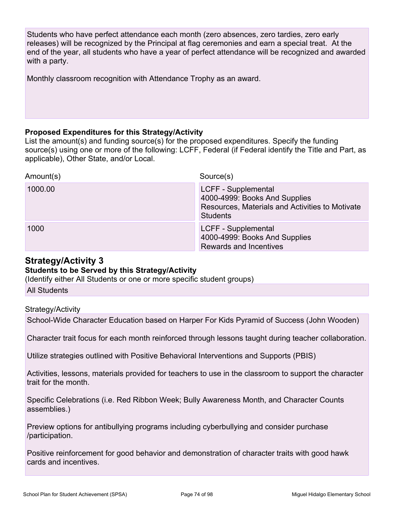Students who have perfect attendance each month (zero absences, zero tardies, zero early releases) will be recognized by the Principal at flag ceremonies and earn a special treat. At the end of the year, all students who have a year of perfect attendance will be recognized and awarded with a party.

Monthly classroom recognition with Attendance Trophy as an award.

#### **Proposed Expenditures for this Strategy/Activity**

List the amount(s) and funding source(s) for the proposed expenditures. Specify the funding source(s) using one or more of the following: LCFF, Federal (if Federal identify the Title and Part, as applicable), Other State, and/or Local.

| Amount(s) | Source(s)                                                                                                                  |
|-----------|----------------------------------------------------------------------------------------------------------------------------|
| 1000.00   | LCFF - Supplemental<br>4000-4999: Books And Supplies<br>Resources, Materials and Activities to Motivate<br><b>Students</b> |
| 1000      | LCFF - Supplemental<br>4000-4999: Books And Supplies<br>Rewards and Incentives                                             |

### **Strategy/Activity 3**

#### **Students to be Served by this Strategy/Activity**

(Identify either All Students or one or more specific student groups)

All Students

#### Strategy/Activity

School-Wide Character Education based on Harper For Kids Pyramid of Success (John Wooden)

Character trait focus for each month reinforced through lessons taught during teacher collaboration.

Utilize strategies outlined with Positive Behavioral Interventions and Supports (PBIS)

Activities, lessons, materials provided for teachers to use in the classroom to support the character trait for the month.

Specific Celebrations (i.e. Red Ribbon Week; Bully Awareness Month, and Character Counts assemblies.)

Preview options for antibullying programs including cyberbullying and consider purchase /participation.

Positive reinforcement for good behavior and demonstration of character traits with good hawk cards and incentives.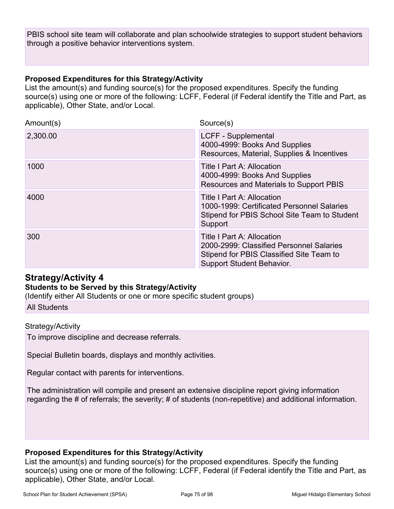PBIS school site team will collaborate and plan schoolwide strategies to support student behaviors through a positive behavior interventions system.

#### **Proposed Expenditures for this Strategy/Activity**

List the amount(s) and funding source(s) for the proposed expenditures. Specify the funding source(s) using one or more of the following: LCFF, Federal (if Federal identify the Title and Part, as applicable), Other State, and/or Local.

| Amount(s) | Source(s)                                                                                                                                       |
|-----------|-------------------------------------------------------------------------------------------------------------------------------------------------|
| 2,300.00  | <b>LCFF - Supplemental</b><br>4000-4999: Books And Supplies<br>Resources, Material, Supplies & Incentives                                       |
| 1000      | Title I Part A: Allocation<br>4000-4999: Books And Supplies<br>Resources and Materials to Support PBIS                                          |
| 4000      | Title I Part A: Allocation<br>1000-1999: Certificated Personnel Salaries<br>Stipend for PBIS School Site Team to Student<br>Support             |
| 300       | Title I Part A: Allocation<br>2000-2999: Classified Personnel Salaries<br>Stipend for PBIS Classified Site Team to<br>Support Student Behavior. |

### **Strategy/Activity 4**

#### **Students to be Served by this Strategy/Activity**

(Identify either All Students or one or more specific student groups)

All Students

#### Strategy/Activity

To improve discipline and decrease referrals.

Special Bulletin boards, displays and monthly activities.

Regular contact with parents for interventions.

The administration will compile and present an extensive discipline report giving information regarding the # of referrals; the severity; # of students (non-repetitive) and additional information.

#### **Proposed Expenditures for this Strategy/Activity**

List the amount(s) and funding source(s) for the proposed expenditures. Specify the funding source(s) using one or more of the following: LCFF, Federal (if Federal identify the Title and Part, as applicable), Other State, and/or Local.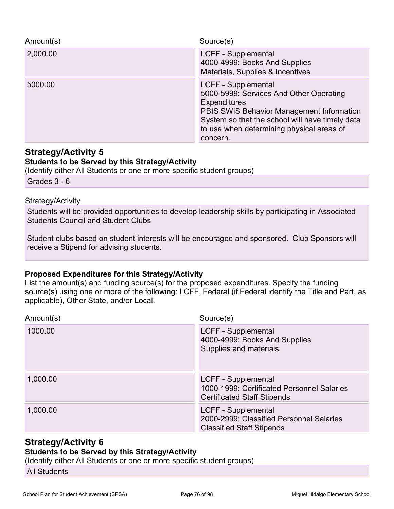| Amount(s) | Source(s)                                                                                                                                                                                                                                      |
|-----------|------------------------------------------------------------------------------------------------------------------------------------------------------------------------------------------------------------------------------------------------|
| 2,000.00  | LCFF - Supplemental<br>4000-4999: Books And Supplies<br>Materials, Supplies & Incentives                                                                                                                                                       |
| 5000.00   | LCFF - Supplemental<br>5000-5999: Services And Other Operating<br><b>Expenditures</b><br>PBIS SWIS Behavior Management Information<br>System so that the school will have timely data<br>to use when determining physical areas of<br>concern. |

#### **Students to be Served by this Strategy/Activity**

(Identify either All Students or one or more specific student groups)

Grades 3 - 6

#### Strategy/Activity

Students will be provided opportunities to develop leadership skills by participating in Associated Students Council and Student Clubs

Student clubs based on student interests will be encouraged and sponsored. Club Sponsors will receive a Stipend for advising students.

#### **Proposed Expenditures for this Strategy/Activity**

List the amount(s) and funding source(s) for the proposed expenditures. Specify the funding source(s) using one or more of the following: LCFF, Federal (if Federal identify the Title and Part, as applicable), Other State, and/or Local.

| Amount(s) | Source(s)                                                                                               |
|-----------|---------------------------------------------------------------------------------------------------------|
| 1000.00   | LCFF - Supplemental<br>4000-4999: Books And Supplies<br>Supplies and materials                          |
| 1,000.00  | LCFF - Supplemental<br>1000-1999: Certificated Personnel Salaries<br><b>Certificated Staff Stipends</b> |
| 1,000.00  | LCFF - Supplemental<br>2000-2999: Classified Personnel Salaries<br><b>Classified Staff Stipends</b>     |

## **Strategy/Activity 6**

#### **Students to be Served by this Strategy/Activity**

(Identify either All Students or one or more specific student groups)

#### All Students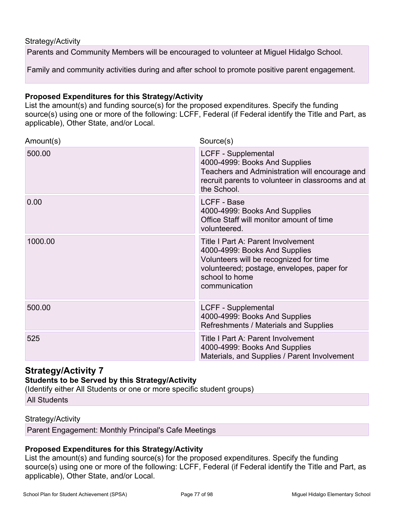Parents and Community Members will be encouraged to volunteer at Miguel Hidalgo School.

Family and community activities during and after school to promote positive parent engagement.

#### **Proposed Expenditures for this Strategy/Activity**

List the amount(s) and funding source(s) for the proposed expenditures. Specify the funding source(s) using one or more of the following: LCFF, Federal (if Federal identify the Title and Part, as applicable), Other State, and/or Local.

| Amount(s) | Source(s)                                                                                                                                                                                      |
|-----------|------------------------------------------------------------------------------------------------------------------------------------------------------------------------------------------------|
| 500.00    | LCFF - Supplemental<br>4000-4999: Books And Supplies<br>Teachers and Administration will encourage and<br>recruit parents to volunteer in classrooms and at<br>the School.                     |
| 0.00      | LCFF - Base<br>4000-4999: Books And Supplies<br>Office Staff will monitor amount of time<br>volunteered.                                                                                       |
| 1000.00   | Title I Part A: Parent Involvement<br>4000-4999: Books And Supplies<br>Volunteers will be recognized for time<br>volunteered; postage, envelopes, paper for<br>school to home<br>communication |
| 500.00    | LCFF - Supplemental<br>4000-4999: Books And Supplies<br>Refreshments / Materials and Supplies                                                                                                  |
| 525       | Title I Part A: Parent Involvement<br>4000-4999: Books And Supplies<br>Materials, and Supplies / Parent Involvement                                                                            |

### **Strategy/Activity 7**

#### **Students to be Served by this Strategy/Activity**

(Identify either All Students or one or more specific student groups)

All Students

#### Strategy/Activity

Parent Engagement: Monthly Principal's Cafe Meetings

#### **Proposed Expenditures for this Strategy/Activity**

List the amount(s) and funding source(s) for the proposed expenditures. Specify the funding source(s) using one or more of the following: LCFF, Federal (if Federal identify the Title and Part, as applicable), Other State, and/or Local.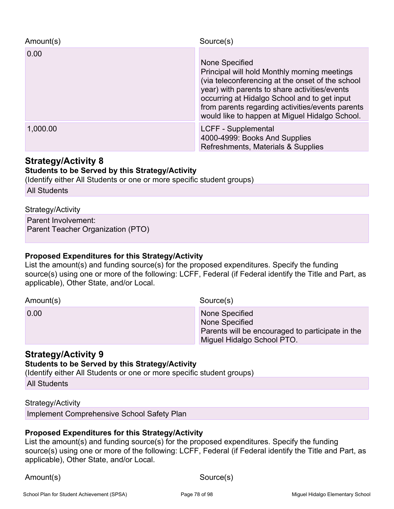| Amount(s) | Source(s)                                                                                                                                                                                                                                                                                                                 |
|-----------|---------------------------------------------------------------------------------------------------------------------------------------------------------------------------------------------------------------------------------------------------------------------------------------------------------------------------|
| 0.00      | None Specified<br>Principal will hold Monthly morning meetings<br>(via teleconferencing at the onset of the school<br>year) with parents to share activities/events<br>occurring at Hidalgo School and to get input<br>from parents regarding activities/events parents<br>would like to happen at Miguel Hidalgo School. |
| 1,000.00  | LCFF - Supplemental<br>4000-4999: Books And Supplies<br>Refreshments, Materials & Supplies                                                                                                                                                                                                                                |

#### **Students to be Served by this Strategy/Activity**

(Identify either All Students or one or more specific student groups)

All Students

#### Strategy/Activity

Parent Involvement: Parent Teacher Organization (PTO)

#### **Proposed Expenditures for this Strategy/Activity**

List the amount(s) and funding source(s) for the proposed expenditures. Specify the funding source(s) using one or more of the following: LCFF, Federal (if Federal identify the Title and Part, as applicable), Other State, and/or Local.

Amount(s) Source(s)

0.00 None Specified None Specified Parents will be encouraged to participate in the Miguel Hidalgo School PTO.

### **Strategy/Activity 9**

#### **Students to be Served by this Strategy/Activity**

(Identify either All Students or one or more specific student groups)

All Students

Strategy/Activity

Implement Comprehensive School Safety Plan

### **Proposed Expenditures for this Strategy/Activity**

List the amount(s) and funding source(s) for the proposed expenditures. Specify the funding source(s) using one or more of the following: LCFF, Federal (if Federal identify the Title and Part, as applicable), Other State, and/or Local.

Amount(s) Source(s)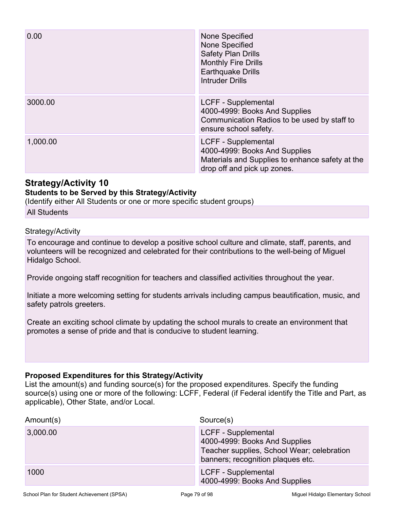| 0.00     | None Specified<br>None Specified<br><b>Safety Plan Drills</b><br><b>Monthly Fire Drills</b><br><b>Earthquake Drills</b><br><b>Intruder Drills</b> |
|----------|---------------------------------------------------------------------------------------------------------------------------------------------------|
| 3000.00  | <b>LCFF - Supplemental</b><br>4000-4999: Books And Supplies<br>Communication Radios to be used by staff to<br>ensure school safety.               |
| 1,000.00 | <b>LCFF - Supplemental</b><br>4000-4999: Books And Supplies<br>Materials and Supplies to enhance safety at the<br>drop off and pick up zones.     |

### **Strategy/Activity 10 Students to be Served by this Strategy/Activity**

(Identify either All Students or one or more specific student groups)

#### All Students

#### Strategy/Activity

To encourage and continue to develop a positive school culture and climate, staff, parents, and volunteers will be recognized and celebrated for their contributions to the well-being of Miguel Hidalgo School.

Provide ongoing staff recognition for teachers and classified activities throughout the year.

Initiate a more welcoming setting for students arrivals including campus beautification, music, and safety patrols greeters.

Create an exciting school climate by updating the school murals to create an environment that promotes a sense of pride and that is conducive to student learning.

#### **Proposed Expenditures for this Strategy/Activity**

List the amount(s) and funding source(s) for the proposed expenditures. Specify the funding source(s) using one or more of the following: LCFF, Federal (if Federal identify the Title and Part, as applicable), Other State, and/or Local.

| Amount(s) | Source(s)                                                                                                                               |
|-----------|-----------------------------------------------------------------------------------------------------------------------------------------|
| 3,000.00  | LCFF - Supplemental<br>4000-4999: Books And Supplies<br>Teacher supplies, School Wear; celebration<br>banners; recognition plaques etc. |
| 1000      | LCFF - Supplemental<br>4000-4999: Books And Supplies                                                                                    |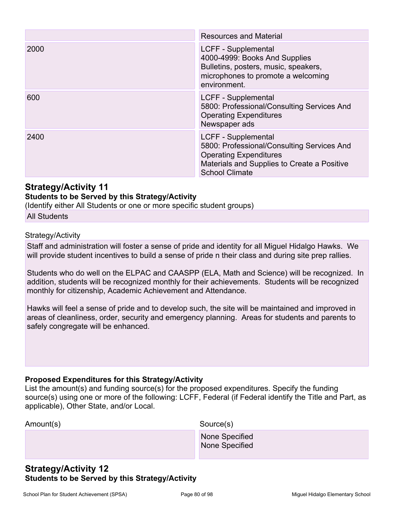|      | <b>Resources and Material</b>                                                                                                                                              |
|------|----------------------------------------------------------------------------------------------------------------------------------------------------------------------------|
| 2000 | LCFF - Supplemental<br>4000-4999: Books And Supplies<br>Bulletins, posters, music, speakers,<br>microphones to promote a welcoming<br>environment.                         |
| 600  | LCFF - Supplemental<br>5800: Professional/Consulting Services And<br><b>Operating Expenditures</b><br>Newspaper ads                                                        |
| 2400 | LCFF - Supplemental<br>5800: Professional/Consulting Services And<br><b>Operating Expenditures</b><br>Materials and Supplies to Create a Positive<br><b>School Climate</b> |

#### **Students to be Served by this Strategy/Activity**

(Identify either All Students or one or more specific student groups)

All Students

#### Strategy/Activity

Staff and administration will foster a sense of pride and identity for all Miguel Hidalgo Hawks. We will provide student incentives to build a sense of pride n their class and during site prep rallies.

Students who do well on the ELPAC and CAASPP (ELA, Math and Science) will be recognized. In addition, students will be recognized monthly for their achievements. Students will be recognized monthly for citizenship, Academic Achievement and Attendance.

Hawks will feel a sense of pride and to develop such, the site will be maintained and improved in areas of cleanliness, order, security and emergency planning. Areas for students and parents to safely congregate will be enhanced.

#### **Proposed Expenditures for this Strategy/Activity**

List the amount(s) and funding source(s) for the proposed expenditures. Specify the funding source(s) using one or more of the following: LCFF, Federal (if Federal identify the Title and Part, as applicable), Other State, and/or Local.

| Amount(s) | Source(s)                        |
|-----------|----------------------------------|
|           | None Specified<br>None Specified |

## **Strategy/Activity 12 Students to be Served by this Strategy/Activity**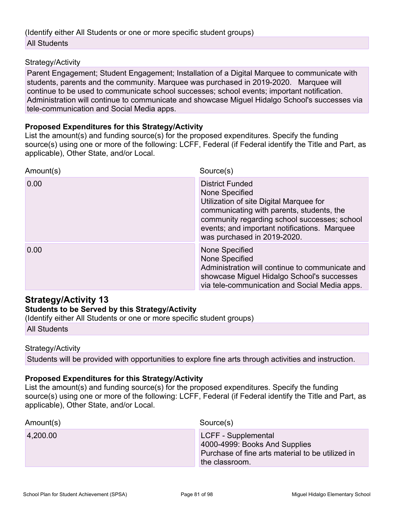Parent Engagement; Student Engagement; Installation of a Digital Marquee to communicate with students, parents and the community. Marquee was purchased in 2019-2020. Marquee will continue to be used to communicate school successes; school events; important notification. Administration will continue to communicate and showcase Miguel Hidalgo School's successes via tele-communication and Social Media apps.

#### **Proposed Expenditures for this Strategy/Activity**

List the amount(s) and funding source(s) for the proposed expenditures. Specify the funding source(s) using one or more of the following: LCFF, Federal (if Federal identify the Title and Part, as applicable), Other State, and/or Local.

| Amount(s) | Source(s)                                                                                                                                                                                                                                                       |
|-----------|-----------------------------------------------------------------------------------------------------------------------------------------------------------------------------------------------------------------------------------------------------------------|
| 0.00      | <b>District Funded</b><br>None Specified<br>Utilization of site Digital Marquee for<br>communicating with parents, students, the<br>community regarding school successes; school<br>events; and important notifications. Marquee<br>was purchased in 2019-2020. |
| 0.00      | None Specified<br>None Specified<br>Administration will continue to communicate and<br>showcase Miguel Hidalgo School's successes<br>via tele-communication and Social Media apps.                                                                              |

## **Strategy/Activity 13**

#### **Students to be Served by this Strategy/Activity**

(Identify either All Students or one or more specific student groups) All Students

## Strategy/Activity

Students will be provided with opportunities to explore fine arts through activities and instruction.

#### **Proposed Expenditures for this Strategy/Activity**

List the amount(s) and funding source(s) for the proposed expenditures. Specify the funding source(s) using one or more of the following: LCFF, Federal (if Federal identify the Title and Part, as applicable), Other State, and/or Local.

| Amount(s) | Source(s)                                                                                                                  |
|-----------|----------------------------------------------------------------------------------------------------------------------------|
| 4,200.00  | LCFF - Supplemental<br>4000-4999: Books And Supplies<br>Purchase of fine arts material to be utilized in<br>the classroom. |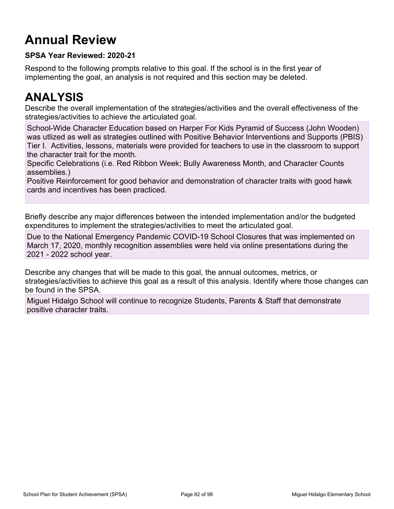# **Annual Review**

#### **SPSA Year Reviewed: 2020-21**

Respond to the following prompts relative to this goal. If the school is in the first year of implementing the goal, an analysis is not required and this section may be deleted.

# **ANALYSIS**

Describe the overall implementation of the strategies/activities and the overall effectiveness of the strategies/activities to achieve the articulated goal.

School-Wide Character Education based on Harper For Kids Pyramid of Success (John Wooden) was utlized as well as strategies outlined with Positive Behavior Interventions and Supports (PBIS) Tier I. Activities, lessons, materials were provided for teachers to use in the classroom to support the character trait for the month.

Specific Celebrations (i.e. Red Ribbon Week; Bully Awareness Month, and Character Counts assemblies.)

Positive Reinforcement for good behavior and demonstration of character traits with good hawk cards and incentives has been practiced.

Briefly describe any major differences between the intended implementation and/or the budgeted expenditures to implement the strategies/activities to meet the articulated goal.

Due to the National Emergency Pandemic COVID-19 School Closures that was implemented on March 17, 2020, monthly recognition assemblies were held via online presentations during the 2021 - 2022 school year.

Describe any changes that will be made to this goal, the annual outcomes, metrics, or strategies/activities to achieve this goal as a result of this analysis. Identify where those changes can be found in the SPSA.

Miguel Hidalgo School will continue to recognize Students, Parents & Staff that demonstrate positive character traits.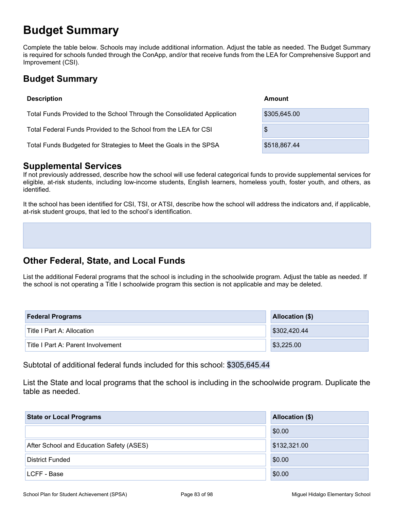# **Budget Summary**

Complete the table below. Schools may include additional information. Adjust the table as needed. The Budget Summary is required for schools funded through the ConApp, and/or that receive funds from the LEA for Comprehensive Support and Improvement (CSI).

## **Budget Summary**

| <b>Description</b>                                                      | Amount       |
|-------------------------------------------------------------------------|--------------|
| Total Funds Provided to the School Through the Consolidated Application | \$305,645.00 |
| Total Federal Funds Provided to the School from the LEA for CSI         | \$           |
| Total Funds Budgeted for Strategies to Meet the Goals in the SPSA       | \$518,867.44 |

## **Supplemental Services**

If not previously addressed, describe how the school will use federal categorical funds to provide supplemental services for eligible, at-risk students, including low-income students, English learners, homeless youth, foster youth, and others, as identified.

It the school has been identified for CSI, TSI, or ATSI, describe how the school will address the indicators and, if applicable, at-risk student groups, that led to the school's identification.

## **Other Federal, State, and Local Funds**

List the additional Federal programs that the school is including in the schoolwide program. Adjust the table as needed. If the school is not operating a Title I schoolwide program this section is not applicable and may be deleted.

| <b>Federal Programs</b>            | Allocation (\$) |
|------------------------------------|-----------------|
| Title I Part A: Allocation         | \$302,420.44    |
| Title I Part A: Parent Involvement | \$3,225.00      |

Subtotal of additional federal funds included for this school: \$305,645.44

List the State and local programs that the school is including in the schoolwide program. Duplicate the table as needed.

| <b>State or Local Programs</b>           | Allocation (\$) |
|------------------------------------------|-----------------|
|                                          | \$0.00          |
| After School and Education Safety (ASES) | \$132,321.00    |
| <b>District Funded</b>                   | \$0.00          |
| LCFF - Base                              | \$0.00          |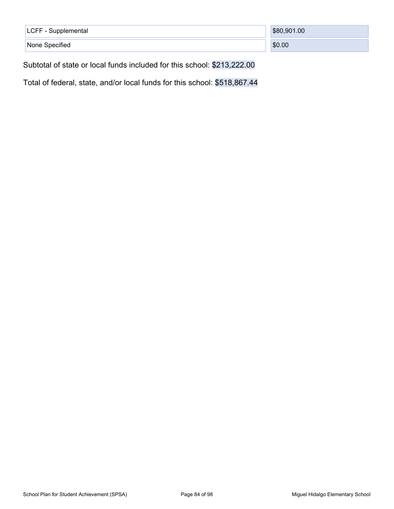| LCFF - Supplemental | \$80,901.00 |
|---------------------|-------------|
| None Specified      | \$0.00      |

Subtotal of state or local funds included for this school: \$213,222.00

Total of federal, state, and/or local funds for this school: \$518,867.44

Ξ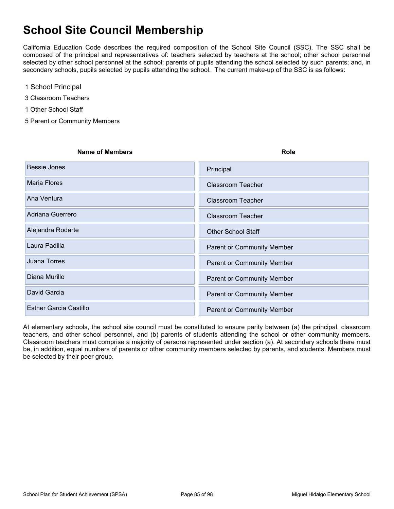# **School Site Council Membership**

California Education Code describes the required composition of the School Site Council (SSC). The SSC shall be composed of the principal and representatives of: teachers selected by teachers at the school; other school personnel selected by other school personnel at the school; parents of pupils attending the school selected by such parents; and, in secondary schools, pupils selected by pupils attending the school. The current make-up of the SSC is as follows:

- 1 School Principal
- 3 Classroom Teachers
- 1 Other School Staff
- 5 Parent or Community Members

| <b>Name of Members</b>        | Role                              |
|-------------------------------|-----------------------------------|
| Bessie Jones                  | Principal                         |
| <b>Maria Flores</b>           | Classroom Teacher                 |
| Ana Ventura                   | <b>Classroom Teacher</b>          |
| Adriana Guerrero              | Classroom Teacher                 |
| Alejandra Rodarte             | <b>Other School Staff</b>         |
| Laura Padilla                 | <b>Parent or Community Member</b> |
| Juana Torres                  | <b>Parent or Community Member</b> |
| Diana Murillo                 | <b>Parent or Community Member</b> |
| David Garcia                  | <b>Parent or Community Member</b> |
| <b>Esther Garcia Castillo</b> | <b>Parent or Community Member</b> |

At elementary schools, the school site council must be constituted to ensure parity between (a) the principal, classroom teachers, and other school personnel, and (b) parents of students attending the school or other community members. Classroom teachers must comprise a majority of persons represented under section (a). At secondary schools there must be, in addition, equal numbers of parents or other community members selected by parents, and students. Members must be selected by their peer group.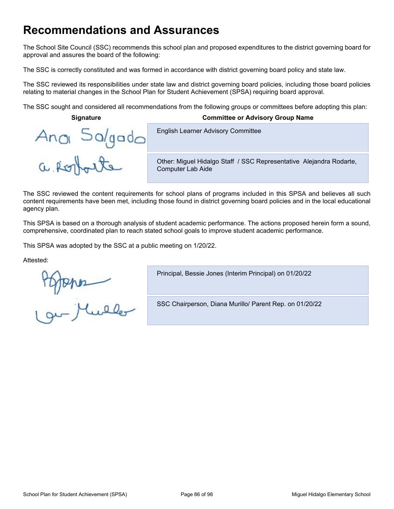# **Recommendations and Assurances**

The School Site Council (SSC) recommends this school plan and proposed expenditures to the district governing board for approval and assures the board of the following:

The SSC is correctly constituted and was formed in accordance with district governing board policy and state law.

The SSC reviewed its responsibilities under state law and district governing board policies, including those board policies relating to material changes in the School Plan for Student Achievement (SPSA) requiring board approval.

The SSC sought and considered all recommendations from the following groups or committees before adopting this plan:

**Signature Committee or Advisory Group Name** Ano Salgado **English Learner Advisory Committee** Other: Miguel Hidalgo Staff / SSC Representative Alejandra Rodarte, Computer Lab Aide

The SSC reviewed the content requirements for school plans of programs included in this SPSA and believes all such content requirements have been met, including those found in district governing board policies and in the local educational agency plan.

This SPSA is based on a thorough analysis of student academic performance. The actions proposed herein form a sound, comprehensive, coordinated plan to reach stated school goals to improve student academic performance.

This SPSA was adopted by the SSC at a public meeting on 1/20/22.

Attested:

Motorin

Principal, Bessie Jones (Interim Principal) on 01/20/22

SSC Chairperson, Diana Murillo/ Parent Rep. on 01/20/22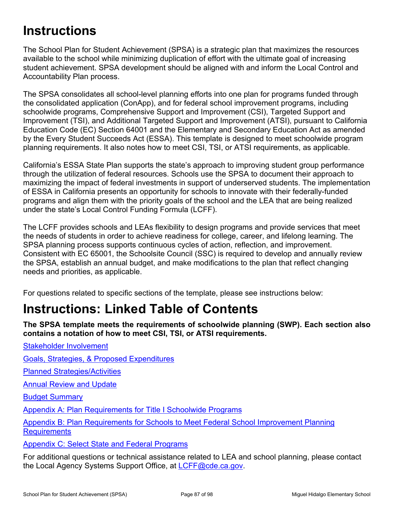# **Instructions**

The School Plan for Student Achievement (SPSA) is a strategic plan that maximizes the resources available to the school while minimizing duplication of effort with the ultimate goal of increasing student achievement. SPSA development should be aligned with and inform the Local Control and Accountability Plan process.

The SPSA consolidates all school-level planning efforts into one plan for programs funded through the consolidated application (ConApp), and for federal school improvement programs, including schoolwide programs, Comprehensive Support and Improvement (CSI), Targeted Support and Improvement (TSI), and Additional Targeted Support and Improvement (ATSI), pursuant to California Education Code (EC) Section 64001 and the Elementary and Secondary Education Act as amended by the Every Student Succeeds Act (ESSA). This template is designed to meet schoolwide program planning requirements. It also notes how to meet CSI, TSI, or ATSI requirements, as applicable.

California's ESSA State Plan supports the state's approach to improving student group performance through the utilization of federal resources. Schools use the SPSA to document their approach to maximizing the impact of federal investments in support of underserved students. The implementation of ESSA in California presents an opportunity for schools to innovate with their federally-funded programs and align them with the priority goals of the school and the LEA that are being realized under the state's Local Control Funding Formula (LCFF).

The LCFF provides schools and LEAs flexibility to design programs and provide services that meet the needs of students in order to achieve readiness for college, career, and lifelong learning. The SPSA planning process supports continuous cycles of action, reflection, and improvement. Consistent with EC 65001, the Schoolsite Council (SSC) is required to develop and annually review the SPSA, establish an annual budget, and make modifications to the plan that reflect changing needs and priorities, as applicable.

For questions related to specific sections of the template, please see instructions below:

# **Instructions: Linked Table of Contents**

**The SPSA template meets the requirements of schoolwide planning (SWP). Each section also contains a notation of how to meet CSI, TSI, or ATSI requirements.** 

[Goals, Strategies, & Proposed Expenditures](#page-88-0)

[Planned Strategies/Activities](#page-88-1)

**[Annual Review and Update](#page-89-0)** 

[Stakeholder Involvement](#page-87-0)

[Budget Summary](#page-90-0)

[Appendix A: Plan Requirements for Title I Schoolwide Programs](#page-92-0)

[Appendix B: Plan Requirements for Schools to Meet Federal School Improvement Planning](#page-95-0)  **[Requirements](#page-95-0)** 

[Appendix C: Select State and Federal Programs](#page-97-0)

For additional questions or technical assistance related to LEA and school planning, please contact the Local Agency Systems Support Office, at [LCFF@cde.ca.gov.](mailto:LCFF@cde.ca.gov)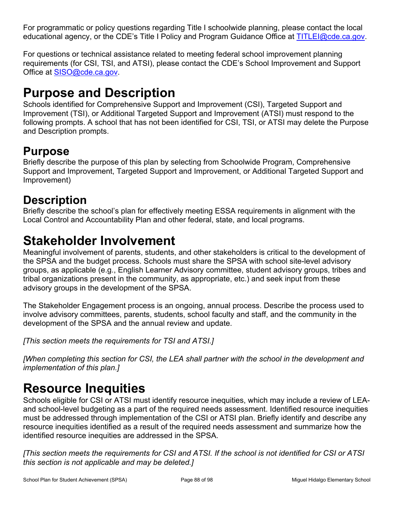For programmatic or policy questions regarding Title I schoolwide planning, please contact the local educational agency, or the CDE's Title I Policy and Program Guidance Office at [TITLEI@cde.ca.gov](mailto:TITLEI@cde.ca.gov).

For questions or technical assistance related to meeting federal school improvement planning requirements (for CSI, TSI, and ATSI), please contact the CDE's School Improvement and Support Office at [SISO@cde.ca.gov.](mailto:SISO@cde.ca.gov)

# **Purpose and Description**

Schools identified for Comprehensive Support and Improvement (CSI), Targeted Support and Improvement (TSI), or Additional Targeted Support and Improvement (ATSI) must respond to the following prompts. A school that has not been identified for CSI, TSI, or ATSI may delete the Purpose and Description prompts.

# **Purpose**

Briefly describe the purpose of this plan by selecting from Schoolwide Program, Comprehensive Support and Improvement, Targeted Support and Improvement, or Additional Targeted Support and Improvement)

# **Description**

Briefly describe the school's plan for effectively meeting ESSA requirements in alignment with the Local Control and Accountability Plan and other federal, state, and local programs.

# <span id="page-87-0"></span>**Stakeholder Involvement**

Meaningful involvement of parents, students, and other stakeholders is critical to the development of the SPSA and the budget process. Schools must share the SPSA with school site-level advisory groups, as applicable (e.g., English Learner Advisory committee, student advisory groups, tribes and tribal organizations present in the community, as appropriate, etc.) and seek input from these advisory groups in the development of the SPSA.

The Stakeholder Engagement process is an ongoing, annual process. Describe the process used to involve advisory committees, parents, students, school faculty and staff, and the community in the development of the SPSA and the annual review and update.

*[This section meets the requirements for TSI and ATSI.]*

*[When completing this section for CSI, the LEA shall partner with the school in the development and implementation of this plan.]*

# **Resource Inequities**

Schools eligible for CSI or ATSI must identify resource inequities, which may include a review of LEAand school-level budgeting as a part of the required needs assessment. Identified resource inequities must be addressed through implementation of the CSI or ATSI plan. Briefly identify and describe any resource inequities identified as a result of the required needs assessment and summarize how the identified resource inequities are addressed in the SPSA.

*[This section meets the requirements for CSI and ATSI. If the school is not identified for CSI or ATSI this section is not applicable and may be deleted.]*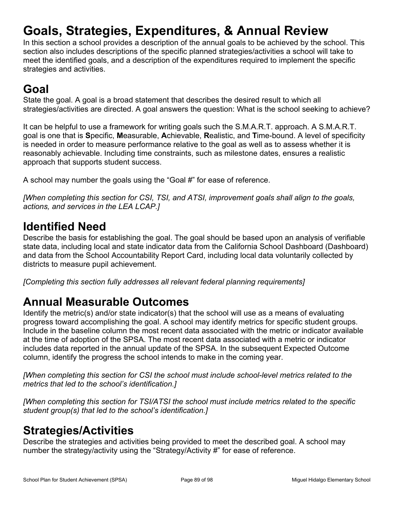# <span id="page-88-0"></span>**Goals, Strategies, Expenditures, & Annual Review**

In this section a school provides a description of the annual goals to be achieved by the school. This section also includes descriptions of the specific planned strategies/activities a school will take to meet the identified goals, and a description of the expenditures required to implement the specific strategies and activities.

# **Goal**

State the goal. A goal is a broad statement that describes the desired result to which all strategies/activities are directed. A goal answers the question: What is the school seeking to achieve?

It can be helpful to use a framework for writing goals such the S.M.A.R.T. approach. A S.M.A.R.T. goal is one that is **S**pecific, **M**easurable, **A**chievable, **R**ealistic, and **T**ime-bound. A level of specificity is needed in order to measure performance relative to the goal as well as to assess whether it is reasonably achievable. Including time constraints, such as milestone dates, ensures a realistic approach that supports student success.

A school may number the goals using the "Goal #" for ease of reference.

*[When completing this section for CSI, TSI, and ATSI, improvement goals shall align to the goals, actions, and services in the LEA LCAP.]*

# **Identified Need**

Describe the basis for establishing the goal. The goal should be based upon an analysis of verifiable state data, including local and state indicator data from the California School Dashboard (Dashboard) and data from the School Accountability Report Card, including local data voluntarily collected by districts to measure pupil achievement.

*[Completing this section fully addresses all relevant federal planning requirements]*

# **Annual Measurable Outcomes**

Identify the metric(s) and/or state indicator(s) that the school will use as a means of evaluating progress toward accomplishing the goal. A school may identify metrics for specific student groups. Include in the baseline column the most recent data associated with the metric or indicator available at the time of adoption of the SPSA. The most recent data associated with a metric or indicator includes data reported in the annual update of the SPSA. In the subsequent Expected Outcome column, identify the progress the school intends to make in the coming year.

*[When completing this section for CSI the school must include school-level metrics related to the metrics that led to the school's identification.]*

*[When completing this section for TSI/ATSI the school must include metrics related to the specific student group(s) that led to the school's identification.]* 

# <span id="page-88-1"></span>**Strategies/Activities**

Describe the strategies and activities being provided to meet the described goal. A school may number the strategy/activity using the "Strategy/Activity #" for ease of reference.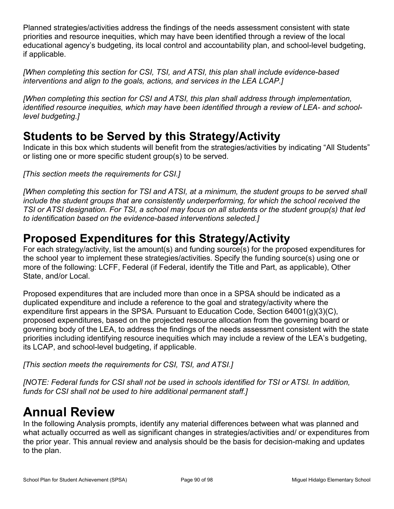Planned strategies/activities address the findings of the needs assessment consistent with state priorities and resource inequities, which may have been identified through a review of the local educational agency's budgeting, its local control and accountability plan, and school-level budgeting, if applicable.

*[When completing this section for CSI, TSI, and ATSI, this plan shall include evidence-based interventions and align to the goals, actions, and services in the LEA LCAP.]*

*[When completing this section for CSI and ATSI, this plan shall address through implementation, identified resource inequities, which may have been identified through a review of LEA- and schoollevel budgeting.]*

# **Students to be Served by this Strategy/Activity**

Indicate in this box which students will benefit from the strategies/activities by indicating "All Students" or listing one or more specific student group(s) to be served.

*[This section meets the requirements for CSI.]*

*[When completing this section for TSI and ATSI, at a minimum, the student groups to be served shall include the student groups that are consistently underperforming, for which the school received the TSI or ATSI designation. For TSI, a school may focus on all students or the student group(s) that led to identification based on the evidence-based interventions selected.]*

# **Proposed Expenditures for this Strategy/Activity**

For each strategy/activity, list the amount(s) and funding source(s) for the proposed expenditures for the school year to implement these strategies/activities. Specify the funding source(s) using one or more of the following: LCFF, Federal (if Federal, identify the Title and Part, as applicable), Other State, and/or Local.

Proposed expenditures that are included more than once in a SPSA should be indicated as a duplicated expenditure and include a reference to the goal and strategy/activity where the expenditure first appears in the SPSA. Pursuant to Education Code, Section 64001(g)(3)(C), proposed expenditures, based on the projected resource allocation from the governing board or governing body of the LEA, to address the findings of the needs assessment consistent with the state priorities including identifying resource inequities which may include a review of the LEA's budgeting, its LCAP, and school-level budgeting, if applicable.

*[This section meets the requirements for CSI, TSI, and ATSI.]*

*[NOTE: Federal funds for CSI shall not be used in schools identified for TSI or ATSI. In addition, funds for CSI shall not be used to hire additional permanent staff.]*

# <span id="page-89-0"></span>**Annual Review**

In the following Analysis prompts, identify any material differences between what was planned and what actually occurred as well as significant changes in strategies/activities and/ or expenditures from the prior year. This annual review and analysis should be the basis for decision-making and updates to the plan.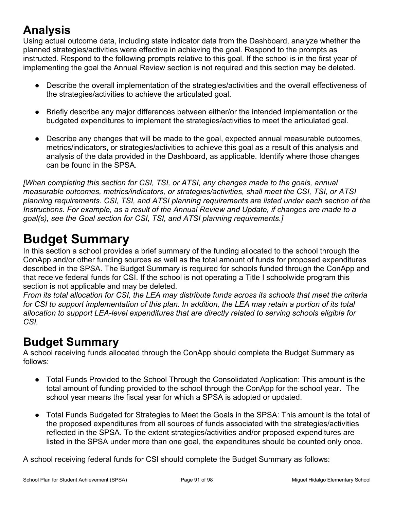# **Analysis**

Using actual outcome data, including state indicator data from the Dashboard, analyze whether the planned strategies/activities were effective in achieving the goal. Respond to the prompts as instructed. Respond to the following prompts relative to this goal. If the school is in the first year of implementing the goal the Annual Review section is not required and this section may be deleted.

- Describe the overall implementation of the strategies/activities and the overall effectiveness of the strategies/activities to achieve the articulated goal.
- Briefly describe any major differences between either/or the intended implementation or the budgeted expenditures to implement the strategies/activities to meet the articulated goal.
- Describe any changes that will be made to the goal, expected annual measurable outcomes, metrics/indicators, or strategies/activities to achieve this goal as a result of this analysis and analysis of the data provided in the Dashboard, as applicable. Identify where those changes can be found in the SPSA.

*[When completing this section for CSI, TSI, or ATSI, any changes made to the goals, annual measurable outcomes, metrics/indicators, or strategies/activities, shall meet the CSI, TSI, or ATSI planning requirements. CSI, TSI, and ATSI planning requirements are listed under each section of the Instructions. For example, as a result of the Annual Review and Update, if changes are made to a goal(s), see the Goal section for CSI, TSI, and ATSI planning requirements.]* 

# <span id="page-90-0"></span>**Budget Summary**

In this section a school provides a brief summary of the funding allocated to the school through the ConApp and/or other funding sources as well as the total amount of funds for proposed expenditures described in the SPSA. The Budget Summary is required for schools funded through the ConApp and that receive federal funds for CSI. If the school is not operating a Title I schoolwide program this section is not applicable and may be deleted.

*From its total allocation for CSI, the LEA may distribute funds across its schools that meet the criteria for CSI to support implementation of this plan. In addition, the LEA may retain a portion of its total allocation to support LEA-level expenditures that are directly related to serving schools eligible for CSI.*

# **Budget Summary**

A school receiving funds allocated through the ConApp should complete the Budget Summary as follows:

- Total Funds Provided to the School Through the Consolidated Application: This amount is the total amount of funding provided to the school through the ConApp for the school year. The school year means the fiscal year for which a SPSA is adopted or updated.
- Total Funds Budgeted for Strategies to Meet the Goals in the SPSA: This amount is the total of the proposed expenditures from all sources of funds associated with the strategies/activities reflected in the SPSA. To the extent strategies/activities and/or proposed expenditures are listed in the SPSA under more than one goal, the expenditures should be counted only once.

A school receiving federal funds for CSI should complete the Budget Summary as follows: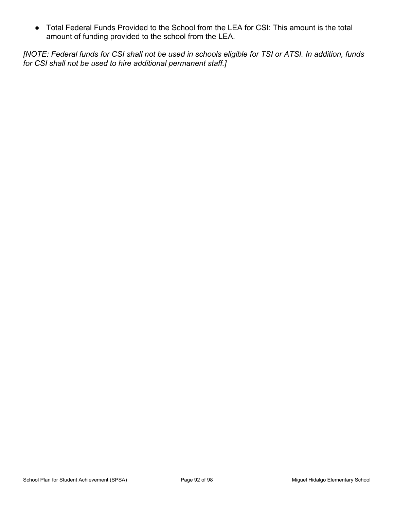● Total Federal Funds Provided to the School from the LEA for CSI: This amount is the total amount of funding provided to the school from the LEA.

*[NOTE: Federal funds for CSI shall not be used in schools eligible for TSI or ATSI. In addition, funds for CSI shall not be used to hire additional permanent staff.]*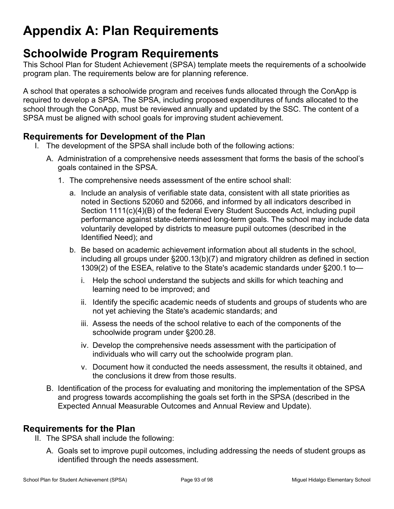# <span id="page-92-0"></span>**Appendix A: Plan Requirements**

# **Schoolwide Program Requirements**

This School Plan for Student Achievement (SPSA) template meets the requirements of a schoolwide program plan. The requirements below are for planning reference.

A school that operates a schoolwide program and receives funds allocated through the ConApp is required to develop a SPSA. The SPSA, including proposed expenditures of funds allocated to the school through the ConApp, must be reviewed annually and updated by the SSC. The content of a SPSA must be aligned with school goals for improving student achievement.

## **Requirements for Development of the Plan**

- I. The development of the SPSA shall include both of the following actions:
	- A. Administration of a comprehensive needs assessment that forms the basis of the school's goals contained in the SPSA.
		- 1. The comprehensive needs assessment of the entire school shall:
			- a. Include an analysis of verifiable state data, consistent with all state priorities as noted in Sections 52060 and 52066, and informed by all indicators described in Section 1111(c)(4)(B) of the federal Every Student Succeeds Act, including pupil performance against state-determined long-term goals. The school may include data voluntarily developed by districts to measure pupil outcomes (described in the Identified Need); and
			- b. Be based on academic achievement information about all students in the school, including all groups under §200.13(b)(7) and migratory children as defined in section 1309(2) of the ESEA, relative to the State's academic standards under §200.1 to
				- i. Help the school understand the subjects and skills for which teaching and learning need to be improved; and
				- ii. Identify the specific academic needs of students and groups of students who are not yet achieving the State's academic standards; and
				- iii. Assess the needs of the school relative to each of the components of the schoolwide program under §200.28.
				- iv. Develop the comprehensive needs assessment with the participation of individuals who will carry out the schoolwide program plan.
				- v. Document how it conducted the needs assessment, the results it obtained, and the conclusions it drew from those results.
	- B. Identification of the process for evaluating and monitoring the implementation of the SPSA and progress towards accomplishing the goals set forth in the SPSA (described in the Expected Annual Measurable Outcomes and Annual Review and Update).

## **Requirements for the Plan**

- II. The SPSA shall include the following:
	- A. Goals set to improve pupil outcomes, including addressing the needs of student groups as identified through the needs assessment.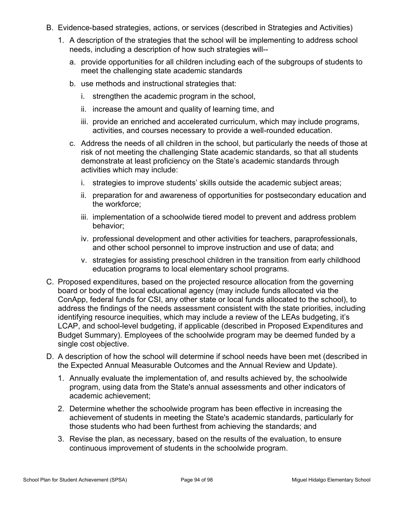- B. Evidence-based strategies, actions, or services (described in Strategies and Activities)
	- 1. A description of the strategies that the school will be implementing to address school needs, including a description of how such strategies will-
		- a. provide opportunities for all children including each of the subgroups of students to meet the challenging state academic standards
		- b. use methods and instructional strategies that:
			- i. strengthen the academic program in the school,
			- ii. increase the amount and quality of learning time, and
			- iii. provide an enriched and accelerated curriculum, which may include programs, activities, and courses necessary to provide a well-rounded education.
		- c. Address the needs of all children in the school, but particularly the needs of those at risk of not meeting the challenging State academic standards, so that all students demonstrate at least proficiency on the State's academic standards through activities which may include:
			- i. strategies to improve students' skills outside the academic subject areas;
			- ii. preparation for and awareness of opportunities for postsecondary education and the workforce;
			- iii. implementation of a schoolwide tiered model to prevent and address problem behavior;
			- iv. professional development and other activities for teachers, paraprofessionals, and other school personnel to improve instruction and use of data; and
			- v. strategies for assisting preschool children in the transition from early childhood education programs to local elementary school programs.
- C. Proposed expenditures, based on the projected resource allocation from the governing board or body of the local educational agency (may include funds allocated via the ConApp, federal funds for CSI, any other state or local funds allocated to the school), to address the findings of the needs assessment consistent with the state priorities, including identifying resource inequities, which may include a review of the LEAs budgeting, it's LCAP, and school-level budgeting, if applicable (described in Proposed Expenditures and Budget Summary). Employees of the schoolwide program may be deemed funded by a single cost objective.
- D. A description of how the school will determine if school needs have been met (described in the Expected Annual Measurable Outcomes and the Annual Review and Update).
	- 1. Annually evaluate the implementation of, and results achieved by, the schoolwide program, using data from the State's annual assessments and other indicators of academic achievement;
	- 2. Determine whether the schoolwide program has been effective in increasing the achievement of students in meeting the State's academic standards, particularly for those students who had been furthest from achieving the standards; and
	- 3. Revise the plan, as necessary, based on the results of the evaluation, to ensure continuous improvement of students in the schoolwide program.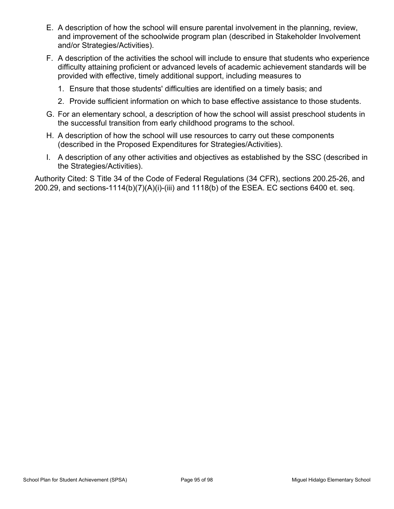- E. A description of how the school will ensure parental involvement in the planning, review, and improvement of the schoolwide program plan (described in Stakeholder Involvement and/or Strategies/Activities).
- F. A description of the activities the school will include to ensure that students who experience difficulty attaining proficient or advanced levels of academic achievement standards will be provided with effective, timely additional support, including measures to
	- 1. Ensure that those students' difficulties are identified on a timely basis; and
	- 2. Provide sufficient information on which to base effective assistance to those students.
- G. For an elementary school, a description of how the school will assist preschool students in the successful transition from early childhood programs to the school.
- H. A description of how the school will use resources to carry out these components (described in the Proposed Expenditures for Strategies/Activities).
- I. A description of any other activities and objectives as established by the SSC (described in the Strategies/Activities).

Authority Cited: S Title 34 of the Code of Federal Regulations (34 CFR), sections 200.25-26, and 200.29, and sections-1114(b)(7)(A)(i)-(iii) and 1118(b) of the ESEA. EC sections 6400 et. seq.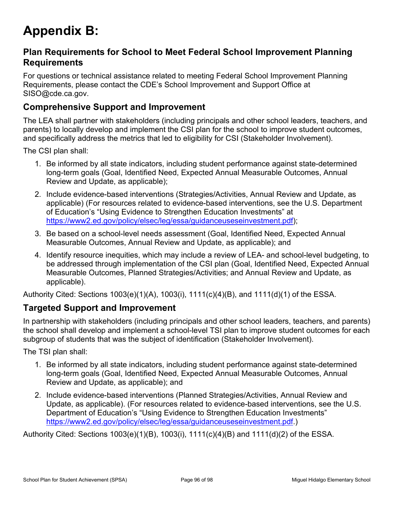# <span id="page-95-0"></span>**Appendix B:**

## **Plan Requirements for School to Meet Federal School Improvement Planning Requirements**

For questions or technical assistance related to meeting Federal School Improvement Planning Requirements, please contact the CDE's School Improvement and Support Office at SISO@cde.ca.gov.

## **Comprehensive Support and Improvement**

The LEA shall partner with stakeholders (including principals and other school leaders, teachers, and parents) to locally develop and implement the CSI plan for the school to improve student outcomes, and specifically address the metrics that led to eligibility for CSI (Stakeholder Involvement).

The CSI plan shall:

- 1. Be informed by all state indicators, including student performance against state-determined long-term goals (Goal, Identified Need, Expected Annual Measurable Outcomes, Annual Review and Update, as applicable);
- 2. Include evidence-based interventions (Strategies/Activities, Annual Review and Update, as applicable) (For resources related to evidence-based interventions, see the U.S. Department of Education's "Using Evidence to Strengthen Education Investments" at [https://www2.ed.gov/policy/elsec/leg/essa/guidanceuseseinvestment.pdf\)](https://www2.ed.gov/policy/elsec/leg/essa/guidanceuseseinvestment.pdf);
- 3. Be based on a school-level needs assessment (Goal, Identified Need, Expected Annual Measurable Outcomes, Annual Review and Update, as applicable); and
- 4. Identify resource inequities, which may include a review of LEA- and school-level budgeting, to be addressed through implementation of the CSI plan (Goal, Identified Need, Expected Annual Measurable Outcomes, Planned Strategies/Activities; and Annual Review and Update, as applicable).

Authority Cited: Sections 1003(e)(1)(A), 1003(i), 1111(c)(4)(B), and 1111(d)(1) of the ESSA.

### **Targeted Support and Improvement**

In partnership with stakeholders (including principals and other school leaders, teachers, and parents) the school shall develop and implement a school-level TSI plan to improve student outcomes for each subgroup of students that was the subject of identification (Stakeholder Involvement).

The TSI plan shall:

- 1. Be informed by all state indicators, including student performance against state-determined long-term goals (Goal, Identified Need, Expected Annual Measurable Outcomes, Annual Review and Update, as applicable); and
- 2. Include evidence-based interventions (Planned Strategies/Activities, Annual Review and Update, as applicable). (For resources related to evidence-based interventions, see the U.S. Department of Education's "Using Evidence to Strengthen Education Investments" [https://www2.ed.gov/policy/elsec/leg/essa/guidanceuseseinvestment.pdf.](https://www2.ed.gov/policy/elsec/leg/essa/guidanceuseseinvestment.pdf))

Authority Cited: Sections 1003(e)(1)(B), 1003(i), 1111(c)(4)(B) and 1111(d)(2) of the ESSA.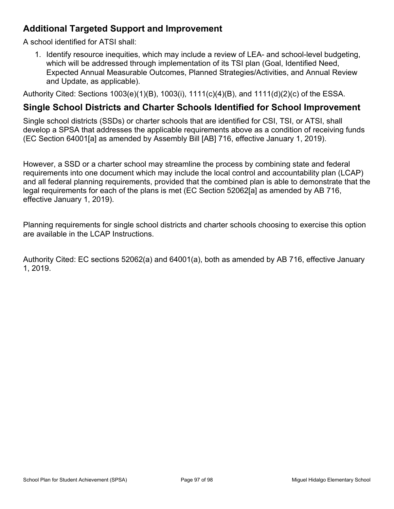## **Additional Targeted Support and Improvement**

A school identified for ATSI shall:

1. Identify resource inequities, which may include a review of LEA- and school-level budgeting, which will be addressed through implementation of its TSI plan (Goal, Identified Need, Expected Annual Measurable Outcomes, Planned Strategies/Activities, and Annual Review and Update, as applicable).

Authority Cited: Sections 1003(e)(1)(B), 1003(i), 1111(c)(4)(B), and 1111(d)(2)(c) of the ESSA.

### **Single School Districts and Charter Schools Identified for School Improvement**

Single school districts (SSDs) or charter schools that are identified for CSI, TSI, or ATSI, shall develop a SPSA that addresses the applicable requirements above as a condition of receiving funds (EC Section 64001[a] as amended by Assembly Bill [AB] 716, effective January 1, 2019).

However, a SSD or a charter school may streamline the process by combining state and federal requirements into one document which may include the local control and accountability plan (LCAP) and all federal planning requirements, provided that the combined plan is able to demonstrate that the legal requirements for each of the plans is met (EC Section 52062[a] as amended by AB 716, effective January 1, 2019).

Planning requirements for single school districts and charter schools choosing to exercise this option are available in the LCAP Instructions.

Authority Cited: EC sections 52062(a) and 64001(a), both as amended by AB 716, effective January 1, 2019.